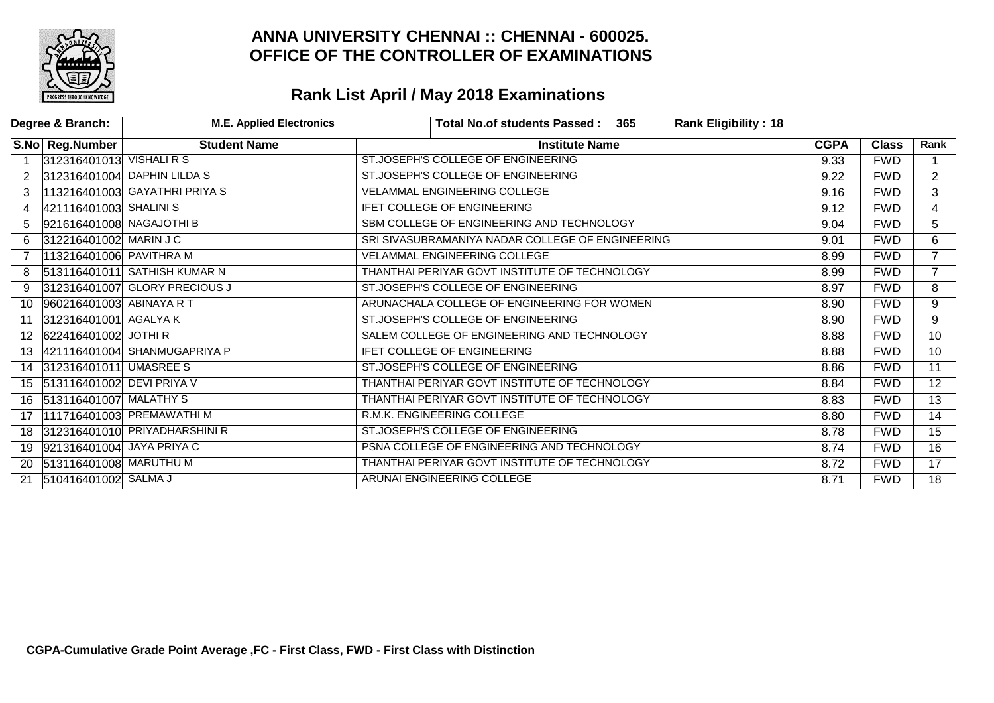

|    | Degree & Branch:             | <b>M.E. Applied Electronics</b>  | <b>Rank Eligibility: 18</b><br><b>Total No.of students Passed:</b><br>365 |             |              |                 |
|----|------------------------------|----------------------------------|---------------------------------------------------------------------------|-------------|--------------|-----------------|
|    | S.No Reg.Number              | <b>Student Name</b>              | <b>Institute Name</b>                                                     | <b>CGPA</b> | <b>Class</b> | Rank            |
|    | 312316401013 VISHALI R S     |                                  | ST.JOSEPH'S COLLEGE OF ENGINEERING                                        | 9.33        | <b>FWD</b>   |                 |
|    |                              | 312316401004 DAPHIN LILDA S      | ST.JOSEPH'S COLLEGE OF ENGINEERING                                        | 9.22        | <b>FWD</b>   | $\overline{2}$  |
| 3  |                              | 113216401003 GAYATHRI PRIYA S    | <b>VELAMMAL ENGINEERING COLLEGE</b>                                       | 9.16        | <b>FWD</b>   | 3               |
| 4  | 421116401003 SHALINIS        |                                  | <b>IFET COLLEGE OF ENGINEERING</b>                                        | 9.12        | <b>FWD</b>   | 4               |
| 5. | 921616401008 NAGAJOTHI B     |                                  | SBM COLLEGE OF ENGINEERING AND TECHNOLOGY                                 | 9.04        | <b>FWD</b>   | 5               |
| 6. | 312216401002 MARIN J C       |                                  | SRI SIVASUBRAMANIYA NADAR COLLEGE OF ENGINEERING                          | 9.01        | <b>FWD</b>   | 6               |
|    | 113216401006 PAVITHRA M      |                                  | VELAMMAL ENGINEERING COLLEGE                                              | 8.99        | <b>FWD</b>   | $\overline{7}$  |
| 8  |                              | 513116401011 SATHISH KUMAR N     | THANTHAI PERIYAR GOVT INSTITUTE OF TECHNOLOGY                             | 8.99        | <b>FWD</b>   | $\overline{7}$  |
| 9  |                              | 312316401007 GLORY PRECIOUS J    | ST.JOSEPH'S COLLEGE OF ENGINEERING                                        | 8.97        | <b>FWD</b>   | 8               |
| 10 | 960216401003 ABINAYA R T     |                                  | ARUNACHALA COLLEGE OF ENGINEERING FOR WOMEN                               | 8.90        | <b>FWD</b>   | 9               |
|    | 312316401001 AGALYA K        |                                  | ST.JOSEPH'S COLLEGE OF ENGINEERING                                        | 8.90        | <b>FWD</b>   | 9               |
|    | 12 622416401002 JOTHIR       |                                  | SALEM COLLEGE OF ENGINEERING AND TECHNOLOGY                               | 8.88        | <b>FWD</b>   | $\overline{10}$ |
|    |                              | 13  421116401004 SHANMUGAPRIYA P | <b>IFET COLLEGE OF ENGINEERING</b>                                        | 8.88        | <b>FWD</b>   | $\overline{10}$ |
|    | 14 312316401011 UMASREE S    |                                  | ST.JOSEPH'S COLLEGE OF ENGINEERING                                        | 8.86        | <b>FWD</b>   | $\overline{11}$ |
|    | 15 513116401002 DEVI PRIYA V |                                  | THANTHAI PERIYAR GOVT INSTITUTE OF TECHNOLOGY                             | 8.84        | <b>FWD</b>   | 12 <sup>°</sup> |
|    | 16 513116401007 MALATHY S    |                                  | THANTHAI PERIYAR GOVT INSTITUTE OF TECHNOLOGY                             | 8.83        | <b>FWD</b>   | $\overline{13}$ |
|    |                              | 17  111716401003 PREMAWATHI M    | R.M.K. ENGINEERING COLLEGE                                                | 8.80        | <b>FWD</b>   | $\overline{14}$ |
|    |                              | 18 312316401010 PRIYADHARSHINI R | ST.JOSEPH'S COLLEGE OF ENGINEERING                                        | 8.78        | <b>FWD</b>   | $\overline{15}$ |
| 19 | 921316401004 JAYA PRIYA C    |                                  | PSNA COLLEGE OF ENGINEERING AND TECHNOLOGY                                | 8.74        | <b>FWD</b>   | 16              |
|    | 20 513116401008 MARUTHU M    |                                  | THANTHAI PERIYAR GOVT INSTITUTE OF TECHNOLOGY                             | 8.72        | <b>FWD</b>   | 17              |
| 21 | 510416401002 SALMA J         |                                  | ARUNAI ENGINEERING COLLEGE                                                | 8.71        | <b>FWD</b>   | 18              |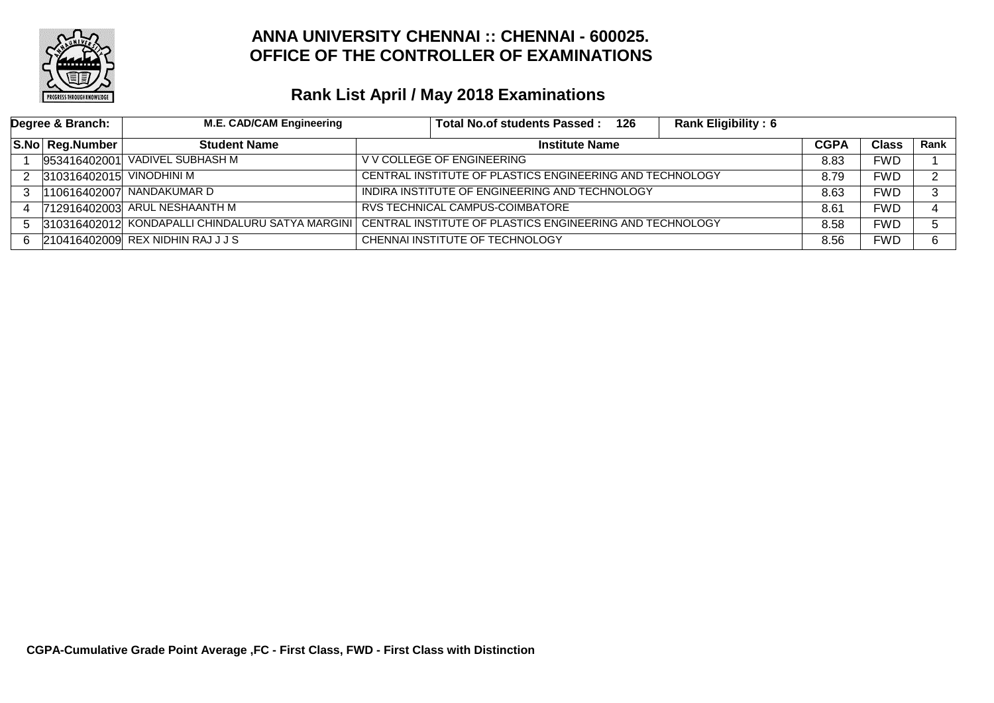

| Degree & Branch: |                          | <b>M.E. CAD/CAM Engineering</b>                                                                           | <b>Total No.of students Passed:</b><br>126               | <b>Rank Eligibility: 6</b> |      |              |      |
|------------------|--------------------------|-----------------------------------------------------------------------------------------------------------|----------------------------------------------------------|----------------------------|------|--------------|------|
|                  | S.No Reg.Number          | <b>Student Name</b>                                                                                       | <b>Institute Name</b><br><b>CGPA</b>                     |                            |      | <b>Class</b> | Rank |
|                  |                          | 953416402001 VADIVEL SUBHASH M                                                                            | V V COLLEGE OF ENGINEERING                               |                            | 8.83 | <b>FWD</b>   |      |
|                  | 310316402015 VINODHINI M |                                                                                                           | CENTRAL INSTITUTE OF PLASTICS ENGINEERING AND TECHNOLOGY |                            | 8.79 | <b>FWD</b>   | ົ    |
|                  |                          | 110616402007 NANDAKUMAR D                                                                                 | INDIRA INSTITUTE OF ENGINEERING AND TECHNOLOGY           |                            | 8.63 | <b>FWD</b>   | ົ    |
|                  |                          | 712916402003 ARUL NESHAANTH M                                                                             | RVS TECHNICAL CAMPUS-COIMBATORE                          |                            | 8.61 | <b>FWD</b>   |      |
|                  |                          | 310316402012 KONDAPALLI CHINDALURU SATYA MARGINI CENTRAL INSTITUTE OF PLASTICS ENGINEERING AND TECHNOLOGY |                                                          |                            | 8.58 | <b>FWD</b>   |      |
| 6.               |                          | 210416402009 REX NIDHIN RAJ J J S                                                                         | CHENNAI INSTITUTE OF TECHNOLOGY                          |                            | 8.56 | <b>FWD</b>   | 6.   |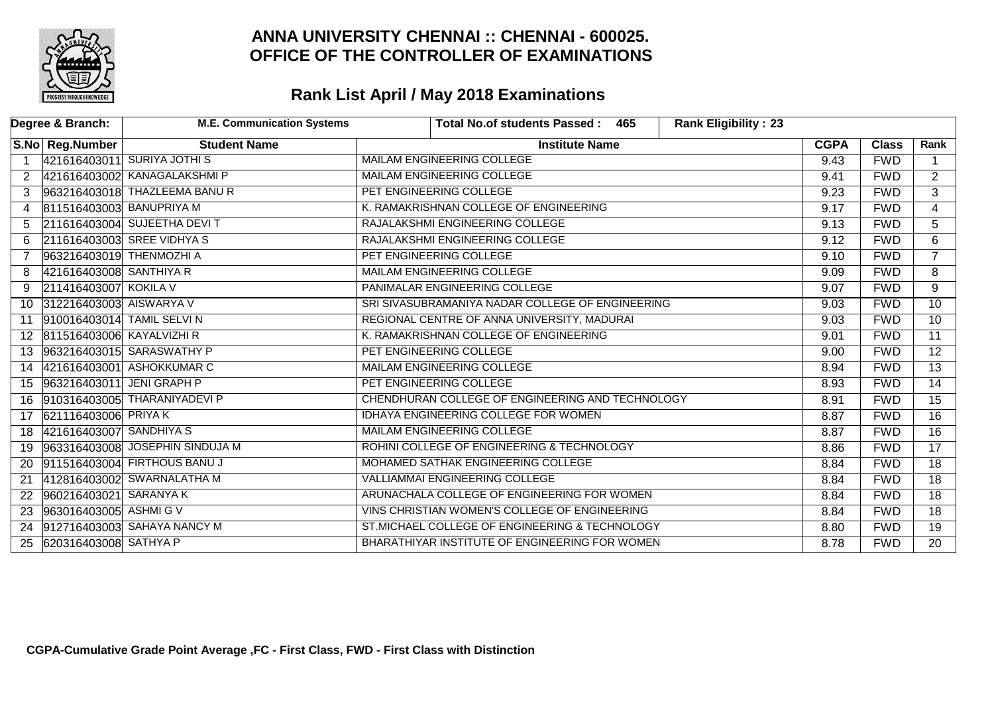

|                      | Degree & Branch:             | <b>M.E. Communication Systems</b> | <b>Rank Eligibility: 23</b><br><b>Total No.of students Passed:</b><br>465 |             |              |                 |
|----------------------|------------------------------|-----------------------------------|---------------------------------------------------------------------------|-------------|--------------|-----------------|
|                      | S.No Reg.Number              | <b>Student Name</b>               | <b>Institute Name</b>                                                     | <b>CGPA</b> | <b>Class</b> | Rank            |
| $\overline{1}$       |                              | 421616403011 SURIYA JOTHI S       | MAILAM ENGINEERING COLLEGE                                                | 9.43        | <b>FWD</b>   |                 |
| $\mathbf{2}^{\circ}$ |                              | 421616403002 KANAGALAKSHMI P      | <b>MAILAM ENGINEERING COLLEGE</b>                                         | 9.41        | <b>FWD</b>   | $\overline{2}$  |
| 3                    |                              | 963216403018 THAZLEEMA BANU R     | PET ENGINEERING COLLEGE                                                   | 9.23        | <b>FWD</b>   | $\overline{3}$  |
| 4                    | 811516403003 BANUPRIYA M     |                                   | K. RAMAKRISHNAN COLLEGE OF ENGINEERING                                    | 9.17        | <b>FWD</b>   | $\overline{4}$  |
| 5                    |                              | 211616403004 SUJEETHA DEVIT       | RAJALAKSHMI ENGINEERING COLLEGE                                           | 9.13        | <b>FWD</b>   | $\overline{5}$  |
| 6                    |                              | 211616403003 SREE VIDHYA S        | RAJALAKSHMI ENGINEERING COLLEGE                                           | 9.12        | <b>FWD</b>   | 6               |
|                      | 963216403019 THENMOZHI A     |                                   | PET ENGINEERING COLLEGE                                                   | 9.10        | <b>FWD</b>   | $\overline{7}$  |
| 8                    | 421616403008 SANTHIYA R      |                                   | MAILAM ENGINEERING COLLEGE                                                | 9.09        | <b>FWD</b>   | 8               |
| 9                    | 211416403007 KOKILA V        |                                   | PANIMALAR ENGINEERING COLLEGE                                             | 9.07        | <b>FWD</b>   | 9               |
| 10                   | 312216403003 AISWARYA V      |                                   | SRI SIVASUBRAMANIYA NADAR COLLEGE OF ENGINEERING                          | 9.03        | <b>FWD</b>   | 10              |
| 11                   | 910016403014 TAMIL SELVI N   |                                   | REGIONAL CENTRE OF ANNA UNIVERSITY, MADURAI                               | 9.03        | <b>FWD</b>   | $\overline{10}$ |
|                      | 12 811516403006 KAYALVIZHI R |                                   | K. RAMAKRISHNAN COLLEGE OF ENGINEERING                                    | 9.01        | <b>FWD</b>   | 11              |
| 13                   |                              | 963216403015 SARASWATHY P         | PET ENGINEERING COLLEGE                                                   | 9.00        | <b>FWD</b>   | $\overline{12}$ |
|                      |                              | 14 421616403001 ASHOKKUMAR C      | <b>MAILAM ENGINEERING COLLEGE</b>                                         | 8.94        | <b>FWD</b>   | $\overline{13}$ |
|                      | 15 963216403011 JENI GRAPH P |                                   | PET ENGINEERING COLLEGE                                                   | 8.93        | <b>FWD</b>   | $\overline{14}$ |
| 16                   |                              | 910316403005 THARANIYADEVI P      | CHENDHURAN COLLEGE OF ENGINEERING AND TECHNOLOGY                          | 8.91        | <b>FWD</b>   | $\overline{15}$ |
| 17                   | 621116403006 PRIYAK          |                                   | IDHAYA ENGINEERING COLLEGE FOR WOMEN                                      | 8.87        | <b>FWD</b>   | $\overline{16}$ |
| 18                   | 421616403007 SANDHIYA S      |                                   | MAILAM ENGINEERING COLLEGE                                                | 8.87        | <b>FWD</b>   | $\overline{16}$ |
| 19                   |                              | 963316403008 JOSEPHIN SINDUJA M   | ROHINI COLLEGE OF ENGINEERING & TECHNOLOGY                                | 8.86        | <b>FWD</b>   | $\overline{17}$ |
| 20                   |                              | 911516403004 FIRTHOUS BANU J      | MOHAMED SATHAK ENGINEERING COLLEGE                                        | 8.84        | <b>FWD</b>   | $\overline{18}$ |
| 21                   |                              | 412816403002 SWARNALATHA M        | <b>VALLIAMMAI ENGINEERING COLLEGE</b>                                     | 8.84        | <b>FWD</b>   | $\overline{18}$ |
| 22                   | 960216403021 SARANYA K       |                                   | ARUNACHALA COLLEGE OF ENGINEERING FOR WOMEN                               | 8.84        | <b>FWD</b>   | $\overline{18}$ |
| 23                   | 963016403005 ASHMIG V        |                                   | VINS CHRISTIAN WOMEN'S COLLEGE OF ENGINEERING                             | 8.84        | <b>FWD</b>   | $\overline{18}$ |
| 24                   |                              | 912716403003 SAHAYA NANCY M       | ST.MICHAEL COLLEGE OF ENGINEERING & TECHNOLOGY                            | 8.80        | <b>FWD</b>   | $\overline{19}$ |
| 25                   | 620316403008 SATHYA P        |                                   | BHARATHIYAR INSTITUTE OF ENGINEERING FOR WOMEN                            | 8.78        | <b>FWD</b>   | $\overline{20}$ |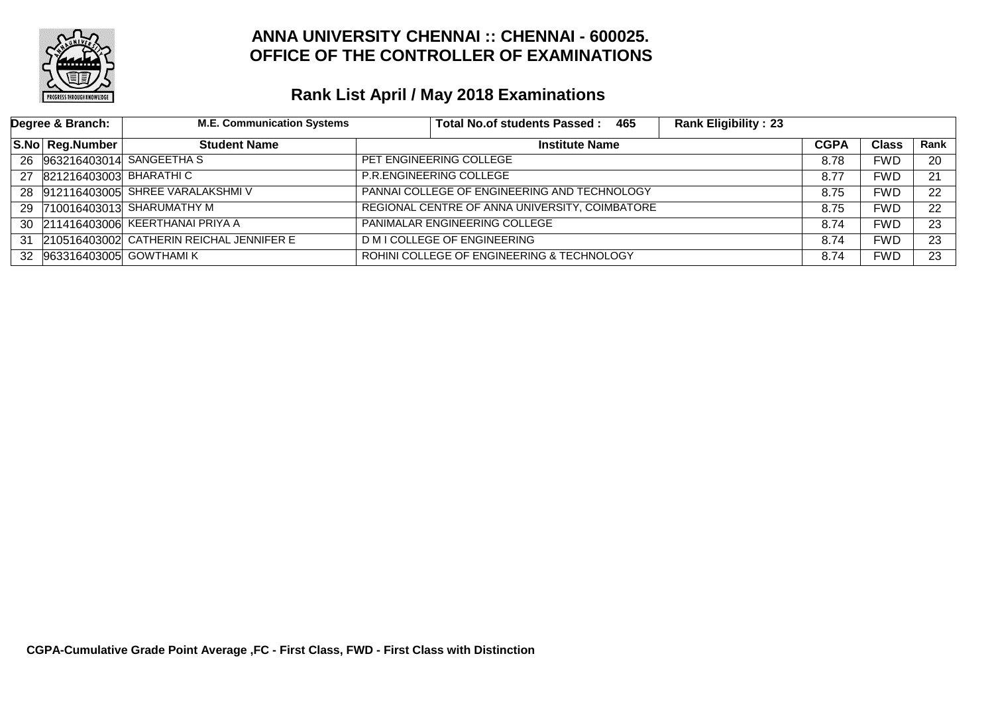

| Degree & Branch: |                            | <b>M.E. Communication Systems</b>        | <b>Total No.of students Passed:</b><br>- 465   | <b>Rank Eligibility: 23</b> |             |              |      |
|------------------|----------------------------|------------------------------------------|------------------------------------------------|-----------------------------|-------------|--------------|------|
|                  | S.No Reg.Number            | <b>Student Name</b>                      | <b>Institute Name</b>                          |                             | <b>CGPA</b> | <b>Class</b> | Rank |
|                  |                            | 26 963216403014 SANGEETHAS               | PET ENGINEERING COLLEGE                        |                             | 8.78        | <b>FWD</b>   | 20   |
|                  | 27 821216403003 BHARATHIC  |                                          | P.R.ENGINEERING COLLEGE                        |                             | 8.77        | <b>FWD</b>   | 21   |
|                  |                            | 28 912116403005 SHREE VARALAKSHMI V      | PANNAI COLLEGE OF ENGINEERING AND TECHNOLOGY   |                             | 8.75        | <b>FWD</b>   | 22   |
|                  |                            | 29 710016403013 SHARUMATHY M             | REGIONAL CENTRE OF ANNA UNIVERSITY, COIMBATORE |                             | 8.75        | FWD          | 22   |
|                  |                            | 30 211416403006 KEERTHANAI PRIYA A       | PANIMALAR ENGINEERING COLLEGE                  |                             | 8.74        | FWD          | 23   |
| 31               |                            | 210516403002 CATHERIN REICHAL JENNIFER E | D M I COLLEGE OF ENGINEERING                   |                             | 8.74        | FWD          | 23   |
|                  | 32 963316403005 GOWTHAMI K |                                          | ROHINI COLLEGE OF ENGINEERING & TECHNOLOGY     |                             | 8.74        | FWD          | 23   |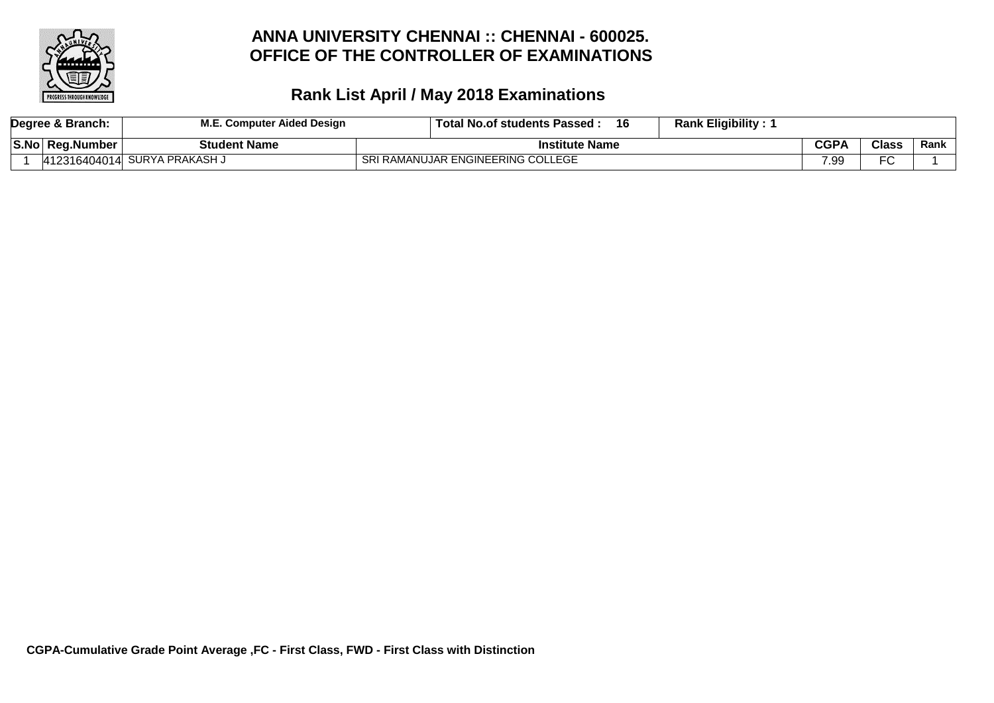

|      | Degree & Branch: | <b>Computer Aided Design</b> | ⊤ Total No.of students Passed :   | 16 | <b>Rank Eligibility:</b> |      |          |      |
|------|------------------|------------------------------|-----------------------------------|----|--------------------------|------|----------|------|
| S.No | ∣ Rea.Number     | <b>Student Name</b>          | <b>Institute Name</b>             |    |                          | CGP/ | $C$ lass | Rank |
|      | 412316404014     | <sup>1</sup> SURYA PRAKASH J | SRI RAMANUJAR ENGINEERING COLLEGE |    |                          | 7.99 | $\Gamma$ |      |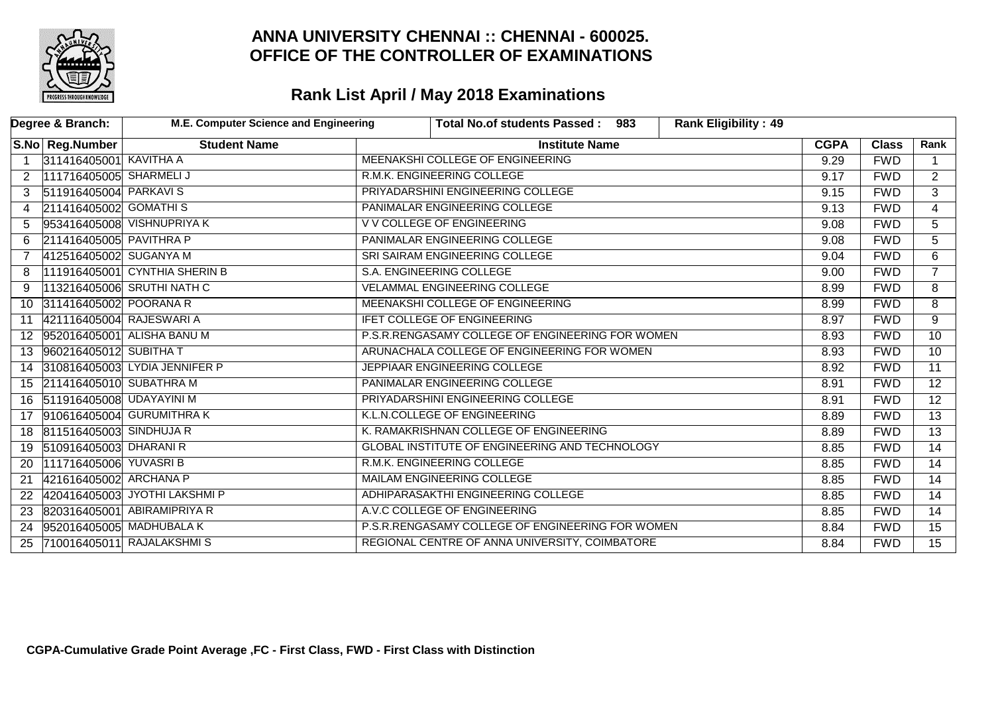

|                      | Degree & Branch:            | M.E. Computer Science and Engineering<br>Total No.of students Passed: 983<br><b>Rank Eligibility: 49</b> |                                                  |             |              |                 |
|----------------------|-----------------------------|----------------------------------------------------------------------------------------------------------|--------------------------------------------------|-------------|--------------|-----------------|
|                      | S.No Reg.Number             | <b>Student Name</b>                                                                                      | <b>Institute Name</b>                            | <b>CGPA</b> | <b>Class</b> | Rank            |
|                      | 311416405001 KAVITHA A      |                                                                                                          | MEENAKSHI COLLEGE OF ENGINEERING                 | 9.29        | <b>FWD</b>   | $\mathbf 1$     |
| $\mathbf{2}^{\circ}$ | 111716405005 SHARMELI J     |                                                                                                          | R.M.K. ENGINEERING COLLEGE                       | 9.17        | <b>FWD</b>   | $\overline{2}$  |
| 3                    | 511916405004 PARKAVIS       |                                                                                                          | PRIYADARSHINI ENGINEERING COLLEGE                | 9.15        | <b>FWD</b>   | $\overline{3}$  |
| 4                    | 211416405002 GOMATHIS       |                                                                                                          | PANIMALAR ENGINEERING COLLEGE                    | 9.13        | <b>FWD</b>   | $\overline{4}$  |
| 5                    |                             | 953416405008 VISHNUPRIYA K                                                                               | <b>V V COLLEGE OF ENGINEERING</b>                | 9.08        | <b>FWD</b>   | 5               |
|                      | 211416405005 PAVITHRA P     |                                                                                                          | PANIMALAR ENGINEERING COLLEGE                    | 9.08        | <b>FWD</b>   | 5               |
|                      | 412516405002 SUGANYA M      |                                                                                                          | SRI SAIRAM ENGINEERING COLLEGE                   | 9.04        | <b>FWD</b>   | 6               |
| 8                    |                             | 111916405001 CYNTHIA SHERIN B                                                                            | <b>S.A. ENGINEERING COLLEGE</b>                  | 9.00        | <b>FWD</b>   | $7^{\circ}$     |
|                      |                             | 113216405006 SRUTHI NATH C                                                                               | <b>VELAMMAL ENGINEERING COLLEGE</b>              | 8.99        | <b>FWD</b>   | 8               |
| 10                   | 311416405002 POORANA R      |                                                                                                          | MEENAKSHI COLLEGE OF ENGINEERING                 | 8.99        | <b>FWD</b>   | 8               |
|                      | 421116405004 RAJESWARI A    |                                                                                                          | <b>IFET COLLEGE OF ENGINEERING</b>               | 8.97        | <b>FWD</b>   | 9               |
|                      |                             | 12 952016405001 ALISHA BANU M                                                                            | P.S.R.RENGASAMY COLLEGE OF ENGINEERING FOR WOMEN | 8.93        | <b>FWD</b>   | 10 <sup>°</sup> |
| 13                   | 960216405012 SUBITHA T      |                                                                                                          | ARUNACHALA COLLEGE OF ENGINEERING FOR WOMEN      | 8.93        | <b>FWD</b>   | 10 <sup>°</sup> |
|                      |                             | 14 310816405003 LYDIA JENNIFER P                                                                         | JEPPIAAR ENGINEERING COLLEGE                     | 8.92        | <b>FWD</b>   | $\overline{11}$ |
|                      | 15 211416405010 SUBATHRA M  |                                                                                                          | PANIMALAR ENGINEERING COLLEGE                    | 8.91        | <b>FWD</b>   | $\overline{12}$ |
|                      | 16 511916405008 UDAYAYINI M |                                                                                                          | PRIYADARSHINI ENGINEERING COLLEGE                | 8.91        | <b>FWD</b>   | $\overline{12}$ |
|                      |                             | 17 910616405004 GURUMITHRAK                                                                              | K.L.N.COLLEGE OF ENGINEERING                     | 8.89        | <b>FWD</b>   | $\overline{13}$ |
|                      | 18 811516405003 SINDHUJA R  |                                                                                                          | K. RAMAKRISHNAN COLLEGE OF ENGINEERING           | 8.89        | FWD          | $\overline{13}$ |
|                      | 19 510916405003 DHARANIR    |                                                                                                          | GLOBAL INSTITUTE OF ENGINEERING AND TECHNOLOGY   | 8.85        | <b>FWD</b>   | $\overline{14}$ |
| 20                   | 111716405006 YUVASRI B      |                                                                                                          | R.M.K. ENGINEERING COLLEGE                       | 8.85        | <b>FWD</b>   | $\overline{14}$ |
| 21                   | 421616405002 ARCHANA P      |                                                                                                          | <b>MAILAM ENGINEERING COLLEGE</b>                | 8.85        | <b>FWD</b>   | 14              |
|                      |                             | 420416405003 JYOTHI LAKSHMI P                                                                            | ADHIPARASAKTHI ENGINEERING COLLEGE               | 8.85        | <b>FWD</b>   | $\overline{14}$ |
| 23                   |                             | 820316405001 ABIRAMIPRIYA R                                                                              | A.V.C COLLEGE OF ENGINEERING                     | 8.85        | <b>FWD</b>   | 14              |
| 24                   |                             | 952016405005 MADHUBALA K                                                                                 | P.S.R.RENGASAMY COLLEGE OF ENGINEERING FOR WOMEN | 8.84        | <b>FWD</b>   | 15              |
| 25                   |                             | 710016405011 RAJALAKSHMIS                                                                                | REGIONAL CENTRE OF ANNA UNIVERSITY, COIMBATORE   | 8.84        | <b>FWD</b>   | 15              |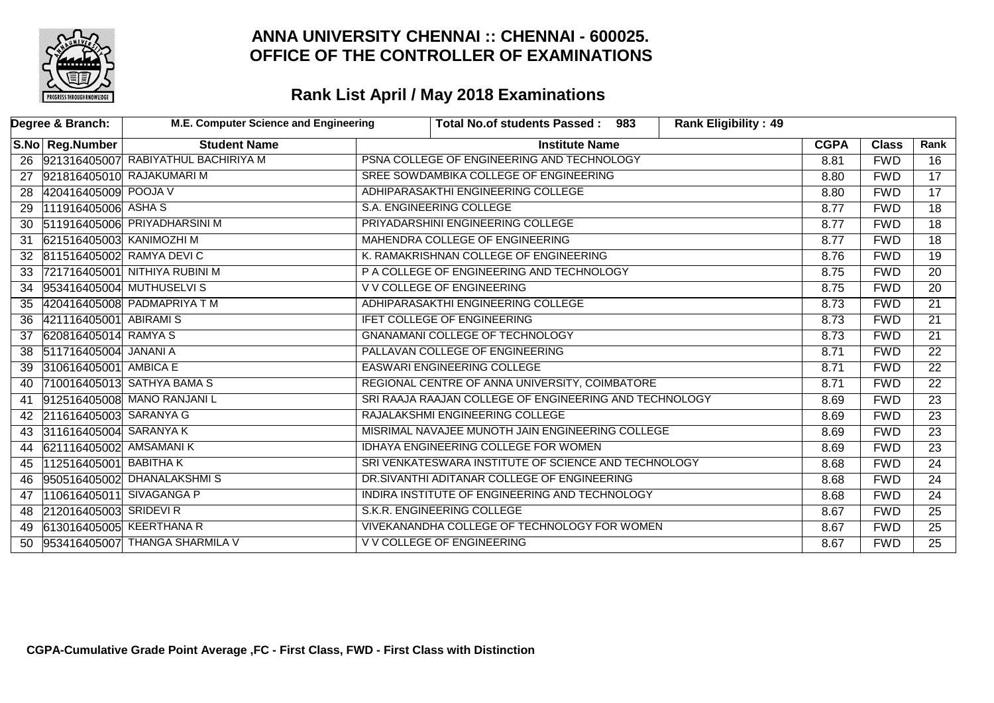

|    | Degree & Branch:           | M.E. Computer Science and Engineering  | <b>Rank Eligibility: 49</b><br>Total No.of students Passed: 983 |             |              |                 |
|----|----------------------------|----------------------------------------|-----------------------------------------------------------------|-------------|--------------|-----------------|
|    | S.No Reg.Number            | <b>Student Name</b>                    | <b>Institute Name</b>                                           | <b>CGPA</b> | <b>Class</b> | Rank            |
|    |                            | 26 921316405007 RABIYATHUL BACHIRIYA M | PSNA COLLEGE OF ENGINEERING AND TECHNOLOGY                      | 8.81        | <b>FWD</b>   | 16              |
| 27 |                            | 921816405010 RAJAKUMARI M              | SREE SOWDAMBIKA COLLEGE OF ENGINEERING                          | 8.80        | <b>FWD</b>   | $\overline{17}$ |
| 28 | 420416405009 POOJA V       |                                        | ADHIPARASAKTHI ENGINEERING COLLEGE                              | 8.80        | <b>FWD</b>   | $\overline{17}$ |
| 29 | 111916405006 ASHAS         |                                        | S.A. ENGINEERING COLLEGE                                        | 8.77        | <b>FWD</b>   | 18              |
| 30 |                            | 511916405006 PRIYADHARSINI M           | PRIYADARSHINI ENGINEERING COLLEGE                               | 8.77        | <b>FWD</b>   | 18              |
| 31 | 621516405003 KANIMOZHI M   |                                        | MAHENDRA COLLEGE OF ENGINEERING                                 | 8.77        | <b>FWD</b>   | $\overline{18}$ |
| 32 | 811516405002 RAMYA DEVIC   |                                        | K. RAMAKRISHNAN COLLEGE OF ENGINEERING                          | 8.76        | <b>FWD</b>   | $\overline{19}$ |
| 33 |                            | 721716405001 NITHIYA RUBINI M          | P A COLLEGE OF ENGINEERING AND TECHNOLOGY                       | 8.75        | <b>FWD</b>   | 20              |
| 34 | 953416405004 MUTHUSELVI S  |                                        | V V COLLEGE OF ENGINEERING                                      | 8.75        | <b>FWD</b>   | 20              |
| 35 |                            | 420416405008 PADMAPRIYA TM             | ADHIPARASAKTHI ENGINEERING COLLEGE                              | 8.73        | <b>FWD</b>   | $\overline{21}$ |
| 36 | 421116405001 ABIRAMIS      |                                        | IFET COLLEGE OF ENGINEERING                                     | 8.73        | <b>FWD</b>   | $\overline{21}$ |
| 37 | 620816405014 RAMYA S       |                                        | <b>GNANAMANI COLLEGE OF TECHNOLOGY</b>                          | 8.73        | <b>FWD</b>   | $\overline{21}$ |
| 38 | 511716405004 JANANI A      |                                        | PALLAVAN COLLEGE OF ENGINEERING                                 | 8.71        | <b>FWD</b>   | $\overline{22}$ |
| 39 | 310616405001 AMBICA E      |                                        | <b>EASWARI ENGINEERING COLLEGE</b>                              | 8.71        | <b>FWD</b>   | $\overline{22}$ |
| 40 |                            | 710016405013 SATHYA BAMA S             | REGIONAL CENTRE OF ANNA UNIVERSITY, COIMBATORE                  | 8.71        | <b>FWD</b>   | $\overline{22}$ |
| 41 |                            | 912516405008 MANO RANJANI L            | SRI RAAJA RAAJAN COLLEGE OF ENGINEERING AND TECHNOLOGY          | 8.69        | <b>FWD</b>   | 23              |
| 42 | 211616405003 SARANYA G     |                                        | RAJALAKSHMI ENGINEERING COLLEGE                                 | 8.69        | <b>FWD</b>   | $\overline{23}$ |
| 43 | 311616405004 SARANYA K     |                                        | MISRIMAL NAVAJEE MUNOTH JAIN ENGINEERING COLLEGE                | 8.69        | <b>FWD</b>   | $\overline{23}$ |
| 44 | 621116405002 AMSAMANIK     |                                        | IDHAYA ENGINEERING COLLEGE FOR WOMEN                            | 8.69        | <b>FWD</b>   | $\overline{23}$ |
| 45 | $ 112516405001 $ BABITHA K |                                        | SRI VENKATESWARA INSTITUTE OF SCIENCE AND TECHNOLOGY            | 8.68        | <b>FWD</b>   | $\overline{24}$ |
| 46 |                            | 950516405002 DHANALAKSHMIS             | DR.SIVANTHI ADITANAR COLLEGE OF ENGINEERING                     | 8.68        | <b>FWD</b>   | $\overline{24}$ |
| 47 | 110616405011 SIVAGANGA P   |                                        | INDIRA INSTITUTE OF ENGINEERING AND TECHNOLOGY                  | 8.68        | <b>FWD</b>   | $\overline{24}$ |
| 48 | 212016405003 SRIDEVI R     |                                        | S.K.R. ENGINEERING COLLEGE                                      | 8.67        | <b>FWD</b>   | $\overline{25}$ |
| 49 | 613016405005 KEERTHANA R   |                                        | VIVEKANANDHA COLLEGE OF TECHNOLOGY FOR WOMEN                    | 8.67        | <b>FWD</b>   | $\overline{25}$ |
| 50 |                            | 953416405007 THANGA SHARMILA V         | V V COLLEGE OF ENGINEERING                                      | 8.67        | <b>FWD</b>   | $\overline{25}$ |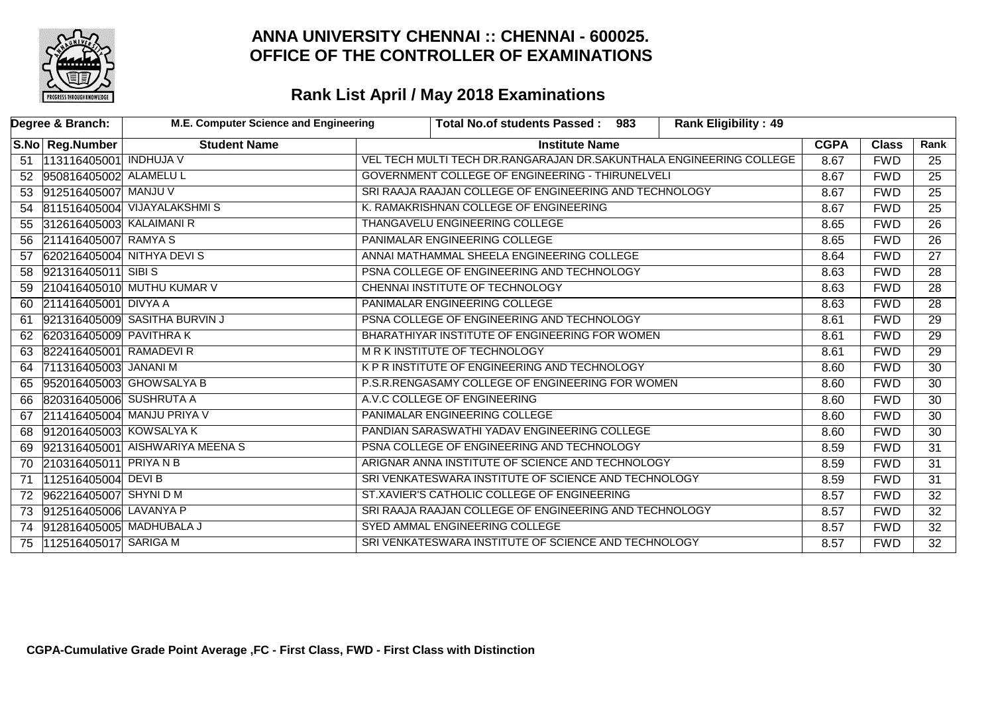

|    | Degree & Branch:           | M.E. Computer Science and Engineering | Total No.of students Passed: 983<br><b>Rank Eligibility: 49</b>     |             |              |                 |
|----|----------------------------|---------------------------------------|---------------------------------------------------------------------|-------------|--------------|-----------------|
|    | S.No   Reg.Number          | <b>Student Name</b>                   | <b>Institute Name</b>                                               | <b>CGPA</b> | <b>Class</b> | Rank            |
|    | 51  113116405001 INDHUJA V |                                       | VEL TECH MULTI TECH DR.RANGARAJAN DR.SAKUNTHALA ENGINEERING COLLEGE | 8.67        | <b>FWD</b>   | 25              |
| 52 | 950816405002 ALAMELU L     |                                       | GOVERNMENT COLLEGE OF ENGINEERING - THIRUNELVELI                    | 8.67        | <b>FWD</b>   | $\overline{25}$ |
| 53 | 912516405007 MANJU V       |                                       | SRI RAAJA RAAJAN COLLEGE OF ENGINEERING AND TECHNOLOGY              | 8.67        | <b>FWD</b>   | $\overline{25}$ |
|    |                            | 54 811516405004 VIJAYALAKSHMIS        | K. RAMAKRISHNAN COLLEGE OF ENGINEERING                              | 8.67        | <b>FWD</b>   | $\overline{25}$ |
| 55 | 312616405003 KALAIMANI R   |                                       | THANGAVELU ENGINEERING COLLEGE                                      | 8.65        | <b>FWD</b>   | $\overline{26}$ |
| 56 | 211416405007 RAMYA S       |                                       | PANIMALAR ENGINEERING COLLEGE                                       | 8.65        | <b>FWD</b>   | $\overline{26}$ |
| 57 |                            | 620216405004 NITHYA DEVIS             | ANNAI MATHAMMAL SHEELA ENGINEERING COLLEGE                          | 8.64        | <b>FWD</b>   | $\overline{27}$ |
| 58 | 921316405011 SIBIS         |                                       | PSNA COLLEGE OF ENGINEERING AND TECHNOLOGY                          | 8.63        | <b>FWD</b>   | $\overline{28}$ |
| 59 |                            | 210416405010 MUTHU KUMAR V            | CHENNAI INSTITUTE OF TECHNOLOGY                                     | 8.63        | <b>FWD</b>   | $\overline{28}$ |
|    | 60 211416405001 DIVYA A    |                                       | PANIMALAR ENGINEERING COLLEGE                                       | 8.63        | <b>FWD</b>   | 28              |
| 61 |                            | 921316405009 SASITHA BURVIN J         | PSNA COLLEGE OF ENGINEERING AND TECHNOLOGY                          | 8.61        | <b>FWD</b>   | $\overline{29}$ |
|    | 62 620316405009 PAVITHRAK  |                                       | BHARATHIYAR INSTITUTE OF ENGINEERING FOR WOMEN                      | 8.61        | <b>FWD</b>   | $\overline{29}$ |
| 63 | 822416405001 RAMADEVIR     |                                       | M R K INSTITUTE OF TECHNOLOGY                                       | 8.61        | <b>FWD</b>   | $\overline{29}$ |
| 64 | 711316405003 JANANI M      |                                       | K P R INSTITUTE OF ENGINEERING AND TECHNOLOGY                       | 8.60        | <b>FWD</b>   | $\overline{30}$ |
|    |                            | 65 952016405003 GHOWSALYA B           | P.S.R.RENGASAMY COLLEGE OF ENGINEERING FOR WOMEN                    | 8.60        | <b>FWD</b>   | $\overline{30}$ |
| 66 | 820316405006 SUSHRUTA A    |                                       | A.V.C COLLEGE OF ENGINEERING                                        | 8.60        | <b>FWD</b>   | 30              |
|    |                            | 67 211416405004 MANJU PRIYA V         | PANIMALAR ENGINEERING COLLEGE                                       | 8.60        | <b>FWD</b>   | 30              |
|    | 68 912016405003 KOWSALYA K |                                       | PANDIAN SARASWATHI YADAV ENGINEERING COLLEGE                        | 8.60        | FWD          | $\overline{30}$ |
|    |                            | 69 921316405001 AISHWARIYA MEENA S    | PSNA COLLEGE OF ENGINEERING AND TECHNOLOGY                          | 8.59        | <b>FWD</b>   | $\overline{31}$ |
|    | 70 210316405011 PRIYANB    |                                       | ARIGNAR ANNA INSTITUTE OF SCIENCE AND TECHNOLOGY                    | 8.59        | <b>FWD</b>   | $\overline{31}$ |
| 71 | 112516405004 DEVIB         |                                       | SRI VENKATESWARA INSTITUTE OF SCIENCE AND TECHNOLOGY                | 8.59        | <b>FWD</b>   | $\overline{31}$ |
|    | 72 962216405007 SHYNID M   |                                       | ST.XAVIER'S CATHOLIC COLLEGE OF ENGINEERING                         | 8.57        | <b>FWD</b>   | $\overline{32}$ |
|    | 73 912516405006 LAVANYA P  |                                       | SRI RAAJA RAAJAN COLLEGE OF ENGINEERING AND TECHNOLOGY              | 8.57        | <b>FWD</b>   | $\overline{32}$ |
| 74 | 912816405005 MADHUBALA J   |                                       | SYED AMMAL ENGINEERING COLLEGE                                      | 8.57        | <b>FWD</b>   | $\overline{32}$ |
| 75 | 112516405017 SARIGA M      |                                       | SRI VENKATESWARA INSTITUTE OF SCIENCE AND TECHNOLOGY                | 8.57        | <b>FWD</b>   | $\overline{32}$ |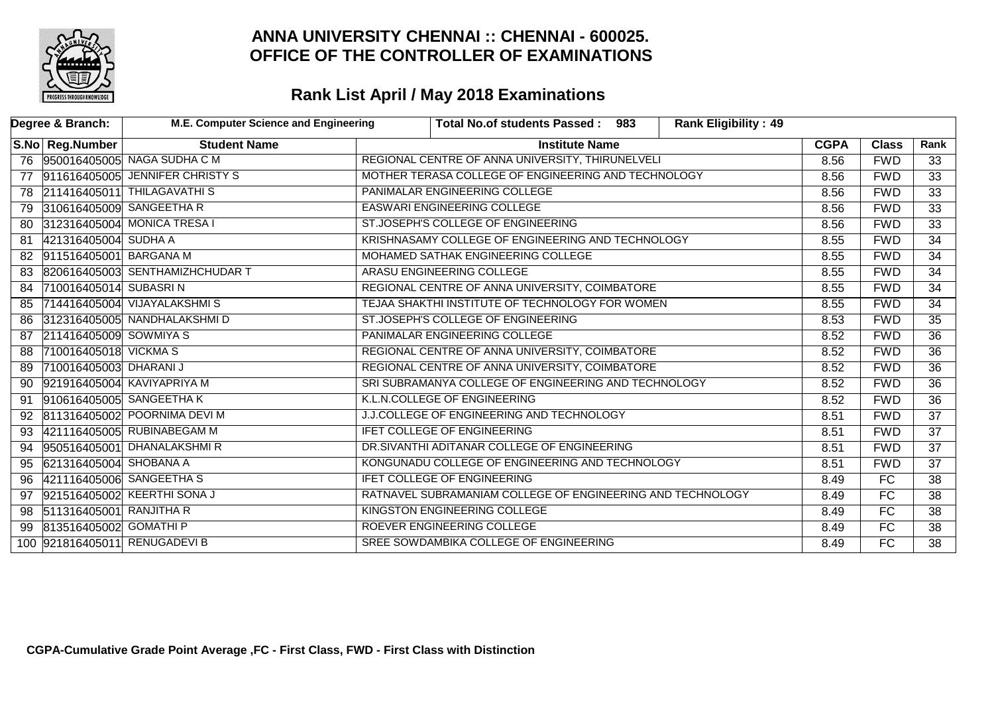

|     | Degree & Branch:          | M.E. Computer Science and Engineering | Total No.of students Passed: 983<br><b>Rank Eligibility: 49</b> |             |                 |                 |
|-----|---------------------------|---------------------------------------|-----------------------------------------------------------------|-------------|-----------------|-----------------|
|     | S.No   Reg.Number         | <b>Student Name</b>                   | <b>Institute Name</b>                                           | <b>CGPA</b> | <b>Class</b>    | Rank            |
|     |                           | 76 950016405005 NAGA SUDHA C M        | REGIONAL CENTRE OF ANNA UNIVERSITY, THIRUNELVELI                | 8.56        | <b>FWD</b>      | 33              |
| 77  |                           | 911616405005 JENNIFER CHRISTY S       | MOTHER TERASA COLLEGE OF ENGINEERING AND TECHNOLOGY             | 8.56        | <b>FWD</b>      | $\overline{33}$ |
|     |                           | 78 211416405011 THILAGAVATHIS         | PANIMALAR ENGINEERING COLLEGE                                   | 8.56        | <b>FWD</b>      | $\overline{33}$ |
|     |                           | 79 310616405009 SANGEETHA R           | EASWARI ENGINEERING COLLEGE                                     | 8.56        | <b>FWD</b>      | $\overline{33}$ |
| 80  |                           | 312316405004 MONICA TRESA I           | ST.JOSEPH'S COLLEGE OF ENGINEERING                              | 8.56        | <b>FWD</b>      | $\overline{33}$ |
| 81  | 421316405004 SUDHA A      |                                       | KRISHNASAMY COLLEGE OF ENGINEERING AND TECHNOLOGY               | 8.55        | <b>FWD</b>      | $\overline{34}$ |
| 82  | 911516405001 BARGANA M    |                                       | MOHAMED SATHAK ENGINEERING COLLEGE                              | 8.55        | <b>FWD</b>      | $\overline{34}$ |
| 83  |                           | 820616405003 SENTHAMIZHCHUDAR T       | <b>ARASU ENGINEERING COLLEGE</b>                                | 8.55        | <b>FWD</b>      | $\overline{34}$ |
| 84  | 710016405014 SUBASRIN     |                                       | REGIONAL CENTRE OF ANNA UNIVERSITY, COIMBATORE                  | 8.55        | <b>FWD</b>      | $\overline{34}$ |
| 85  |                           | 714416405004 VIJAYALAKSHMIS           | TEJAA SHAKTHI INSTITUTE OF TECHNOLOGY FOR WOMEN                 | 8.55        | <b>FWD</b>      | $\overline{34}$ |
| 86  |                           | 312316405005 NANDHALAKSHMID           | ST.JOSEPH'S COLLEGE OF ENGINEERING                              | 8.53        | <b>FWD</b>      | $\overline{35}$ |
|     | 87 211416405009 SOWMIYA S |                                       | PANIMALAR ENGINEERING COLLEGE                                   | 8.52        | <b>FWD</b>      | $\overline{36}$ |
| 88  | 710016405018 VICKMAS      |                                       | REGIONAL CENTRE OF ANNA UNIVERSITY, COIMBATORE                  | 8.52        | <b>FWD</b>      | $\overline{36}$ |
| 89. | 710016405003 DHARANI J    |                                       | REGIONAL CENTRE OF ANNA UNIVERSITY, COIMBATORE                  | 8.52        | <b>FWD</b>      | $\overline{36}$ |
|     |                           | 90 921916405004 KAVIYAPRIYA M         | SRI SUBRAMANYA COLLEGE OF ENGINEERING AND TECHNOLOGY            | 8.52        | <b>FWD</b>      | $\overline{36}$ |
| 91  |                           | 910616405005 SANGEETHAK               | K.L.N.COLLEGE OF ENGINEERING                                    | 8.52        | <b>FWD</b>      | $\overline{36}$ |
| 92  |                           | 811316405002 POORNIMA DEVI M          | J.J.COLLEGE OF ENGINEERING AND TECHNOLOGY                       | 8.51        | <b>FWD</b>      | 37              |
| 93  |                           | 421116405005 RUBINABEGAM M            | IFET COLLEGE OF ENGINEERING                                     | 8.51        | <b>FWD</b>      | $\overline{37}$ |
| 94  |                           | 950516405001 DHANALAKSHMIR            | DR.SIVANTHI ADITANAR COLLEGE OF ENGINEERING                     | 8.51        | <b>FWD</b>      | $\overline{37}$ |
| 95  | 621316405004 SHOBANA A    |                                       | KONGUNADU COLLEGE OF ENGINEERING AND TECHNOLOGY                 | 8.51        | <b>FWD</b>      | $\overline{37}$ |
| 96  |                           | 421116405006 SANGEETHAS               | <b>IFET COLLEGE OF ENGINEERING</b>                              | 8.49        | FC              | 38              |
| 97  |                           | 921516405002 KEERTHI SONA J           | RATNAVEL SUBRAMANIAM COLLEGE OF ENGINEERING AND TECHNOLOGY      | 8.49        | $\overline{FC}$ | $\overline{38}$ |
| 98  | 511316405001 RANJITHA R   |                                       | KINGSTON ENGINEERING COLLEGE                                    | 8.49        | FC              | $\overline{38}$ |
| 99  | 813516405002 GOMATHI P    |                                       | ROEVER ENGINEERING COLLEGE                                      | 8.49        | FC              | $\overline{38}$ |
|     |                           | 100 921816405011 RENUGADEVI B         | SREE SOWDAMBIKA COLLEGE OF ENGINEERING                          | 8.49        | FC              | $\overline{38}$ |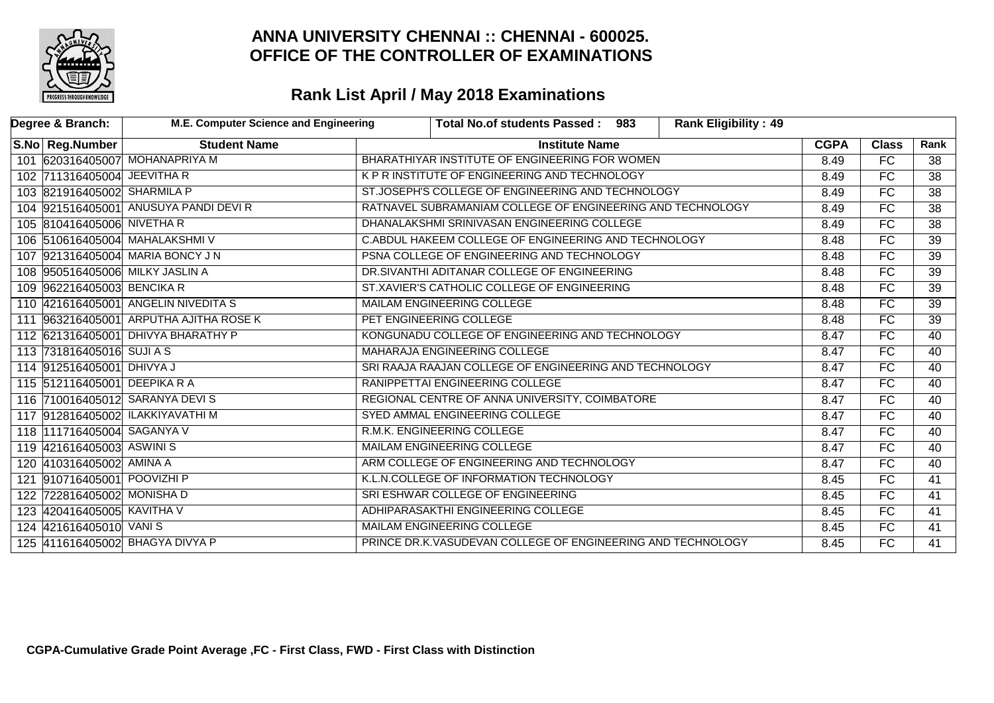

|     | Degree & Branch:             | M.E. Computer Science and Engineering  | Total No.of students Passed: 983<br><b>Rank Eligibility: 49</b> |             |                 |                 |
|-----|------------------------------|----------------------------------------|-----------------------------------------------------------------|-------------|-----------------|-----------------|
|     | S.No Reg.Number              | <b>Student Name</b>                    | <b>Institute Name</b>                                           | <b>CGPA</b> | <b>Class</b>    | Rank            |
|     |                              | 101 620316405007 MOHANAPRIYA M         | BHARATHIYAR INSTITUTE OF ENGINEERING FOR WOMEN                  | 8.49        | $\overline{FC}$ | 38              |
|     | 102 711316405004 JEEVITHA R  |                                        | K P R INSTITUTE OF ENGINEERING AND TECHNOLOGY                   | 8.49        | FC              | $\overline{38}$ |
|     | 103 821916405002 SHARMILA P  |                                        | ST.JOSEPH'S COLLEGE OF ENGINEERING AND TECHNOLOGY               | 8.49        | $\overline{FC}$ | $\overline{38}$ |
|     |                              | 104 921516405001 ANUSUYA PANDI DEVI R  | RATNAVEL SUBRAMANIAM COLLEGE OF ENGINEERING AND TECHNOLOGY      | 8.49        | FC              | $\overline{38}$ |
|     | 105 810416405006 NIVETHAR    |                                        | DHANALAKSHMI SRINIVASAN ENGINEERING COLLEGE                     | 8.49        | <b>FC</b>       | $\overline{38}$ |
|     |                              | 106 510616405004 MAHALAKSHMI V         | C.ABDUL HAKEEM COLLEGE OF ENGINEERING AND TECHNOLOGY            | 8.48        | FC              | $\overline{39}$ |
|     |                              | 107 921316405004 MARIA BONCY J N       | PSNA COLLEGE OF ENGINEERING AND TECHNOLOGY                      | 8.48        | FC              | $\overline{39}$ |
|     |                              | 108 950516405006 MILKY JASLIN A        | DR.SIVANTHI ADITANAR COLLEGE OF ENGINEERING                     | 8.48        | FC              | $\overline{39}$ |
|     | 109 962216405003 BENCIKA R   |                                        | ST.XAVIER'S CATHOLIC COLLEGE OF ENGINEERING                     | 8.48        | FC              | $\overline{39}$ |
|     |                              | 110 421616405001 ANGELIN NIVEDITA S    | MAILAM ENGINEERING COLLEGE                                      | 8.48        | FC              | $\overline{39}$ |
|     |                              | 111 963216405001 ARPUTHA AJITHA ROSE K | PET ENGINEERING COLLEGE                                         | 8.48        | FC              | $\overline{39}$ |
|     |                              | 112 621316405001 DHIVYA BHARATHY P     | KONGUNADU COLLEGE OF ENGINEERING AND TECHNOLOGY                 | 8.47        | FC              | 40              |
|     | 113 731816405016 SUJI A S    |                                        | MAHARAJA ENGINEERING COLLEGE                                    | 8.47        | FC              | 40              |
|     | 114 912516405001 DHIVYA J    |                                        | SRI RAAJA RAAJAN COLLEGE OF ENGINEERING AND TECHNOLOGY          | 8.47        | $\overline{FC}$ | 40              |
|     | 115 512116405001 DEEPIKA R A |                                        | RANIPPETTAI ENGINEERING COLLEGE                                 | 8.47        | FC              | 40              |
|     |                              | 116 710016405012 SARANYA DEVI S        | REGIONAL CENTRE OF ANNA UNIVERSITY, COIMBATORE                  | 8.47        | FC              | 40              |
|     |                              | 117 912816405002 ILAKKIYAVATHI M       | SYED AMMAL ENGINEERING COLLEGE                                  | 8.47        | FC              | 40              |
|     | 118 111716405004 SAGANYA V   |                                        | R.M.K. ENGINEERING COLLEGE                                      | 8.47        | $\overline{FC}$ | 40              |
|     | 119 421616405003 ASWINIS     |                                        | <b>MAILAM ENGINEERING COLLEGE</b>                               | 8.47        | FC              | 40              |
|     | 120 410316405002 AMINA A     |                                        | ARM COLLEGE OF ENGINEERING AND TECHNOLOGY                       | 8.47        | FC              | 40              |
| 121 | 910716405001 POOVIZHI P      |                                        | K.L.N.COLLEGE OF INFORMATION TECHNOLOGY                         | 8.45        | FC              | 41              |
|     | 122 722816405002 MONISHA D   |                                        | SRI ESHWAR COLLEGE OF ENGINEERING                               | 8.45        | FC              | $\overline{41}$ |
|     | 123 420416405005 KAVITHA V   |                                        | ADHIPARASAKTHI ENGINEERING COLLEGE                              | 8.45        | FC              | 41              |
|     | 124 421616405010 VANIS       |                                        | MAILAM ENGINEERING COLLEGE                                      | 8.45        | FC              | 41              |
|     |                              | 125 411616405002 BHAGYA DIVYA P        | PRINCE DR.K.VASUDEVAN COLLEGE OF ENGINEERING AND TECHNOLOGY     | 8.45        | FC              | 41              |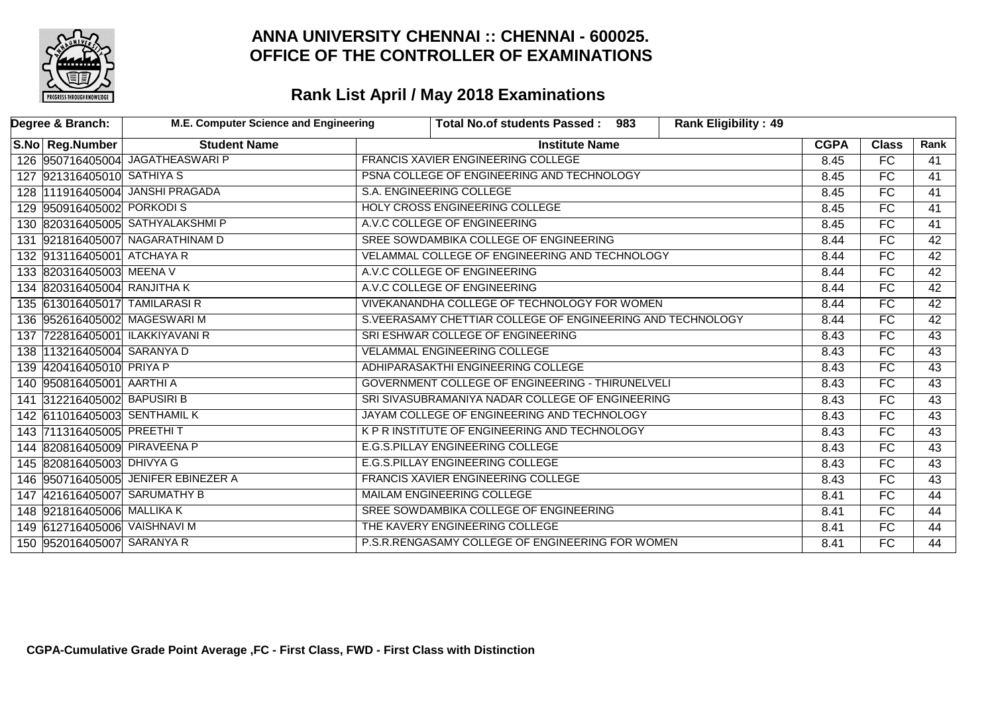

| Degree & Branch:              | M.E. Computer Science and Engineering | Total No.of students Passed: 983<br><b>Rank Eligibility: 49</b> |             |                          |                 |
|-------------------------------|---------------------------------------|-----------------------------------------------------------------|-------------|--------------------------|-----------------|
| S.No Reg.Number               | <b>Student Name</b>                   | <b>Institute Name</b>                                           | <b>CGPA</b> | <b>Class</b>             | Rank            |
|                               | 126 950716405004 JAGATHEASWARI P      | <b>FRANCIS XAVIER ENGINEERING COLLEGE</b>                       | 8.45        | $\overline{FC}$          | 41              |
| 127 921316405010 SATHIYA S    |                                       | PSNA COLLEGE OF ENGINEERING AND TECHNOLOGY                      | 8.45        | $\overline{FC}$          | 41              |
|                               | 128 111916405004 JANSHI PRAGADA       | S.A. ENGINEERING COLLEGE                                        | 8.45        | $\overline{\mathsf{FC}}$ | 41              |
| 129 950916405002 PORKODIS     |                                       | HOLY CROSS ENGINEERING COLLEGE                                  | 8.45        | $\overline{FC}$          | 41              |
|                               | 130 820316405005 SATHYALAKSHMIP       | A.V.C COLLEGE OF ENGINEERING                                    | 8.45        | FC                       | 41              |
|                               | 131 921816405007 NAGARATHINAM D       | SREE SOWDAMBIKA COLLEGE OF ENGINEERING                          | 8.44        | <b>FC</b>                | 42              |
| 132 913116405001 ATCHAYA R    |                                       | VELAMMAL COLLEGE OF ENGINEERING AND TECHNOLOGY                  | 8.44        | FC                       | $\overline{42}$ |
| 133 820316405003 MEENA V      |                                       | A.V.C COLLEGE OF ENGINEERING                                    | 8.44        | FC                       | 42              |
| 134 820316405004 RANJITHA K   |                                       | A.V.C COLLEGE OF ENGINEERING                                    | 8.44        | FC                       | 42              |
| 135 613016405017 TAMILARASI R |                                       | VIVEKANANDHA COLLEGE OF TECHNOLOGY FOR WOMEN                    | 8.44        | $\overline{FC}$          | 42              |
|                               | 136 952616405002 MAGESWARI M          | S.VEERASAMY CHETTIAR COLLEGE OF ENGINEERING AND TECHNOLOGY      | 8.44        | FC                       | 42              |
|                               | 137 722816405001 ILAKKIYAVANI R       | SRI ESHWAR COLLEGE OF ENGINEERING                               | 8.43        | $\overline{FC}$          | 43              |
| 138 113216405004 SARANYA D    |                                       | <b>VELAMMAL ENGINEERING COLLEGE</b>                             | 8.43        | $\overline{FC}$          | 43              |
| 139 420416405010 PRIYA P      |                                       | ADHIPARASAKTHI ENGINEERING COLLEGE                              | 8.43        | $\overline{\mathsf{FC}}$ | 43              |
| 140 950816405001 AARTHI A     |                                       | GOVERNMENT COLLEGE OF ENGINEERING - THIRUNELVELI                | 8.43        | $\overline{FC}$          | 43              |
| 141 312216405002 BAPUSIRI B   |                                       | SRI SIVASUBRAMANIYA NADAR COLLEGE OF ENGINEERING                | 8.43        | FC.                      | 43              |
| 142 611016405003 SENTHAMIL K  |                                       | JAYAM COLLEGE OF ENGINEERING AND TECHNOLOGY                     | 8.43        | FC.                      | 43              |
| 143 711316405005 PREETHIT     |                                       | K P R INSTITUTE OF ENGINEERING AND TECHNOLOGY                   | 8.43        | $\overline{\mathsf{FC}}$ | $\overline{43}$ |
| 144 820816405009 PIRAVEENA P  |                                       | <b>E.G.S.PILLAY ENGINEERING COLLEGE</b>                         | 8.43        | FC                       | $\overline{43}$ |
| 145 820816405003 DHIVYA G     |                                       | E.G.S.PILLAY ENGINEERING COLLEGE                                | 8.43        | $\overline{FC}$          | 43              |
|                               | 146 950716405005 JENIFER EBINEZER A   | FRANCIS XAVIER ENGINEERING COLLEGE                              | 8.43        | FC                       | 43              |
| 147 421616405007 SARUMATHY B  |                                       | <b>MAILAM ENGINEERING COLLEGE</b>                               | 8.41        | $\overline{\mathsf{FC}}$ | $\overline{44}$ |
| 148 921816405006 MALLIKA K    |                                       | SREE SOWDAMBIKA COLLEGE OF ENGINEERING                          | 8.41        | FC.                      | 44              |
| 149 612716405006 VAISHNAVI M  |                                       | THE KAVERY ENGINEERING COLLEGE                                  | 8.41        | FC                       | 44              |
| 150 952016405007 SARANYA R    |                                       | P.S.R.RENGASAMY COLLEGE OF ENGINEERING FOR WOMEN                | 8.41        | $\overline{FC}$          | 44              |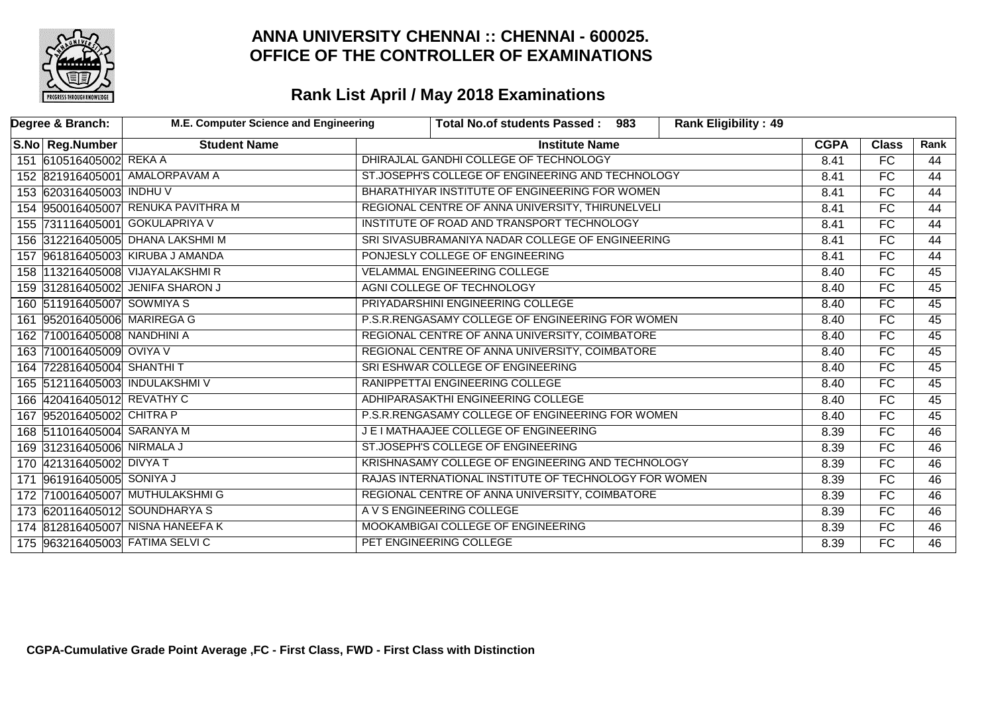

| Degree & Branch:            | M.E. Computer Science and Engineering | <b>Rank Eligibility: 49</b><br>Total No.of students Passed: 983 |             |                          |                 |
|-----------------------------|---------------------------------------|-----------------------------------------------------------------|-------------|--------------------------|-----------------|
| S.No Reg.Number             | <b>Student Name</b>                   | <b>Institute Name</b>                                           | <b>CGPA</b> | <b>Class</b>             | Rank            |
| 151 610516405002 REKA A     |                                       | DHIRAJLAL GANDHI COLLEGE OF TECHNOLOGY                          | 8.41        | $\overline{FC}$          | 44              |
|                             | 152 821916405001 AMALORPAVAM A        | ST.JOSEPH'S COLLEGE OF ENGINEERING AND TECHNOLOGY               | 8.41        | FC                       | 44              |
| 153 620316405003 INDHU V    |                                       | BHARATHIYAR INSTITUTE OF ENGINEERING FOR WOMEN                  | 8.41        | $\overline{\mathsf{FC}}$ | $\overline{44}$ |
|                             | 154 950016405007 RENUKA PAVITHRA M    | REGIONAL CENTRE OF ANNA UNIVERSITY, THIRUNELVELI                | 8.41        | $\overline{FC}$          | 44              |
|                             | 155 731116405001 GOKULAPRIYA V        | INSTITUTE OF ROAD AND TRANSPORT TECHNOLOGY                      | 8.41        | FC.                      | 44              |
|                             | 156 312216405005 DHANA LAKSHMI M      | SRI SIVASUBRAMANIYA NADAR COLLEGE OF ENGINEERING                | 8.41        | $\overline{\mathsf{FC}}$ | 44              |
|                             | 157 961816405003 KIRUBA J AMANDA      | PONJESLY COLLEGE OF ENGINEERING                                 | 8.41        | $\overline{FC}$          | 44              |
|                             | 158 113216405008 VIJAYALAKSHMIR       | <b>VELAMMAL ENGINEERING COLLEGE</b>                             | 8.40        | $\overline{FC}$          | 45              |
|                             | 159 312816405002 JENIFA SHARON J      | AGNI COLLEGE OF TECHNOLOGY                                      | 8.40        | $\overline{FC}$          | 45              |
| 160 511916405007 SOWMIYA S  |                                       | PRIYADARSHINI ENGINEERING COLLEGE                               | 8.40        | $\overline{\mathsf{FC}}$ | $\overline{45}$ |
| 161 952016405006 MARIREGA G |                                       | P.S.R.RENGASAMY COLLEGE OF ENGINEERING FOR WOMEN                | 8.40        | FC                       | 45              |
| 162 710016405008 NANDHINI A |                                       | REGIONAL CENTRE OF ANNA UNIVERSITY, COIMBATORE                  | 8.40        | $\overline{FC}$          | 45              |
| 163 710016405009 OVIYA V    |                                       | REGIONAL CENTRE OF ANNA UNIVERSITY, COIMBATORE                  | 8.40        | $\overline{FC}$          | 45              |
| 164 722816405004 SHANTHIT   |                                       | SRI ESHWAR COLLEGE OF ENGINEERING                               | 8.40        | FC                       | 45              |
|                             | 165 512116405003 INDULAKSHMI V        | RANIPPETTAI ENGINEERING COLLEGE                                 | 8.40        | FC                       | 45              |
| 166 420416405012 REVATHY C  |                                       | ADHIPARASAKTHI ENGINEERING COLLEGE                              | 8.40        | FC                       | 45              |
| 167 952016405002 CHITRA P   |                                       | P.S.R.RENGASAMY COLLEGE OF ENGINEERING FOR WOMEN                | 8.40        | $\overline{\mathsf{FC}}$ | 45              |
| 168 511016405004 SARANYA M  |                                       | J E I MATHAAJEE COLLEGE OF ENGINEERING                          | 8.39        | $\overline{FC}$          | 46              |
| 169 312316405006 NIRMALA J  |                                       | ST.JOSEPH'S COLLEGE OF ENGINEERING                              | 8.39        | $\overline{FC}$          | $\overline{46}$ |
| 170 421316405002 DIVYA T    |                                       | KRISHNASAMY COLLEGE OF ENGINEERING AND TECHNOLOGY               | 8.39        | FC                       | 46              |
| 171 961916405005 SONIYA J   |                                       | RAJAS INTERNATIONAL INSTITUTE OF TECHNOLOGY FOR WOMEN           | 8.39        | $\overline{\mathsf{FC}}$ | $\overline{46}$ |
|                             | 172 710016405007 MUTHULAKSHMIG        | REGIONAL CENTRE OF ANNA UNIVERSITY, COIMBATORE                  | 8.39        | FC                       | $\overline{46}$ |
|                             | 173 620116405012 SOUNDHARYA S         | A V S ENGINEERING COLLEGE                                       | 8.39        | $\overline{FC}$          | 46              |
|                             | 174 812816405007 NISNA HANEEFA K      | MOOKAMBIGAI COLLEGE OF ENGINEERING                              | 8.39        | FC                       | 46              |
|                             | 175 963216405003 FATIMA SELVIC        | PET ENGINEERING COLLEGE                                         | 8.39        | $\overline{FC}$          | 46              |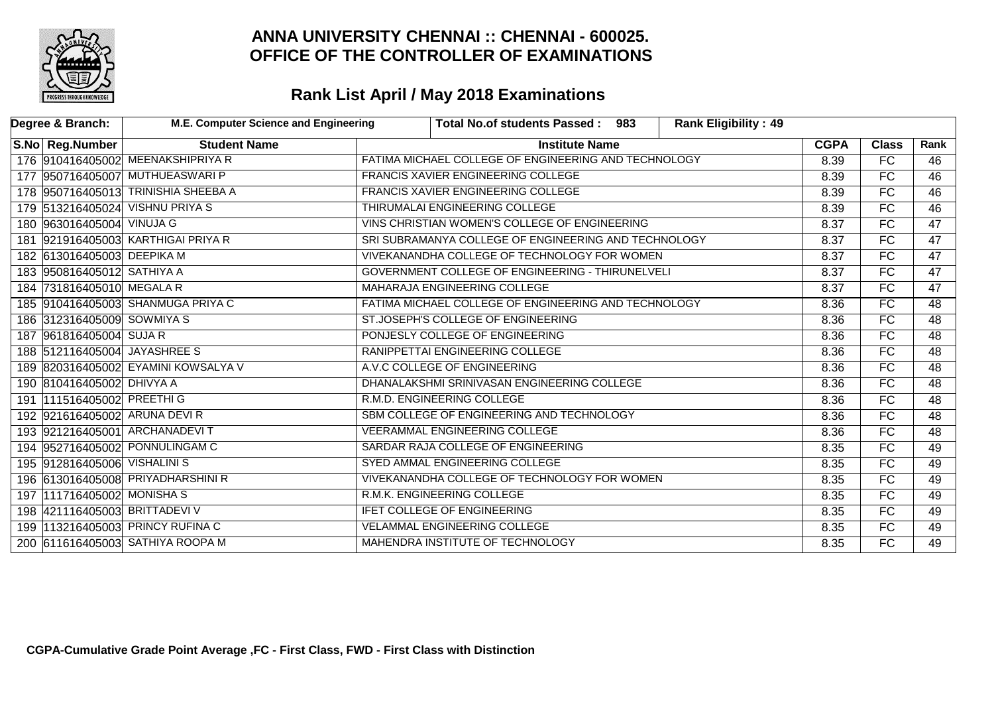

| Degree & Branch:              | M.E. Computer Science and Engineering |                                              | Total No.of students Passed: 983                     |      | <b>Rank Eligibility: 49</b> |             |                 |                 |
|-------------------------------|---------------------------------------|----------------------------------------------|------------------------------------------------------|------|-----------------------------|-------------|-----------------|-----------------|
| S.No   Reg.Number             | <b>Student Name</b>                   |                                              | <b>Institute Name</b>                                |      |                             | <b>CGPA</b> | <b>Class</b>    | Rank            |
|                               | 176 910416405002 MEENAKSHIPRIYA R     |                                              | FATIMA MICHAEL COLLEGE OF ENGINEERING AND TECHNOLOGY |      |                             | 8.39        | FC              | 46              |
|                               | 177 950716405007 MUTHUEASWARI P       |                                              | FRANCIS XAVIER ENGINEERING COLLEGE                   |      |                             | 8.39        | FC              | $\overline{46}$ |
|                               | 178 950716405013 TRINISHIA SHEEBA A   |                                              | <b>FRANCIS XAVIER ENGINEERING COLLEGE</b>            |      |                             | 8.39        | FC              | $\overline{46}$ |
|                               | 179 513216405024 VISHNU PRIYA S       |                                              | THIRUMALAI ENGINEERING COLLEGE                       |      |                             | 8.39        | $\overline{FC}$ | 46              |
| 180 963016405004 VINUJA G     |                                       |                                              | VINS CHRISTIAN WOMEN'S COLLEGE OF ENGINEERING        |      |                             | 8.37        | FC              | $\overline{47}$ |
|                               | 181 921916405003 KARTHIGAI PRIYA R    |                                              | SRI SUBRAMANYA COLLEGE OF ENGINEERING AND TECHNOLOGY |      |                             | 8.37        | $\overline{FC}$ | 47              |
| 182 613016405003 DEEPIKA M    |                                       |                                              | VIVEKANANDHA COLLEGE OF TECHNOLOGY FOR WOMEN         |      |                             | 8.37        | FC              | $\overline{47}$ |
| 183 950816405012 SATHIYA A    |                                       |                                              | GOVERNMENT COLLEGE OF ENGINEERING - THIRUNELVELI     |      |                             | 8.37        | FC              | $\overline{47}$ |
| 184 731816405010 MEGALA R     |                                       |                                              | MAHARAJA ENGINEERING COLLEGE                         |      |                             | 8.37        | FC              | 47              |
|                               | 185 910416405003 SHANMUGA PRIYA C     |                                              | FATIMA MICHAEL COLLEGE OF ENGINEERING AND TECHNOLOGY |      |                             | 8.36        | $\overline{FC}$ | $\overline{48}$ |
| 186 312316405009 SOWMIYA S    |                                       |                                              | ST.JOSEPH'S COLLEGE OF ENGINEERING                   |      |                             | 8.36        | FC              | $\overline{48}$ |
| 187 961816405004 SUJA R       |                                       |                                              | PONJESLY COLLEGE OF ENGINEERING                      |      |                             | 8.36        | FC              | $\overline{48}$ |
| 188 512116405004 JAYASHREE S  |                                       |                                              | RANIPPETTAI ENGINEERING COLLEGE                      |      |                             | 8.36        | FC              | 48              |
|                               | 189 820316405002 EYAMINI KOWSALYA V   |                                              | A.V.C COLLEGE OF ENGINEERING                         |      |                             | 8.36        | FC              | $\overline{48}$ |
| 190 810416405002 DHIVYA A     |                                       |                                              | DHANALAKSHMI SRINIVASAN ENGINEERING COLLEGE          |      |                             | 8.36        | FC              | 48              |
| 191 111516405002 PREETHIG     |                                       |                                              | R.M.D. ENGINEERING COLLEGE                           |      |                             | 8.36        | FC              | 48              |
| 192 921616405002 ARUNA DEVI R |                                       |                                              | SBM COLLEGE OF ENGINEERING AND TECHNOLOGY            |      |                             | 8.36        | FC              | $\overline{48}$ |
|                               | 193 921216405001 ARCHANADEVIT         |                                              | <b>VEERAMMAL ENGINEERING COLLEGE</b>                 |      |                             | 8.36        | FC              | 48              |
|                               | 194 952716405002 PONNULINGAM C        |                                              | SARDAR RAJA COLLEGE OF ENGINEERING                   |      |                             | 8.35        | $\overline{FC}$ | 49              |
| 195 912816405006 VISHALINIS   |                                       |                                              | SYED AMMAL ENGINEERING COLLEGE                       |      |                             | 8.35        | FC              | 49              |
|                               | 196 613016405008 PRIYADHARSHINI R     | VIVEKANANDHA COLLEGE OF TECHNOLOGY FOR WOMEN |                                                      | 8.35 | $\overline{FC}$             | 49          |                 |                 |
| 197 111716405002 MONISHAS     |                                       | R.M.K. ENGINEERING COLLEGE                   |                                                      | 8.35 | FC                          | 49          |                 |                 |
| 198 421116405003 BRITTADEVI V |                                       | <b>IFET COLLEGE OF ENGINEERING</b>           |                                                      | 8.35 | FC                          | 49          |                 |                 |
|                               | 199 13216405003 PRINCY RUFINA C       | <b>VELAMMAL ENGINEERING COLLEGE</b>          |                                                      |      | 8.35                        | FC          | 49              |                 |
|                               | 200 611616405003 SATHIYA ROOPA M      |                                              | MAHENDRA INSTITUTE OF TECHNOLOGY                     |      |                             | 8.35        | $\overline{FC}$ | 49              |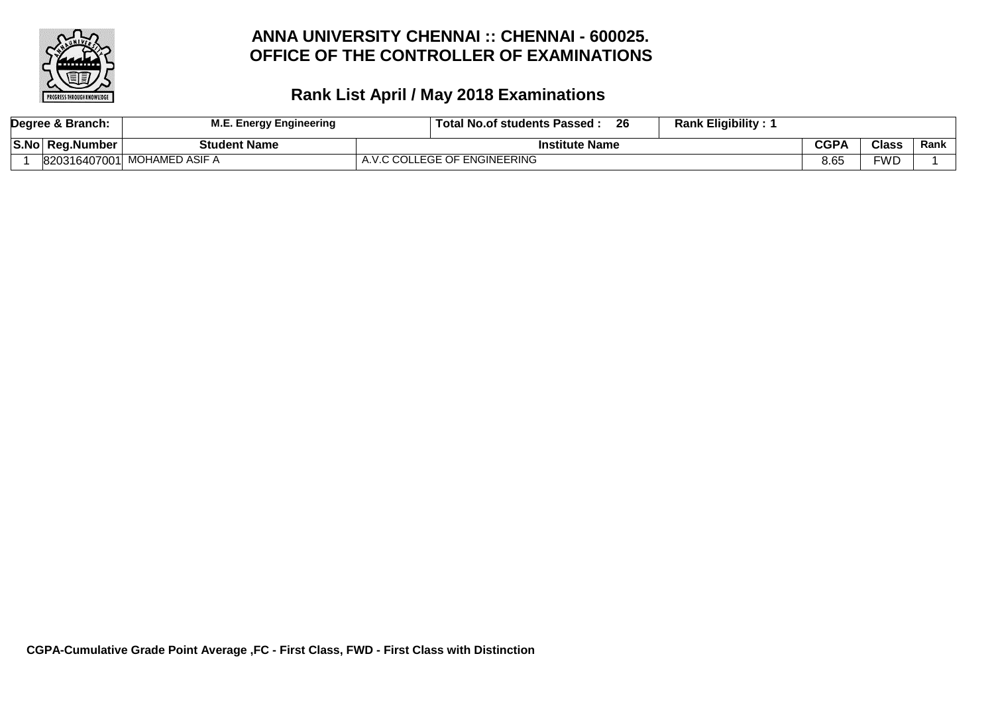

| Degree & Branch: | <b>M.E. Energy Engineering</b> |                     | <b>Total No.of students Passed</b> | 26 | <b>Rank Eligibility:</b> |             |              |      |
|------------------|--------------------------------|---------------------|------------------------------------|----|--------------------------|-------------|--------------|------|
| S.No Reg.Number  | Student Name                   |                     | <b>Institute Name</b>              |    |                          | <b>CGPA</b> | <b>Class</b> | Rank |
|                  | 820316407001 MOHAMED ASIF A    | $\Lambda$ $\Lambda$ | <b>COLLEGE OF ENGINEERING</b>      |    |                          | 8.65        | =WD          |      |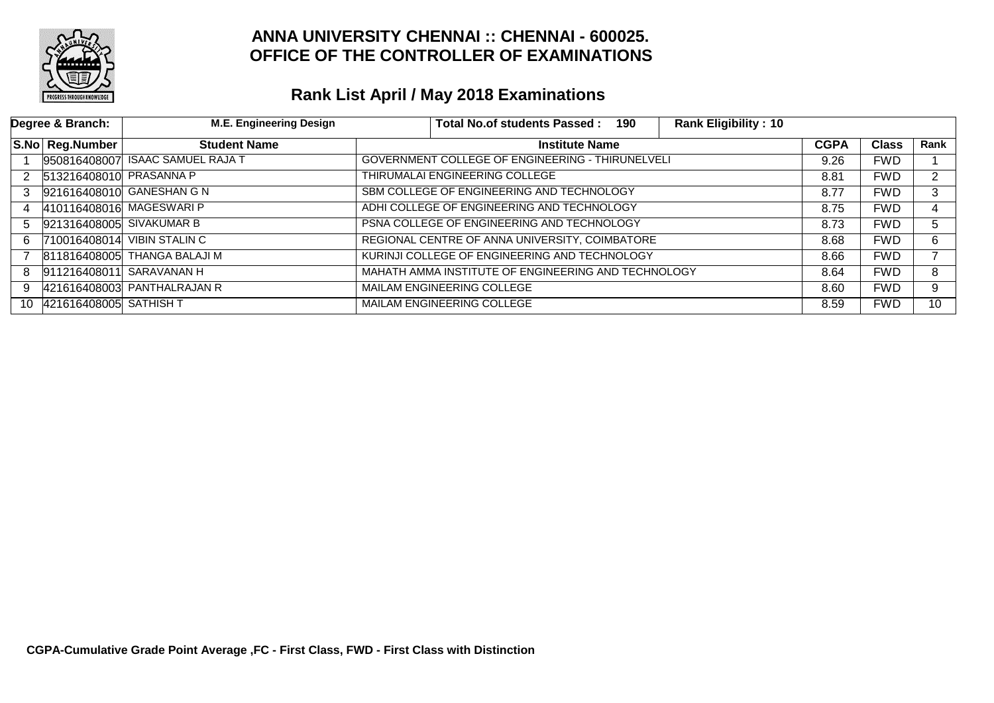

|    | Degree & Branch:          | <b>M.E. Engineering Design</b>   | <b>Total No.of students Passed:</b><br><b>Rank Eligibility: 10</b><br>190 |             |              |                 |
|----|---------------------------|----------------------------------|---------------------------------------------------------------------------|-------------|--------------|-----------------|
|    | S.No Reg.Number           | <b>Student Name</b>              | <b>Institute Name</b>                                                     | <b>CGPA</b> | <b>Class</b> | Rank            |
|    |                           | 950816408007 ISAAC SAMUEL RAJA T | GOVERNMENT COLLEGE OF ENGINEERING - THIRUNELVELI                          | 9.26        | <b>FWD</b>   |                 |
| 2  | 513216408010 PRASANNA P   |                                  | THIRUMALAI ENGINEERING COLLEGE                                            | 8.81        | <b>FWD</b>   | $\overline{2}$  |
| 3  |                           | 921616408010 GANESHAN G N        | SBM COLLEGE OF ENGINEERING AND TECHNOLOGY                                 | 8.77        | <b>FWD</b>   | 3               |
| 4  |                           | 410116408016 MAGESWARI P         | ADHI COLLEGE OF ENGINEERING AND TECHNOLOGY                                | 8.75        | <b>FWD</b>   | 4               |
| 5  | 921316408005 SIVAKUMAR B  |                                  | PSNA COLLEGE OF ENGINEERING AND TECHNOLOGY                                | 8.73        | <b>FWD</b>   | 5               |
| 6. |                           | 710016408014 VIBIN STALIN C      | REGIONAL CENTRE OF ANNA UNIVERSITY, COIMBATORE                            | 8.68        | <b>FWD</b>   | 6               |
|    |                           | 811816408005 THANGA BALAJI M     | KURINJI COLLEGE OF ENGINEERING AND TECHNOLOGY                             | 8.66        | <b>FWD</b>   |                 |
| 8  |                           | $911216408011$ SARAVANAN H       | MAHATH AMMA INSTITUTE OF ENGINEERING AND TECHNOLOGY                       | 8.64        | <b>FWD</b>   | 8               |
| 9  |                           | 421616408003 PANTHALRAJAN R      | MAILAM ENGINEERING COLLEGE                                                | 8.60        | <b>FWD</b>   | 9               |
|    | 10 421616408005 SATHISH T |                                  | MAILAM ENGINEERING COLLEGE                                                | 8.59        | <b>FWD</b>   | 10 <sup>°</sup> |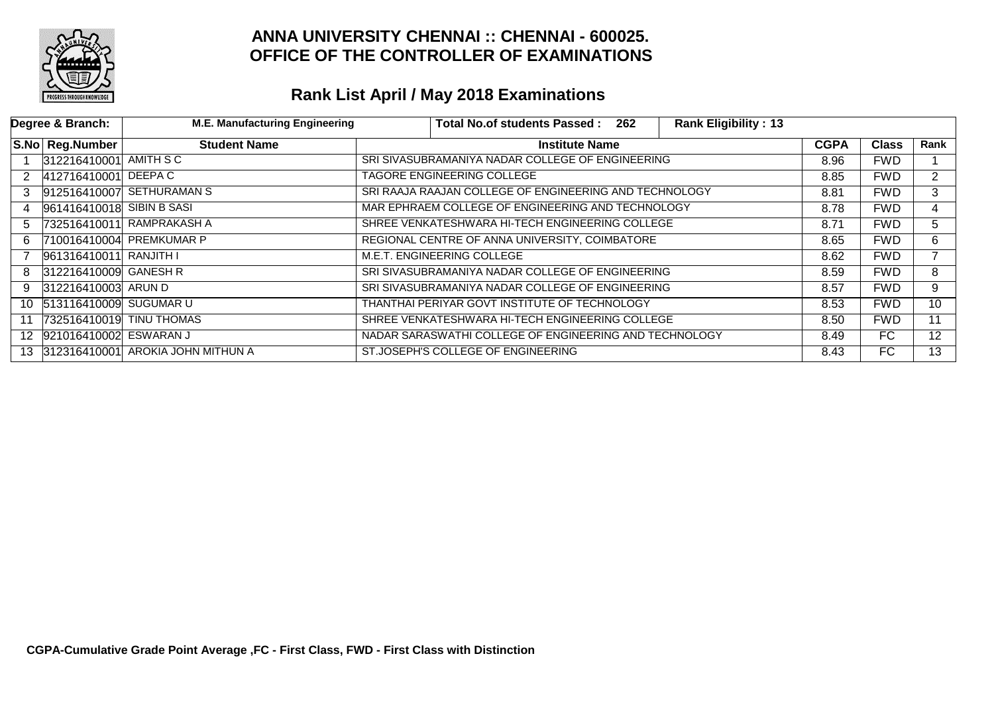

|    | Degree & Branch:          | <b>M.E. Manufacturing Engineering</b> |                                                        | <b>Total No.of students Passed:</b><br>- 262           | <b>Rank Eligibility: 13</b> |             |              |                 |
|----|---------------------------|---------------------------------------|--------------------------------------------------------|--------------------------------------------------------|-----------------------------|-------------|--------------|-----------------|
|    | S.No Reg.Number           | <b>Student Name</b>                   |                                                        | <b>Institute Name</b>                                  |                             | <b>CGPA</b> | <b>Class</b> | Rank            |
|    | 312216410001 AMITH SC     |                                       |                                                        | SRI SIVASUBRAMANIYA NADAR COLLEGE OF ENGINEERING       |                             |             | <b>FWD</b>   |                 |
| 2  | 412716410001 DEEPA C      |                                       | <b>TAGORE ENGINEERING COLLEGE</b>                      |                                                        |                             | 8.85        | <b>FWD</b>   | $\overline{2}$  |
| 3  |                           | 912516410007 SETHURAMAN S             |                                                        | SRI RAAJA RAAJAN COLLEGE OF ENGINEERING AND TECHNOLOGY |                             |             |              | 3               |
| 4  | 961416410018 SIBIN B SASI |                                       | MAR EPHRAEM COLLEGE OF ENGINEERING AND TECHNOLOGY      |                                                        |                             | 8.78        | <b>FWD</b>   | 4               |
| 5  |                           | 732516410011 RAMPRAKASH A             | SHREE VENKATESHWARA HI-TECH ENGINEERING COLLEGE        |                                                        |                             | 8.71        | <b>FWD</b>   | 5.              |
| 6  |                           | [710016410004] PREMKUMAR P            | REGIONAL CENTRE OF ANNA UNIVERSITY, COIMBATORE         |                                                        |                             | 8.65        | <b>FWD</b>   | 6.              |
|    | 961316410011 RANJITH I    |                                       | M.E.T. ENGINEERING COLLEGE                             |                                                        |                             | 8.62        | <b>FWD</b>   |                 |
| 8  | 312216410009 GANESH R     |                                       | SRI SIVASUBRAMANIYA NADAR COLLEGE OF ENGINEERING       |                                                        |                             | 8.59        | <b>FWD</b>   | 8               |
| 9  | 312216410003 ARUN D       |                                       | SRI SIVASUBRAMANIYA NADAR COLLEGE OF ENGINEERING       |                                                        |                             | 8.57        | <b>FWD</b>   | 9               |
|    | 10 513116410009 SUGUMAR U |                                       | THANTHAI PERIYAR GOVT INSTITUTE OF TECHNOLOGY          |                                                        |                             | 8.53        | <b>FWD</b>   | 10 <sup>1</sup> |
| 11 | 732516410019 TINU THOMAS  |                                       | SHREE VENKATESHWARA HI-TECH ENGINEERING COLLEGE        |                                                        |                             | 8.50        | <b>FWD</b>   | 11              |
|    | 12 921016410002 ESWARAN J |                                       | NADAR SARASWATHI COLLEGE OF ENGINEERING AND TECHNOLOGY |                                                        |                             | 8.49        | FC           | 12 <sup>°</sup> |
|    |                           | 13 312316410001 AROKIA JOHN MITHUN A  | ST.JOSEPH'S COLLEGE OF ENGINEERING                     |                                                        |                             | 8.43        | FC           | 13              |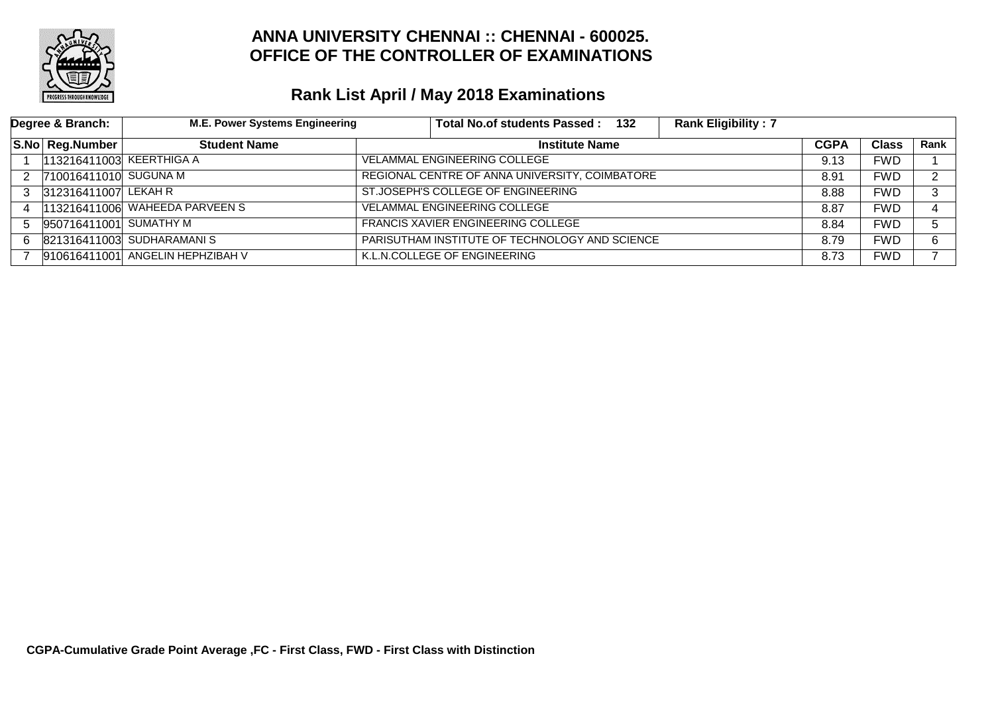

|    | Degree & Branch:         | <b>M.E. Power Systems Engineering</b>          | Total No.of students Passed: 132               | <b>Rank Eligibility: 7</b> |              |      |
|----|--------------------------|------------------------------------------------|------------------------------------------------|----------------------------|--------------|------|
|    | S.No Reg.Number          | <b>Student Name</b>                            | <b>Institute Name</b>                          | <b>CGPA</b>                | <b>Class</b> | Rank |
|    | 113216411003 KEERTHIGA A |                                                | <b>VELAMMAL ENGINEERING COLLEGE</b>            | 9.13                       | <b>FWD</b>   |      |
|    | 2 710016411010 SUGUNA M  |                                                | REGIONAL CENTRE OF ANNA UNIVERSITY, COIMBATORE | 8.91                       | <b>FWD</b>   | ົ    |
| 3  | $312316411007$ LEKAH R   |                                                | ST.JOSEPH'S COLLEGE OF ENGINEERING             | 8.88                       | <b>FWD</b>   | ີ    |
| 4  |                          | 113216411006 WAHEEDA PARVEEN S                 | <b>VELAMMAL ENGINEERING COLLEGE</b>            | 8.87                       | <b>FWD</b>   |      |
|    | 950716411001 SUMATHY M   |                                                | <b>FRANCIS XAVIER ENGINEERING COLLEGE</b>      | 8.84                       | <b>FWD</b>   | 5.   |
| 6. |                          | 821316411003 SUDHARAMANIS                      | PARISUTHAM INSTITUTE OF TECHNOLOGY AND SCIENCE | 8.79                       | <b>FWD</b>   | 6    |
|    |                          | $91061641100$ <sup>1</sup> ANGELIN HEPHZIBAH V | K.L.N.COLLEGE OF ENGINEERING                   | 8.73                       | <b>FWD</b>   |      |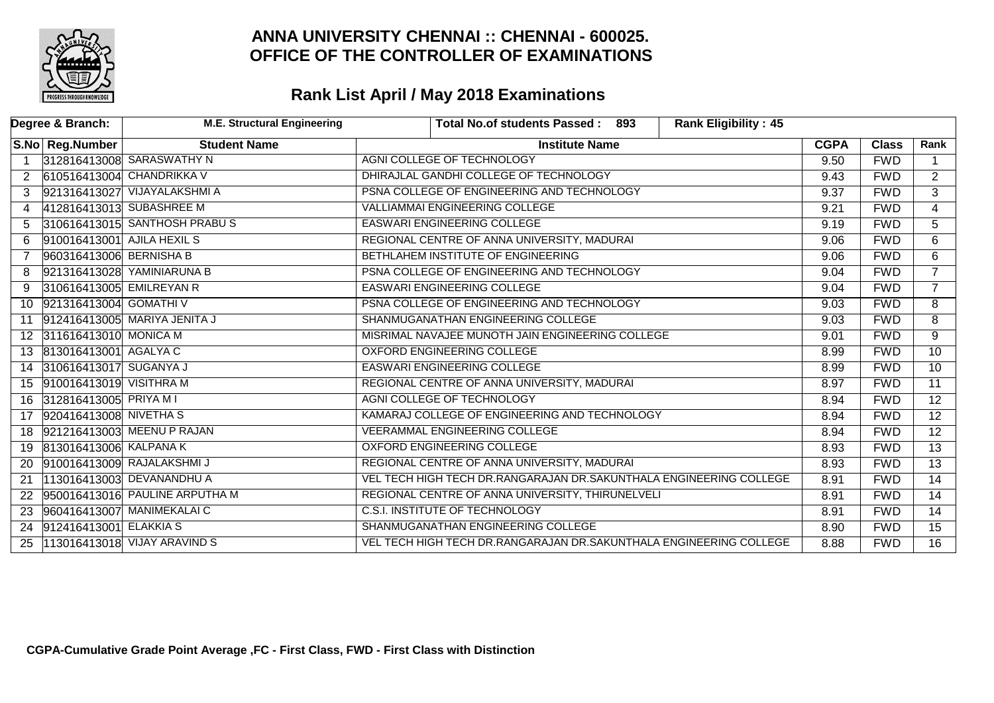

|                | Degree & Branch:           | <b>M.E. Structural Engineering</b> | Total No.of students Passed: 893<br>Rank Eligibility: 45           |             |              |                 |
|----------------|----------------------------|------------------------------------|--------------------------------------------------------------------|-------------|--------------|-----------------|
|                | S.No Reg.Number            | <b>Student Name</b>                | <b>Institute Name</b>                                              | <b>CGPA</b> | <b>Class</b> | Rank            |
| $\overline{1}$ |                            | 312816413008 SARASWATHY N          | AGNI COLLEGE OF TECHNOLOGY                                         | 9.50        | <b>FWD</b>   |                 |
| 2              |                            | 610516413004 CHANDRIKKA V          | DHIRAJLAL GANDHI COLLEGE OF TECHNOLOGY                             | 9.43        | <b>FWD</b>   | $\overline{2}$  |
| 3              |                            | 921316413027 VIJAYALAKSHMI A       | PSNA COLLEGE OF ENGINEERING AND TECHNOLOGY                         | 9.37        | <b>FWD</b>   | $\overline{3}$  |
| 4              |                            | 412816413013 SUBASHREE M           | <b>VALLIAMMAI ENGINEERING COLLEGE</b>                              | 9.21        | <b>FWD</b>   | $\overline{4}$  |
| 5.             |                            | 310616413015 SANTHOSH PRABUS       | <b>EASWARI ENGINEERING COLLEGE</b>                                 | 9.19        | <b>FWD</b>   | 5               |
| 6              | 910016413001 AJILA HEXIL S |                                    | REGIONAL CENTRE OF ANNA UNIVERSITY, MADURAI                        | 9.06        | <b>FWD</b>   | 6               |
|                | 960316413006 BERNISHA B    |                                    | BETHLAHEM INSTITUTE OF ENGINEERING                                 | 9.06        | <b>FWD</b>   | $\overline{6}$  |
| 8              |                            | 921316413028 YAMINIARUNA B         | PSNA COLLEGE OF ENGINEERING AND TECHNOLOGY                         | 9.04        | <b>FWD</b>   | $\overline{7}$  |
| 9              | 310616413005 EMILREYAN R   |                                    | <b>EASWARI ENGINEERING COLLEGE</b>                                 | 9.04        | <b>FWD</b>   | $7^{\circ}$     |
| 10             | 921316413004 GOMATHI V     |                                    | PSNA COLLEGE OF ENGINEERING AND TECHNOLOGY                         | 9.03        | <b>FWD</b>   | 8               |
| 11             |                            | 912416413005 MARIYA JENITA J       | SHANMUGANATHAN ENGINEERING COLLEGE                                 | 9.03        | <b>FWD</b>   | $\overline{8}$  |
|                | 12 311616413010 MONICA M   |                                    | MISRIMAL NAVAJEE MUNOTH JAIN ENGINEERING COLLEGE                   | 9.01        | <b>FWD</b>   | 9               |
| 13             | 813016413001 AGALYA C      |                                    | OXFORD ENGINEERING COLLEGE                                         | 8.99        | <b>FWD</b>   | 10 <sup>°</sup> |
|                | 14 310616413017 SUGANYA J  |                                    | <b>EASWARI ENGINEERING COLLEGE</b>                                 | 8.99        | <b>FWD</b>   | 10              |
|                | 15 910016413019 VISITHRA M |                                    | REGIONAL CENTRE OF ANNA UNIVERSITY, MADURAI                        | 8.97        | <b>FWD</b>   | $\overline{11}$ |
| 16             | 312816413005 PRIYA M I     |                                    | AGNI COLLEGE OF TECHNOLOGY                                         | 8.94        | <b>FWD</b>   | $\overline{12}$ |
|                | 17 920416413008 NIVETHAS   |                                    | KAMARAJ COLLEGE OF ENGINEERING AND TECHNOLOGY                      | 8.94        | <b>FWD</b>   | $\overline{12}$ |
|                |                            | 18 921216413003 MEENU P RAJAN      | <b>VEERAMMAL ENGINEERING COLLEGE</b>                               | 8.94        | <b>FWD</b>   | $\overline{12}$ |
|                | 19 813016413006 KALPANA K  |                                    | OXFORD ENGINEERING COLLEGE                                         | 8.93        | <b>FWD</b>   | $\overline{13}$ |
| <b>20</b>      |                            | 910016413009 RAJALAKSHMI J         | REGIONAL CENTRE OF ANNA UNIVERSITY, MADURAI                        | 8.93        | <b>FWD</b>   | $\overline{13}$ |
| 21             |                            | 113016413003 DEVANANDHU A          | VEL TECH HIGH TECH DR.RANGARAJAN DR.SAKUNTHALA ENGINEERING COLLEGE |             | <b>FWD</b>   | $\overline{14}$ |
| 22             |                            | 950016413016 PAULINE ARPUTHA M     | REGIONAL CENTRE OF ANNA UNIVERSITY, THIRUNELVELI                   |             | <b>FWD</b>   | $\overline{14}$ |
| 23             |                            | 960416413007 MANIMEKALAI C         | <b>C.S.I. INSTITUTE OF TECHNOLOGY</b>                              |             | <b>FWD</b>   | 14              |
| 24             | 912416413001 ELAKKIA S     |                                    | SHANMUGANATHAN ENGINEERING COLLEGE                                 |             | <b>FWD</b>   | 15              |
| 25             |                            | 113016413018 VIJAY ARAVIND S       | VEL TECH HIGH TECH DR.RANGARAJAN DR.SAKUNTHALA ENGINEERING COLLEGE | 8.88        | <b>FWD</b>   | 16              |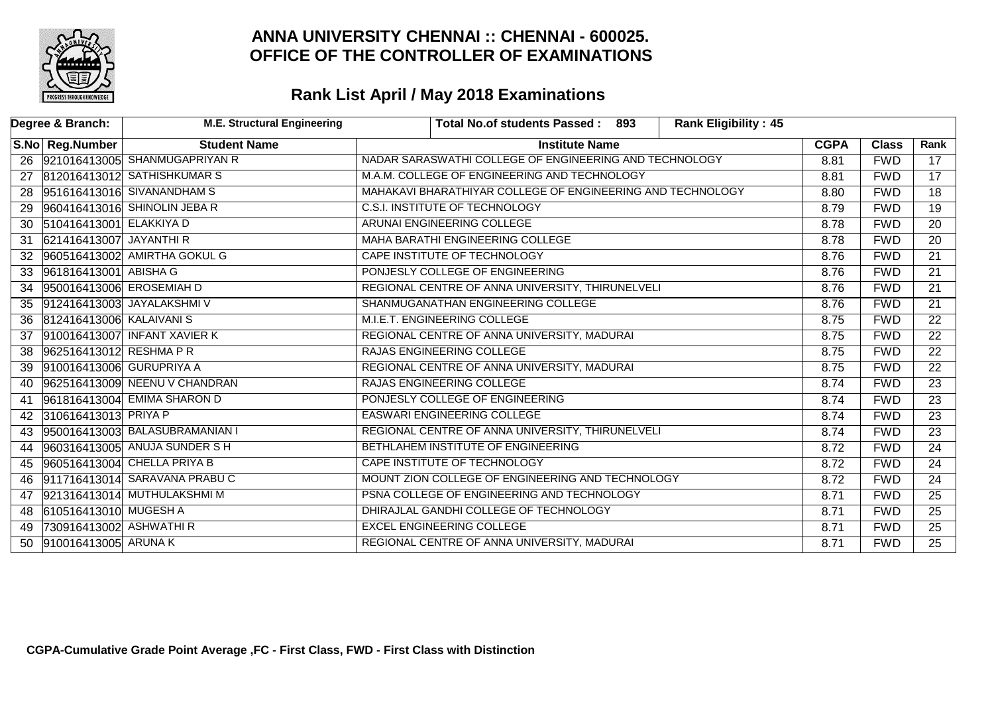

|    | Degree & Branch:         | <b>M.E. Structural Engineering</b> | Total No.of students Passed: 893                           |  | <b>Rank Eligibility: 45</b> |             |                 |                 |
|----|--------------------------|------------------------------------|------------------------------------------------------------|--|-----------------------------|-------------|-----------------|-----------------|
|    | S.No Reg.Number          | <b>Student Name</b>                | <b>Institute Name</b>                                      |  |                             | <b>CGPA</b> | <b>Class</b>    | Rank            |
|    |                          | 26 921016413005 SHANMUGAPRIYAN R   | NADAR SARASWATHI COLLEGE OF ENGINEERING AND TECHNOLOGY     |  |                             | 8.81        | <b>FWD</b>      | 17              |
| 27 |                          | 812016413012 SATHISHKUMAR S        | M.A.M. COLLEGE OF ENGINEERING AND TECHNOLOGY               |  |                             | 8.81        | <b>FWD</b>      | $\overline{17}$ |
| 28 |                          | 951616413016 SIVANANDHAM S         | MAHAKAVI BHARATHIYAR COLLEGE OF ENGINEERING AND TECHNOLOGY |  |                             | 8.80        | <b>FWD</b>      | $\overline{18}$ |
|    |                          | 29 960416413016 SHINOLIN JEBA R    | <b>C.S.I. INSTITUTE OF TECHNOLOGY</b>                      |  |                             | 8.79        | <b>FWD</b>      | $\overline{19}$ |
| 30 | 510416413001 ELAKKIYA D  |                                    | <b>ARUNAI ENGINEERING COLLEGE</b>                          |  |                             | 8.78        | <b>FWD</b>      | 20              |
| 31 | 621416413007 JAYANTHI R  |                                    | MAHA BARATHI ENGINEERING COLLEGE                           |  |                             | 8.78        | <b>FWD</b>      | 20              |
| 32 |                          | 960516413002 AMIRTHA GOKUL G       | CAPE INSTITUTE OF TECHNOLOGY                               |  |                             | 8.76        | <b>FWD</b>      | $\overline{21}$ |
| 33 | 961816413001 ABISHA G    |                                    | PONJESLY COLLEGE OF ENGINEERING                            |  |                             | 8.76        | <b>FWD</b>      | $\overline{21}$ |
| 34 | 950016413006 EROSEMIAH D |                                    | REGIONAL CENTRE OF ANNA UNIVERSITY, THIRUNELVELI           |  |                             | 8.76        | <b>FWD</b>      | 21              |
| 35 |                          | 912416413003 JAYALAKSHMI V         | SHANMUGANATHAN ENGINEERING COLLEGE                         |  |                             | 8.76        | <b>FWD</b>      | $\overline{21}$ |
| 36 | 812416413006 KALAIVANI S |                                    | M.I.E.T. ENGINEERING COLLEGE                               |  |                             | 8.75        | <b>FWD</b>      | $\overline{22}$ |
| 37 |                          | 910016413007 INFANT XAVIER K       | REGIONAL CENTRE OF ANNA UNIVERSITY, MADURAI                |  |                             | 8.75        | <b>FWD</b>      | 22              |
| 38 | 962516413012 RESHMA P R  |                                    | RAJAS ENGINEERING COLLEGE                                  |  |                             | 8.75        | <b>FWD</b>      | $\overline{22}$ |
| 39 | 910016413006 GURUPRIYA A |                                    | REGIONAL CENTRE OF ANNA UNIVERSITY, MADURAI                |  |                             | 8.75        | <b>FWD</b>      | $\overline{22}$ |
| 40 |                          | 962516413009 NEENU V CHANDRAN      | RAJAS ENGINEERING COLLEGE                                  |  |                             | 8.74        | <b>FWD</b>      | $\overline{23}$ |
| 41 |                          | 961816413004 EMIMA SHARON D        | PONJESLY COLLEGE OF ENGINEERING                            |  |                             | 8.74        | <b>FWD</b>      | $\overline{23}$ |
| 42 | 310616413013 PRIYA P     |                                    | <b>EASWARI ENGINEERING COLLEGE</b>                         |  |                             | 8.74        | <b>FWD</b>      | $\overline{23}$ |
| 43 |                          | 950016413003 BALASUBRAMANIAN I     | REGIONAL CENTRE OF ANNA UNIVERSITY, THIRUNELVELI           |  |                             | 8.74        | <b>FWD</b>      | $\overline{23}$ |
| 44 |                          | 960316413005 ANUJA SUNDER S H      | BETHLAHEM INSTITUTE OF ENGINEERING                         |  |                             | 8.72        | <b>FWD</b>      | $\overline{24}$ |
| 45 |                          | 960516413004 CHELLA PRIYA B        | CAPE INSTITUTE OF TECHNOLOGY                               |  | 8.72                        | <b>FWD</b>  | 24              |                 |
| 46 |                          | 911716413014 SARAVANA PRABU C      | MOUNT ZION COLLEGE OF ENGINEERING AND TECHNOLOGY           |  | 8.72                        | <b>FWD</b>  | $\overline{24}$ |                 |
| 47 |                          | 921316413014 MUTHULAKSHMI M        | PSNA COLLEGE OF ENGINEERING AND TECHNOLOGY                 |  | 8.71                        | <b>FWD</b>  | $\overline{25}$ |                 |
| 48 | 610516413010 MUGESH A    |                                    | DHIRAJLAL GANDHI COLLEGE OF TECHNOLOGY                     |  | 8.71                        | <b>FWD</b>  | $\overline{25}$ |                 |
| 49 | 730916413002 ASHWATHIR   |                                    | <b>EXCEL ENGINEERING COLLEGE</b>                           |  |                             | 8.71        | <b>FWD</b>      | $\overline{25}$ |
| 50 | 910016413005 ARUNA K     |                                    | REGIONAL CENTRE OF ANNA UNIVERSITY, MADURAI                |  |                             | 8.71        | <b>FWD</b>      | $\overline{25}$ |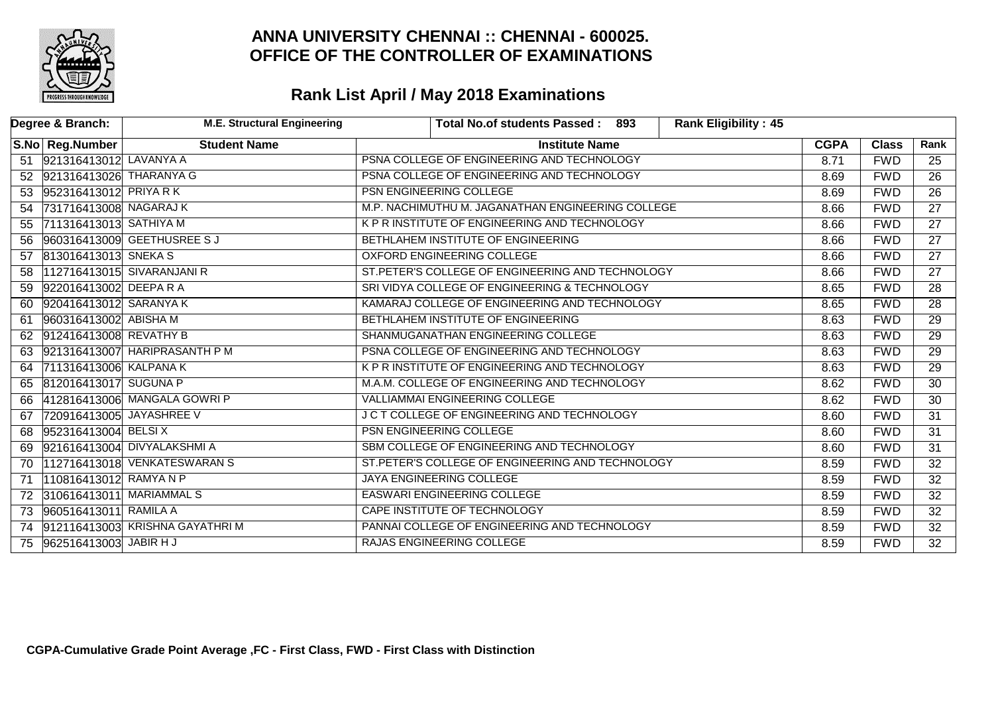

|                 | Degree & Branch:          | <b>M.E. Structural Engineering</b> |                                              | Total No.of students Passed: 893                  | Rank Eligibility: 45 |             |              |                 |
|-----------------|---------------------------|------------------------------------|----------------------------------------------|---------------------------------------------------|----------------------|-------------|--------------|-----------------|
|                 | S.No Reg.Number           | <b>Student Name</b>                |                                              | <b>Institute Name</b>                             |                      | <b>CGPA</b> | <b>Class</b> | Rank            |
|                 | 51 921316413012 LAVANYA A |                                    |                                              | PSNA COLLEGE OF ENGINEERING AND TECHNOLOGY        |                      |             | <b>FWD</b>   | 25              |
| 52 <sub>2</sub> | 921316413026 THARANYA G   |                                    |                                              | PSNA COLLEGE OF ENGINEERING AND TECHNOLOGY        |                      |             | <b>FWD</b>   | $\overline{26}$ |
| 53              | 952316413012 PRIYA R K    |                                    |                                              | PSN ENGINEERING COLLEGE                           |                      | 8.69        | <b>FWD</b>   | $\overline{26}$ |
|                 | 54 731716413008 NAGARAJK  |                                    |                                              | M.P. NACHIMUTHU M. JAGANATHAN ENGINEERING COLLEGE |                      | 8.66        | <b>FWD</b>   | $\overline{27}$ |
| 55              | 711316413013 SATHIYA M    |                                    |                                              | K P R INSTITUTE OF ENGINEERING AND TECHNOLOGY     |                      | 8.66        | <b>FWD</b>   | $\overline{27}$ |
| 56              |                           | 960316413009 GEETHUSREE S J        |                                              | BETHLAHEM INSTITUTE OF ENGINEERING                |                      | 8.66        | <b>FWD</b>   | $\overline{27}$ |
| 57              | 813016413013 SNEKA S      |                                    |                                              | <b>OXFORD ENGINEERING COLLEGE</b>                 |                      | 8.66        | <b>FWD</b>   | $\overline{27}$ |
| 58              |                           | 112716413015 SIVARANJANI R         |                                              | ST.PETER'S COLLEGE OF ENGINEERING AND TECHNOLOGY  |                      | 8.66        | <b>FWD</b>   | $\overline{27}$ |
| 59              | 922016413002 DEEPARA      |                                    |                                              | SRI VIDYA COLLEGE OF ENGINEERING & TECHNOLOGY     |                      | 8.65        | <b>FWD</b>   | $\overline{28}$ |
| 60              | 920416413012 SARANYA K    |                                    |                                              | KAMARAJ COLLEGE OF ENGINEERING AND TECHNOLOGY     |                      | 8.65        | <b>FWD</b>   | $\overline{28}$ |
| 61              | 960316413002 ABISHA M     |                                    |                                              | BETHLAHEM INSTITUTE OF ENGINEERING                |                      | 8.63        | <b>FWD</b>   | $\overline{29}$ |
|                 | 62 912416413008 REVATHY B |                                    |                                              | SHANMUGANATHAN ENGINEERING COLLEGE                |                      | 8.63        | <b>FWD</b>   | $\overline{29}$ |
| 63              |                           | 921316413007 HARIPRASANTH P M      |                                              | PSNA COLLEGE OF ENGINEERING AND TECHNOLOGY        |                      | 8.63        | <b>FWD</b>   | $\overline{29}$ |
|                 | 64 711316413006 KALPANA K |                                    |                                              | K P R INSTITUTE OF ENGINEERING AND TECHNOLOGY     |                      | 8.63        | <b>FWD</b>   | $\overline{29}$ |
| 65              | 812016413017 SUGUNA P     |                                    |                                              | M.A.M. COLLEGE OF ENGINEERING AND TECHNOLOGY      |                      | 8.62        | <b>FWD</b>   | $\overline{30}$ |
| 66              |                           | 412816413006 MANGALA GOWRI P       |                                              | <b>VALLIAMMAI ENGINEERING COLLEGE</b>             |                      | 8.62        | <b>FWD</b>   | $\overline{30}$ |
| 67              | 720916413005 JAYASHREE V  |                                    |                                              | J C T COLLEGE OF ENGINEERING AND TECHNOLOGY       |                      | 8.60        | <b>FWD</b>   | $\overline{31}$ |
| 68              | 952316413004 BELSIX       |                                    |                                              | PSN ENGINEERING COLLEGE                           |                      | 8.60        | <b>FWD</b>   | $\overline{31}$ |
| 69              |                           | 921616413004 DIVYALAKSHMI A        |                                              | SBM COLLEGE OF ENGINEERING AND TECHNOLOGY         |                      | 8.60        | <b>FWD</b>   | $\overline{31}$ |
| 70              |                           | 112716413018 VENKATESWARAN S       |                                              | ST.PETER'S COLLEGE OF ENGINEERING AND TECHNOLOGY  |                      | 8.59        | <b>FWD</b>   | $\overline{32}$ |
| 71              | 110816413012 RAMYA N P    |                                    | JAYA ENGINEERING COLLEGE                     |                                                   |                      | 8.59        | <b>FWD</b>   | $\overline{32}$ |
| 72              | 310616413011 MARIAMMAL S  |                                    | <b>EASWARI ENGINEERING COLLEGE</b>           |                                                   |                      | 8.59        | <b>FWD</b>   | $\overline{32}$ |
|                 | 73 960516413011 RAMILA A  |                                    | CAPE INSTITUTE OF TECHNOLOGY                 |                                                   |                      | 8.59        | <b>FWD</b>   | $\overline{32}$ |
| 74              |                           | 912116413003 KRISHNA GAYATHRI M    | PANNAI COLLEGE OF ENGINEERING AND TECHNOLOGY |                                                   |                      | 8.59        | <b>FWD</b>   | $\overline{32}$ |
| 75              | 962516413003 JABIR HJ     |                                    |                                              | RAJAS ENGINEERING COLLEGE                         |                      | 8.59        | <b>FWD</b>   | $\overline{32}$ |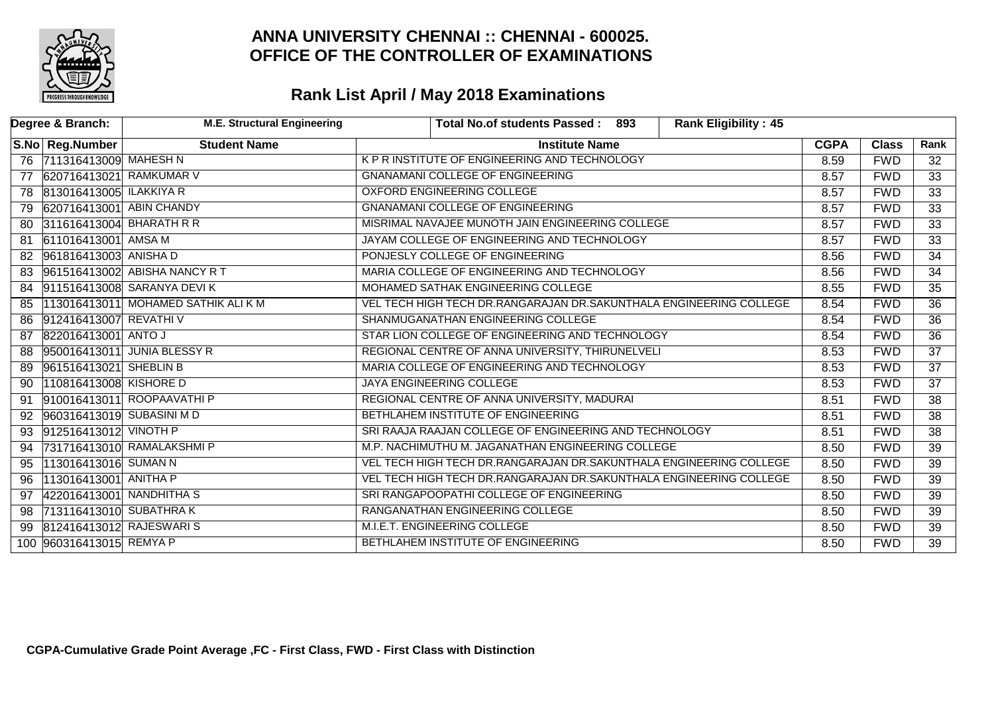

|    | Degree & Branch:            | <b>M.E. Structural Engineering</b>  |                                                                    | Total No.of students Passed: 893                                   | <b>Rank Eligibility: 45</b> |             |              |                 |
|----|-----------------------------|-------------------------------------|--------------------------------------------------------------------|--------------------------------------------------------------------|-----------------------------|-------------|--------------|-----------------|
|    | S.No Reg.Number             | <b>Student Name</b>                 |                                                                    | <b>Institute Name</b>                                              |                             | <b>CGPA</b> | <b>Class</b> | Rank            |
|    | 76 711316413009 MAHESH N    |                                     |                                                                    | K P R INSTITUTE OF ENGINEERING AND TECHNOLOGY                      |                             |             | <b>FWD</b>   | 32              |
| 77 | 620716413021 RAMKUMAR V     |                                     |                                                                    | <b>GNANAMANI COLLEGE OF ENGINEERING</b>                            |                             |             | <b>FWD</b>   | $\overline{33}$ |
| 78 | 813016413005 ILAKKIYA R     |                                     | <b>OXFORD ENGINEERING COLLEGE</b>                                  |                                                                    |                             | 8.57        | <b>FWD</b>   | $\overline{33}$ |
|    | 79 620716413001 ABIN CHANDY |                                     | <b>GNANAMANI COLLEGE OF ENGINEERING</b>                            |                                                                    |                             | 8.57        | <b>FWD</b>   | $\overline{33}$ |
| 80 | 311616413004 BHARATH R R    |                                     |                                                                    | MISRIMAL NAVAJEE MUNOTH JAIN ENGINEERING COLLEGE                   |                             | 8.57        | <b>FWD</b>   | $\overline{33}$ |
| 81 | 611016413001 AMSA M         |                                     |                                                                    | JAYAM COLLEGE OF ENGINEERING AND TECHNOLOGY                        |                             | 8.57        | <b>FWD</b>   | $\overline{33}$ |
|    | 82 961816413003 ANISHA D    |                                     | PONJESLY COLLEGE OF ENGINEERING                                    |                                                                    |                             | 8.56        | <b>FWD</b>   | $\overline{34}$ |
| 83 |                             | 961516413002 ABISHA NANCY RT        |                                                                    | MARIA COLLEGE OF ENGINEERING AND TECHNOLOGY                        |                             | 8.56        | <b>FWD</b>   | $\overline{34}$ |
| 84 |                             | 911516413008 SARANYA DEVIK          | MOHAMED SATHAK ENGINEERING COLLEGE                                 |                                                                    |                             | 8.55        | <b>FWD</b>   | $\overline{35}$ |
| 85 |                             | 113016413011 MOHAMED SATHIK ALI K M |                                                                    | VEL TECH HIGH TECH DR.RANGARAJAN DR.SAKUNTHALA ENGINEERING COLLEGE |                             | 8.54        | <b>FWD</b>   | $\overline{36}$ |
| 86 | 912416413007 REVATHI V      |                                     | SHANMUGANATHAN ENGINEERING COLLEGE                                 |                                                                    |                             | 8.54        | <b>FWD</b>   | $\overline{36}$ |
| 87 | 822016413001 ANTO J         |                                     |                                                                    | STAR LION COLLEGE OF ENGINEERING AND TECHNOLOGY                    |                             | 8.54        | <b>FWD</b>   | $\overline{36}$ |
| 88 |                             | 950016413011 JUNIA BLESSY R         |                                                                    | REGIONAL CENTRE OF ANNA UNIVERSITY, THIRUNELVELI                   |                             | 8.53        | <b>FWD</b>   | $\overline{37}$ |
| 89 | 961516413021 SHEBLIN B      |                                     |                                                                    | MARIA COLLEGE OF ENGINEERING AND TECHNOLOGY                        |                             | 8.53        | <b>FWD</b>   | $\overline{37}$ |
| 90 | 110816413008 KISHORE D      |                                     | JAYA ENGINEERING COLLEGE                                           |                                                                    |                             | 8.53        | <b>FWD</b>   | $\overline{37}$ |
| 91 |                             | 910016413011 ROOPAAVATHI P          |                                                                    | REGIONAL CENTRE OF ANNA UNIVERSITY, MADURAI                        |                             | 8.51        | <b>FWD</b>   | $\overline{38}$ |
| 92 | 960316413019 SUBASINI MD    |                                     | BETHLAHEM INSTITUTE OF ENGINEERING                                 |                                                                    |                             | 8.51        | <b>FWD</b>   | $\overline{38}$ |
| 93 | 912516413012 VINOTH P       |                                     |                                                                    | SRI RAAJA RAAJAN COLLEGE OF ENGINEERING AND TECHNOLOGY             |                             | 8.51        | <b>FWD</b>   | $\overline{38}$ |
| 94 |                             | 731716413010 RAMALAKSHMIP           |                                                                    | M.P. NACHIMUTHU M. JAGANATHAN ENGINEERING COLLEGE                  |                             | 8.50        | <b>FWD</b>   | $\overline{39}$ |
| 95 | 113016413016 SUMAN N        |                                     |                                                                    | VEL TECH HIGH TECH DR.RANGARAJAN DR.SAKUNTHALA ENGINEERING COLLEGE |                             | 8.50        | <b>FWD</b>   | $\overline{39}$ |
| 96 | 113016413001 ANITHA P       |                                     | VEL TECH HIGH TECH DR.RANGARAJAN DR.SAKUNTHALA ENGINEERING COLLEGE |                                                                    |                             | 8.50        | <b>FWD</b>   | $\overline{39}$ |
| 97 | 422016413001 NANDHITHA S    |                                     | SRI RANGAPOOPATHI COLLEGE OF ENGINEERING                           |                                                                    |                             | 8.50        | <b>FWD</b>   | $\overline{39}$ |
| 98 | 713116413010 SUBATHRAK      |                                     | RANGANATHAN ENGINEERING COLLEGE                                    |                                                                    |                             | 8.50        | <b>FWD</b>   | $\overline{39}$ |
| 99 | 812416413012 RAJESWARIS     |                                     | M.I.E.T. ENGINEERING COLLEGE                                       |                                                                    |                             | 8.50        | <b>FWD</b>   | $\overline{39}$ |
|    | 100 960316413015 REMYA P    |                                     | BETHLAHEM INSTITUTE OF ENGINEERING                                 |                                                                    |                             | 8.50        | <b>FWD</b>   | $\overline{39}$ |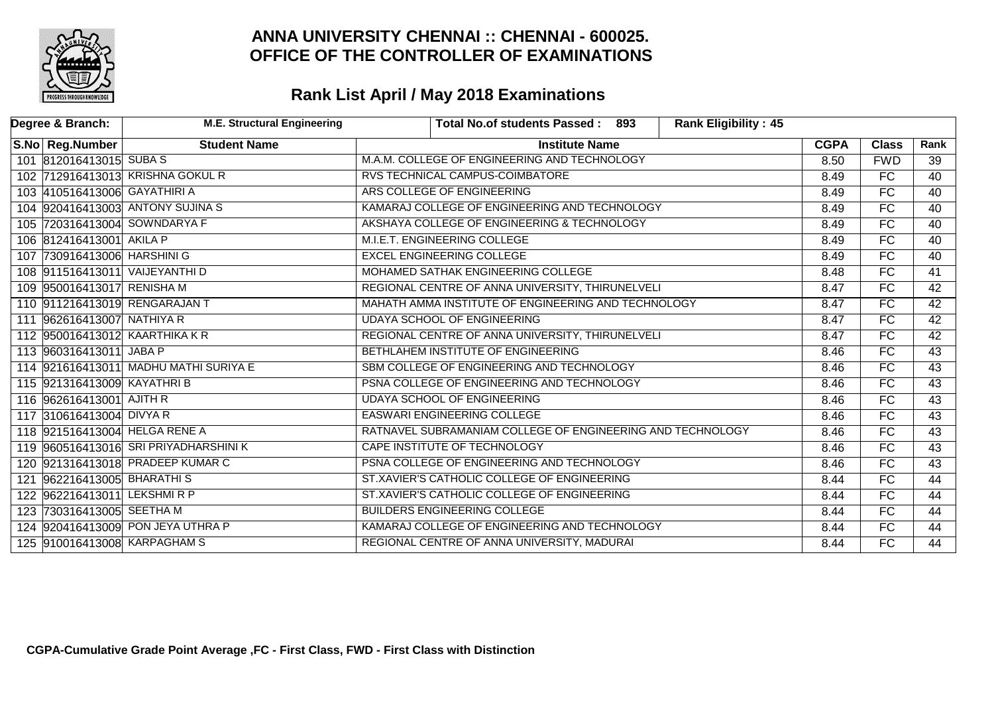

| Degree & Branch:             | <b>M.E. Structural Engineering</b>    | Total No.of students Passed: 893<br><b>Rank Eligibility: 45</b> |             |                 |                 |
|------------------------------|---------------------------------------|-----------------------------------------------------------------|-------------|-----------------|-----------------|
| S.No Reg.Number              | <b>Student Name</b>                   | <b>Institute Name</b>                                           | <b>CGPA</b> | <b>Class</b>    | Rank            |
| 101 812016413015 SUBA S      |                                       | M.A.M. COLLEGE OF ENGINEERING AND TECHNOLOGY                    | 8.50        | <b>FWD</b>      | 39              |
|                              | 102 712916413013 KRISHNA GOKUL R      | RVS TECHNICAL CAMPUS-COIMBATORE                                 | 8.49        | FC              | 40              |
| 103 410516413006 GAYATHIRI A |                                       | ARS COLLEGE OF ENGINEERING                                      | 8.49        | $\overline{FC}$ | 40              |
|                              | 104 920416413003 ANTONY SUJINA S      | KAMARAJ COLLEGE OF ENGINEERING AND TECHNOLOGY                   | 8.49        | FC              | 40              |
|                              | 105 720316413004 SOWNDARYA F          | AKSHAYA COLLEGE OF ENGINEERING & TECHNOLOGY                     | 8.49        | FC              | $\overline{40}$ |
| 106 812416413001 AKILA P     |                                       | M.I.E.T. ENGINEERING COLLEGE                                    | 8.49        | FC              | 40              |
| 107 730916413006 HARSHINI G  |                                       | <b>EXCEL ENGINEERING COLLEGE</b>                                | 8.49        | $\overline{FC}$ | $\overline{40}$ |
|                              | 108 911516413011 VAIJEYANTHI D        | MOHAMED SATHAK ENGINEERING COLLEGE                              | 8.48        | FC              | 41              |
| 109 950016413017 RENISHA M   |                                       | REGIONAL CENTRE OF ANNA UNIVERSITY, THIRUNELVELI                | 8.47        | FC              | $\overline{42}$ |
|                              | 110 911216413019 RENGARAJAN T         | MAHATH AMMA INSTITUTE OF ENGINEERING AND TECHNOLOGY             | 8.47        | FC              | $\overline{42}$ |
| 111 962616413007 NATHIYA R   |                                       | <b>UDAYA SCHOOL OF ENGINEERING</b>                              | 8.47        | FC              | 42              |
|                              | 112 950016413012 KAARTHIKA KR         | REGIONAL CENTRE OF ANNA UNIVERSITY, THIRUNELVELI                | 8.47        | FC              | 42              |
| 113 960316413011 JABA P      |                                       | BETHLAHEM INSTITUTE OF ENGINEERING                              | 8.46        | FC              | $\overline{43}$ |
|                              | 114 921616413011 MADHU MATHI SURIYA E | SBM COLLEGE OF ENGINEERING AND TECHNOLOGY                       | 8.46        | $\overline{FC}$ | 43              |
| 115 921316413009 KAYATHRI B  |                                       | PSNA COLLEGE OF ENGINEERING AND TECHNOLOGY                      | 8.46        | FC              | 43              |
| 116 962616413001 AJITH R     |                                       | <b>UDAYA SCHOOL OF ENGINEERING</b>                              | 8.46        | FC              | 43              |
| 117 310616413004 DIVYA R     |                                       | <b>EASWARI ENGINEERING COLLEGE</b>                              | 8.46        | <b>FC</b>       | 43              |
|                              | 118 921516413004 HELGA RENE A         | RATNAVEL SUBRAMANIAM COLLEGE OF ENGINEERING AND TECHNOLOGY      | 8.46        | FC              | 43              |
|                              | 119 960516413016 SRI PRIYADHARSHINI K | CAPE INSTITUTE OF TECHNOLOGY                                    | 8.46        | FC              | 43              |
|                              | 120 921316413018 PRADEEP KUMAR C      | PSNA COLLEGE OF ENGINEERING AND TECHNOLOGY                      | 8.46        | FC              | 43              |
| 121 962216413005 BHARATHIS   |                                       | ST.XAVIER'S CATHOLIC COLLEGE OF ENGINEERING                     | 8.44        | FC              | 44              |
| 122 962216413011 LEKSHMIRP   |                                       | ST.XAVIER'S CATHOLIC COLLEGE OF ENGINEERING                     | 8.44        | $\overline{FC}$ | 44              |
| 123 730316413005 SEETHA M    |                                       | BUILDERS ENGINEERING COLLEGE                                    | 8.44        | FC              | 44              |
|                              | 124 920416413009 PON JEYA UTHRA P     | KAMARAJ COLLEGE OF ENGINEERING AND TECHNOLOGY                   | 8.44        | FC              | 44              |
|                              | 125 910016413008 KARPAGHAM S          | REGIONAL CENTRE OF ANNA UNIVERSITY, MADURAI                     | 8.44        | FC              | 44              |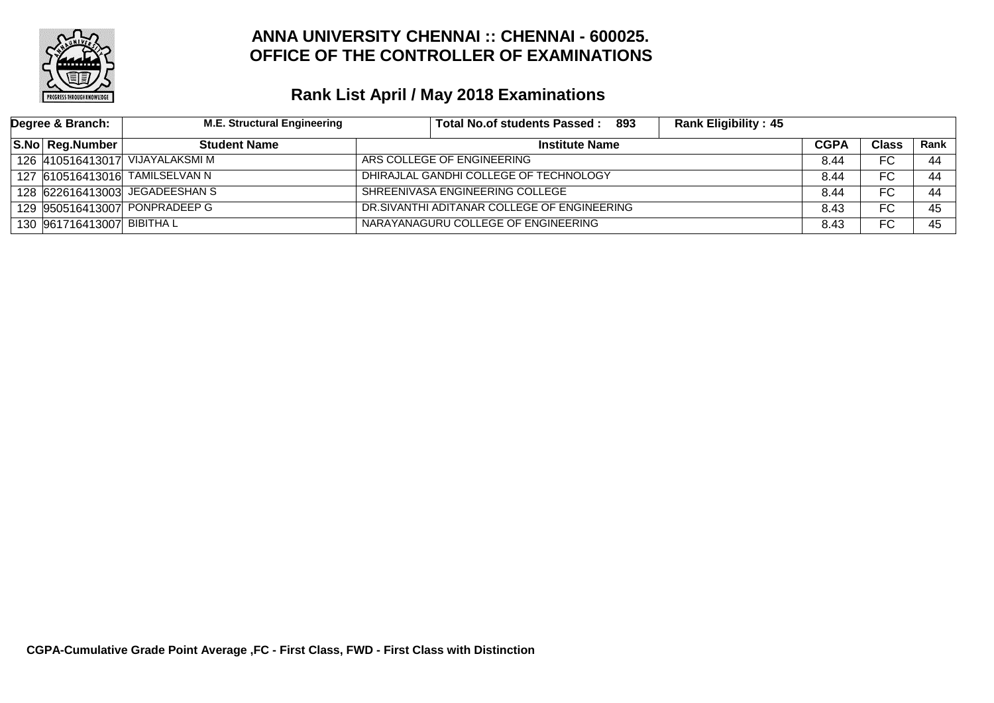

| Degree & Branch:           | <b>M.E. Structural Engineering</b> | Total No.of students Passed: 893<br><b>Rank Eligibility: 45</b> |      |              |      |
|----------------------------|------------------------------------|-----------------------------------------------------------------|------|--------------|------|
| <b>S.No Reg.Number</b>     | <b>Student Name</b>                | <b>CGPA</b><br><b>Institute Name</b>                            |      | <b>Class</b> | Rank |
|                            | 126 410516413017 VIJAYALAKSMI M    | ARS COLLEGE OF ENGINEERING                                      | 8.44 | FC           | 44   |
|                            | 127 610516413016 TAMILSELVAN N     | DHIRAJLAL GANDHI COLLEGE OF TECHNOLOGY                          |      | FC           | 44   |
|                            | 128 622616413003 JEGADEESHAN S     | SHREENIVASA ENGINEERING COLLEGE                                 | 8.44 | FC.          | 44   |
|                            | 129 950516413007 PONPRADEEP G      | DR. SIVANTHI ADITANAR COLLEGE OF ENGINEERING                    | 8.43 | FC           | 45   |
| 130 961716413007 BIBITHA L |                                    | NARAYANAGURU COLLEGE OF ENGINEERING                             | 8.43 | FC           | 45   |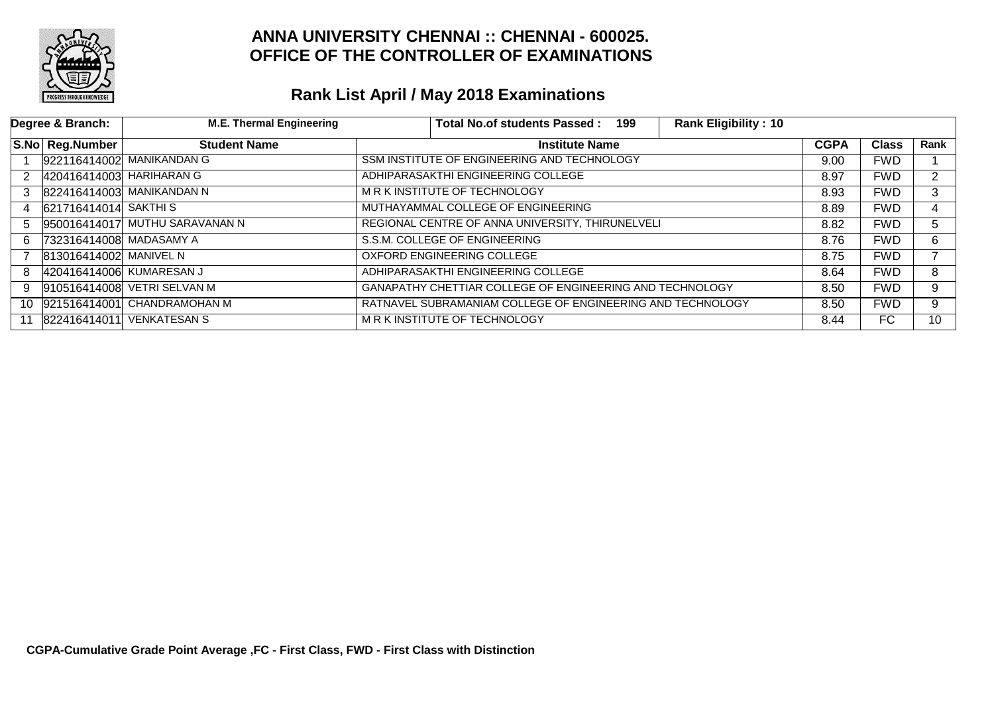

|    | Degree & Branch:         | <b>M.E. Thermal Engineering</b> |                                                            | Total No.of students Passed: 199                         | <b>Rank Eligibility: 10</b> |             |              |                      |
|----|--------------------------|---------------------------------|------------------------------------------------------------|----------------------------------------------------------|-----------------------------|-------------|--------------|----------------------|
|    | S.No Reg.Number          | <b>Student Name</b>             |                                                            | <b>Institute Name</b>                                    |                             | <b>CGPA</b> | <b>Class</b> | Rank                 |
|    |                          | 922116414002 MANIKANDAN G       |                                                            | SSM INSTITUTE OF ENGINEERING AND TECHNOLOGY              |                             | 9.00        | <b>FWD</b>   |                      |
| 2  | 420416414003 HARIHARAN G |                                 |                                                            | ADHIPARASAKTHI ENGINEERING COLLEGE                       |                             | 8.97        | <b>FWD</b>   | $\mathbf{2}^{\circ}$ |
| 3  |                          | 822416414003 MANIKANDAN N       |                                                            | <b>MRK INSTITUTE OF TECHNOLOGY</b>                       |                             | 8.93        | <b>FWD</b>   | 3                    |
| 4  | 621716414014 SAKTHIS     |                                 |                                                            | MUTHAYAMMAL COLLEGE OF ENGINEERING                       |                             | 8.89        | <b>FWD</b>   | 4                    |
| 5  |                          | 950016414017 MUTHU SARAVANAN N  |                                                            | REGIONAL CENTRE OF ANNA UNIVERSITY, THIRUNELVELI         |                             | 8.82        | <b>FWD</b>   | 5                    |
| 6  | 732316414008 MADASAMY A  |                                 |                                                            | S.S.M. COLLEGE OF ENGINEERING                            |                             | 8.76        | <b>FWD</b>   | 6.                   |
|    | 813016414002 MANIVEL N   |                                 |                                                            | OXFORD ENGINEERING COLLEGE                               |                             | 8.75        | <b>FWD</b>   |                      |
| 8  | 420416414006 KUMARESAN J |                                 |                                                            | ADHIPARASAKTHI ENGINEERING COLLEGE                       |                             | 8.64        | <b>FWD</b>   | 8                    |
| 9  |                          | 910516414008 VETRI SELVAN M     |                                                            | GANAPATHY CHETTIAR COLLEGE OF ENGINEERING AND TECHNOLOGY |                             | 8.50        | <b>FWD</b>   | 9                    |
|    |                          | 10  921516414001 CHANDRAMOHAN M | RATNAVEL SUBRAMANIAM COLLEGE OF ENGINEERING AND TECHNOLOGY |                                                          | 8.50                        | <b>FWD</b>  | 9            |                      |
| 11 |                          | 822416414011 VENKATESAN S       |                                                            | M R K INSTITUTE OF TECHNOLOGY                            |                             | 8.44        | FC           | 10 <sup>1</sup>      |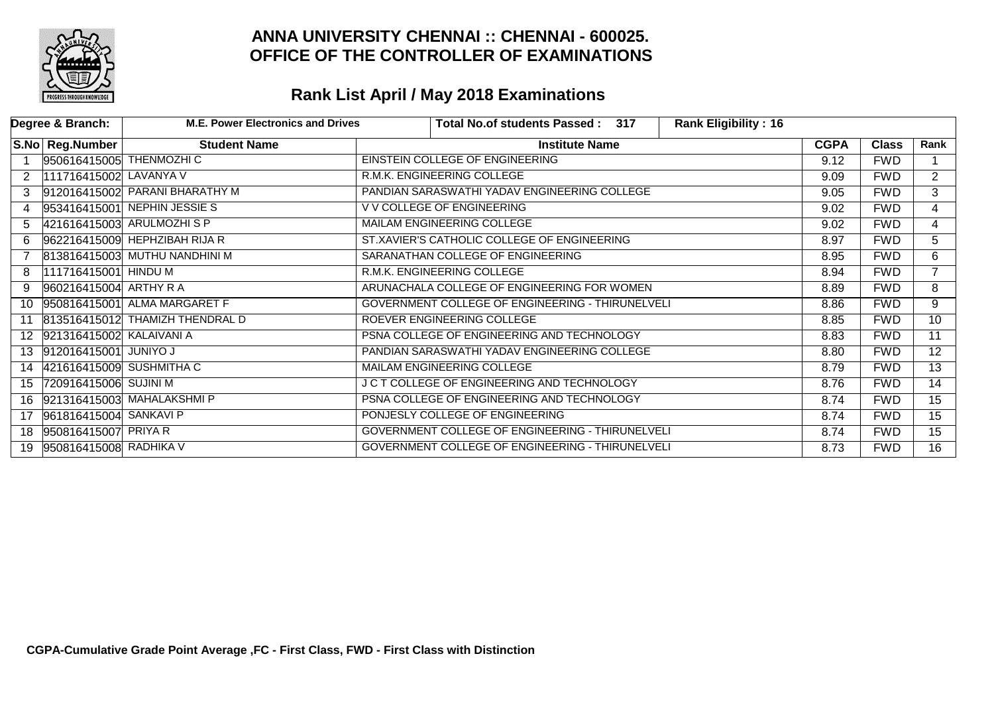

|    | Degree & Branch:            | <b>M.E. Power Electronics and Drives</b> | Total No.of students Passed: 317                 | <b>Rank Eligibility: 16</b> |             |              |                 |
|----|-----------------------------|------------------------------------------|--------------------------------------------------|-----------------------------|-------------|--------------|-----------------|
|    | S.No Reg.Number             | <b>Student Name</b>                      | <b>Institute Name</b>                            |                             | <b>CGPA</b> | <b>Class</b> | Rank            |
|    |                             | 950616415005 THENMOZHI C                 | <b>EINSTEIN COLLEGE OF ENGINEERING</b>           |                             | 9.12        | <b>FWD</b>   |                 |
| 2  | 111716415002 LAVANYA V      |                                          | R.M.K. ENGINEERING COLLEGE                       |                             | 9.09        | <b>FWD</b>   | 2               |
| 3  |                             | 912016415002 PARANI BHARATHY M           | PANDIAN SARASWATHI YADAV ENGINEERING COLLEGE     |                             | 9.05        | <b>FWD</b>   | 3               |
| 4  |                             | 953416415001 NEPHIN JESSIE S             | V V COLLEGE OF ENGINEERING                       |                             | 9.02        | <b>FWD</b>   | 4               |
| 5. |                             | 421616415003 ARULMOZHISP                 | MAILAM ENGINEERING COLLEGE                       |                             | 9.02        | <b>FWD</b>   | 4               |
| 6  |                             | 962216415009 HEPHZIBAH RIJA R            | ST.XAVIER'S CATHOLIC COLLEGE OF ENGINEERING      |                             | 8.97        | <b>FWD</b>   | 5               |
|    |                             | 813816415003 MUTHU NANDHINI M            | SARANATHAN COLLEGE OF ENGINEERING                |                             | 8.95        | <b>FWD</b>   | 6               |
| 8  | 111716415001 HINDU M        |                                          | R.M.K. ENGINEERING COLLEGE                       |                             | 8.94        | <b>FWD</b>   | $7^{\circ}$     |
| 9  | 960216415004 ARTHY R A      |                                          | ARUNACHALA COLLEGE OF ENGINEERING FOR WOMEN      | 8.89                        | <b>FWD</b>  | 8            |                 |
| 10 |                             | 950816415001 ALMA MARGARET F             | GOVERNMENT COLLEGE OF ENGINEERING - THIRUNELVELI |                             | 8.86        | <b>FWD</b>   | 9               |
| 11 |                             | 813516415012 THAMIZH THENDRAL D          | ROEVER ENGINEERING COLLEGE                       |                             | 8.85        | <b>FWD</b>   | 10 <sup>°</sup> |
|    | 12 921316415002 KALAIVANI A |                                          | PSNA COLLEGE OF ENGINEERING AND TECHNOLOGY       |                             | 8.83        | <b>FWD</b>   | $\overline{11}$ |
|    | 13 912016415001 JUNIYO J    |                                          | PANDIAN SARASWATHI YADAV ENGINEERING COLLEGE     |                             | 8.80        | <b>FWD</b>   | 12              |
|    | 14 421616415009 SUSHMITHA C |                                          | MAILAM ENGINEERING COLLEGE                       |                             | 8.79        | <b>FWD</b>   | $\overline{13}$ |
|    | 15 720916415006 SUJINI M    |                                          | J C T COLLEGE OF ENGINEERING AND TECHNOLOGY      |                             |             | <b>FWD</b>   | 14              |
| 16 |                             | 921316415003 MAHALAKSHMI P               | PSNA COLLEGE OF ENGINEERING AND TECHNOLOGY       |                             |             | <b>FWD</b>   | 15              |
| 17 | 961816415004 SANKAVI P      |                                          | PONJESLY COLLEGE OF ENGINEERING                  |                             |             | <b>FWD</b>   | 15              |
|    | 18 950816415007 PRIYA R     |                                          | GOVERNMENT COLLEGE OF ENGINEERING - THIRUNELVELI |                             |             | <b>FWD</b>   | 15              |
| 19 | 950816415008 RADHIKA V      |                                          | GOVERNMENT COLLEGE OF ENGINEERING - THIRUNELVELI |                             | 8.73        | <b>FWD</b>   | $\overline{16}$ |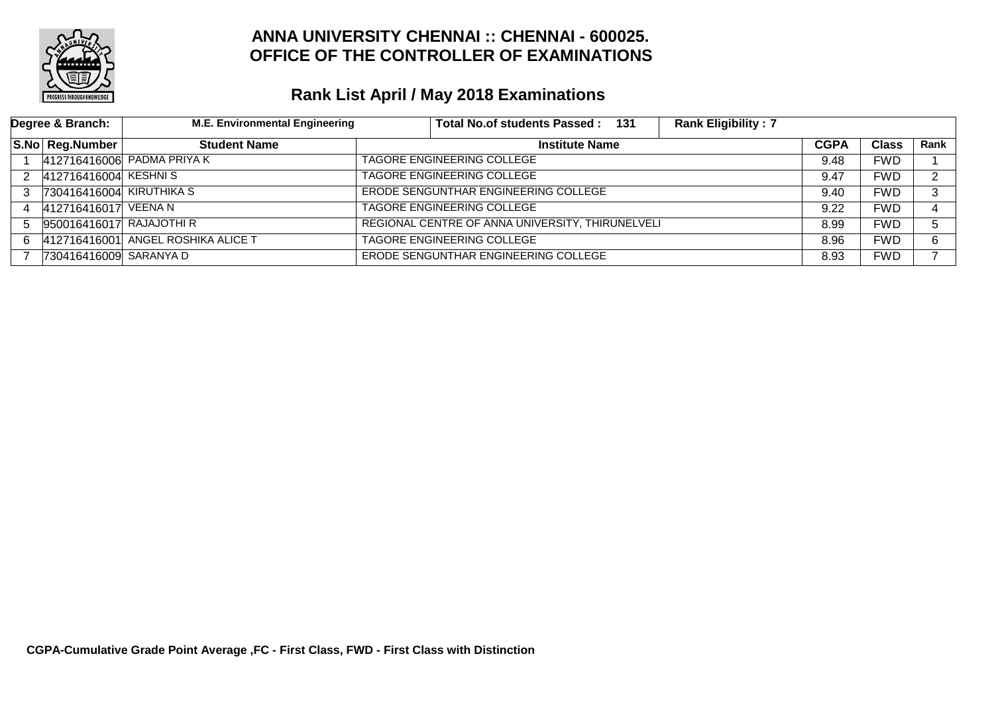

|    | Degree & Branch:         | <b>M.E. Environmental Engineering</b> | Total No.of students Passed: 131                 | <b>Rank Eligibility: 7</b> |      |              |      |
|----|--------------------------|---------------------------------------|--------------------------------------------------|----------------------------|------|--------------|------|
|    | <b>S.No Reg.Number</b>   | <b>Student Name</b>                   | <b>Institute Name</b>                            |                            |      | <b>Class</b> | Rank |
|    |                          | 412716416006 PADMA PRIYA K            | <b>TAGORE ENGINEERING COLLEGE</b>                |                            | 9.48 | <b>FWD</b>   |      |
| 2  | 412716416004 KESHNIS     |                                       | <b>TAGORE ENGINEERING COLLEGE</b>                |                            | 9.47 | <b>FWD</b>   | ົ    |
|    | 730416416004 KIRUTHIKA S |                                       | ERODE SENGUNTHAR ENGINEERING COLLEGE             |                            | 9.40 | <b>FWD</b>   | 3    |
|    | 412716416017 VEENA N     |                                       | TAGORE ENGINEERING COLLEGE                       |                            | 9.22 | <b>FWD</b>   |      |
| 5. | 950016416017 RAJAJOTHI R |                                       | REGIONAL CENTRE OF ANNA UNIVERSITY, THIRUNELVELI |                            | 8.99 | <b>FWD</b>   | 5.   |
| 6. |                          | 412716416001 ANGEL ROSHIKA ALICE T    | TAGORE ENGINEERING COLLEGE                       |                            | 8.96 | <b>FWD</b>   | 6    |
|    | 730416416009 SARANYA D   |                                       | ERODE SENGUNTHAR ENGINEERING COLLEGE             |                            | 8.93 | FWD          |      |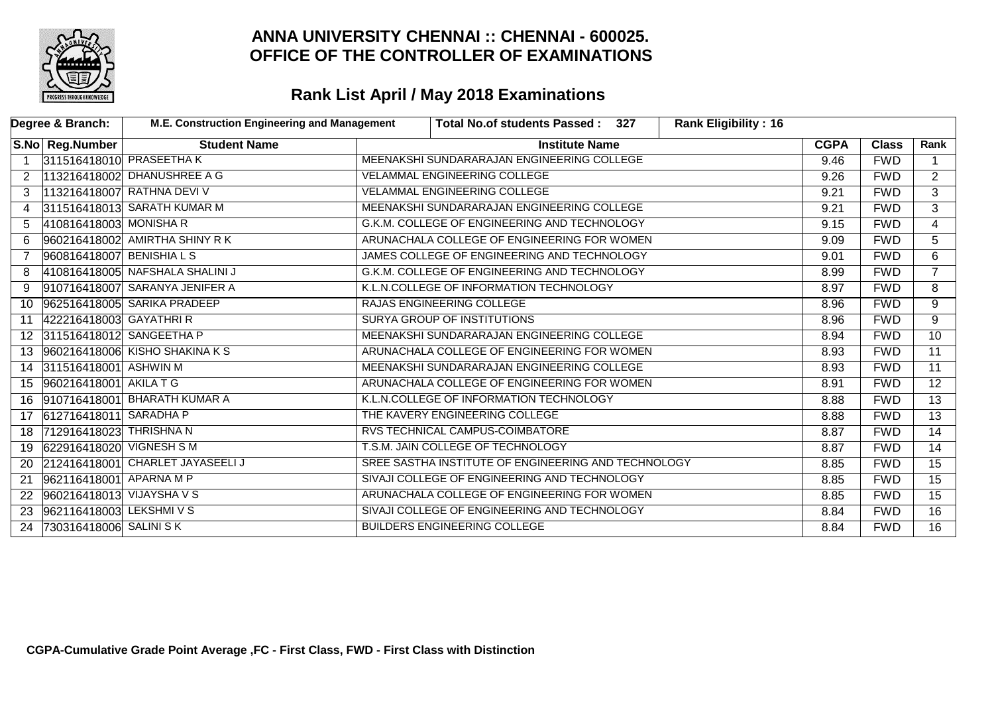

|                      | Degree & Branch:            | M.E. Construction Engineering and Management | <b>Rank Eligibility: 16</b><br><b>Total No.of students Passed:</b><br>327 |             |              |                 |
|----------------------|-----------------------------|----------------------------------------------|---------------------------------------------------------------------------|-------------|--------------|-----------------|
|                      | S.No   Reg.Number           | <b>Student Name</b>                          | <b>Institute Name</b>                                                     | <b>CGPA</b> | <b>Class</b> | Rank            |
| $\mathbf 1$          |                             | 311516418010 PRASEETHAK                      | MEENAKSHI SUNDARARAJAN ENGINEERING COLLEGE                                | 9.46        | <b>FWD</b>   |                 |
| $\mathbf{2}^{\circ}$ |                             | 113216418002 DHANUSHREE A G                  | VELAMMAL ENGINEERING COLLEGE                                              | 9.26        | <b>FWD</b>   | 2               |
| 3                    |                             | 113216418007 RATHNA DEVI V                   | VELAMMAL ENGINEERING COLLEGE                                              | 9.21        | <b>FWD</b>   | 3               |
| 4                    |                             | 311516418013 SARATH KUMAR M                  | MEENAKSHI SUNDARARAJAN ENGINEERING COLLEGE                                | 9.21        | <b>FWD</b>   | 3               |
| 5                    | 410816418003 MONISHAR       |                                              | G.K.M. COLLEGE OF ENGINEERING AND TECHNOLOGY                              | 9.15        | <b>FWD</b>   | $\overline{4}$  |
| 6                    |                             | 960216418002 AMIRTHA SHINY R K               | ARUNACHALA COLLEGE OF ENGINEERING FOR WOMEN                               | 9.09        | <b>FWD</b>   | 5               |
| 7                    | 960816418007 BENISHIA L S   |                                              | JAMES COLLEGE OF ENGINEERING AND TECHNOLOGY                               | 9.01        | <b>FWD</b>   | 6               |
| 8                    |                             | 410816418005 NAFSHALA SHALINI J              | G.K.M. COLLEGE OF ENGINEERING AND TECHNOLOGY                              | 8.99        | <b>FWD</b>   | $\overline{7}$  |
| 9                    |                             | 910716418007 SARANYA JENIFER A               | K.L.N.COLLEGE OF INFORMATION TECHNOLOGY                                   | 8.97        | <b>FWD</b>   | 8               |
| 10                   |                             | 962516418005 SARIKA PRADEEP                  | RAJAS ENGINEERING COLLEGE                                                 | 8.96        | <b>FWD</b>   | 9               |
| 11                   | 422216418003 GAYATHRI R     |                                              | <b>SURYA GROUP OF INSTITUTIONS</b>                                        | 8.96        | <b>FWD</b>   | $\overline{9}$  |
| 12 <sup>1</sup>      |                             | 311516418012 SANGEETHA P                     | MEENAKSHI SUNDARARAJAN ENGINEERING COLLEGE                                | 8.94        | <b>FWD</b>   | $\overline{10}$ |
|                      |                             | 13 960216418006 KISHO SHAKINA K S            | ARUNACHALA COLLEGE OF ENGINEERING FOR WOMEN                               | 8.93        | <b>FWD</b>   | 11              |
| 14                   | 311516418001 ASHWIN M       |                                              | MEENAKSHI SUNDARARAJAN ENGINEERING COLLEGE                                | 8.93        | <b>FWD</b>   | $\overline{11}$ |
| 15                   | 960216418001 AKILA T G      |                                              | ARUNACHALA COLLEGE OF ENGINEERING FOR WOMEN                               | 8.91        | <b>FWD</b>   | $\overline{12}$ |
| 16                   |                             | 910716418001 BHARATH KUMAR A                 | K.L.N.COLLEGE OF INFORMATION TECHNOLOGY                                   | 8.88        | <b>FWD</b>   | $\overline{13}$ |
|                      | 17 612716418011 SARADHA P   |                                              | THE KAVERY ENGINEERING COLLEGE                                            | 8.88        | <b>FWD</b>   | $\overline{13}$ |
| 18                   | 712916418023 THRISHNA N     |                                              | RVS TECHNICAL CAMPUS-COIMBATORE                                           | 8.87        | <b>FWD</b>   | $\overline{14}$ |
|                      | 19 622916418020 VIGNESH S M |                                              | T.S.M. JAIN COLLEGE OF TECHNOLOGY                                         | 8.87        | <b>FWD</b>   | 14              |
| <b>20</b>            |                             | 212416418001 CHARLET JAYASEELI J             | SREE SASTHA INSTITUTE OF ENGINEERING AND TECHNOLOGY                       | 8.85        | <b>FWD</b>   | 15              |
| 21                   | 962116418001 APARNA M P     |                                              | SIVAJI COLLEGE OF ENGINEERING AND TECHNOLOGY                              | 8.85        | <b>FWD</b>   | $\overline{15}$ |
| 22                   | 960216418013 VIJAYSHA V S   |                                              | ARUNACHALA COLLEGE OF ENGINEERING FOR WOMEN                               | 8.85        | <b>FWD</b>   | $\overline{15}$ |
| 23                   | 962116418003 LEKSHMIVS      |                                              | SIVAJI COLLEGE OF ENGINEERING AND TECHNOLOGY                              | 8.84        | <b>FWD</b>   | $\overline{16}$ |
| 24                   | 730316418006 SALINI SK      |                                              | BUILDERS ENGINEERING COLLEGE                                              | 8.84        | <b>FWD</b>   | $\overline{16}$ |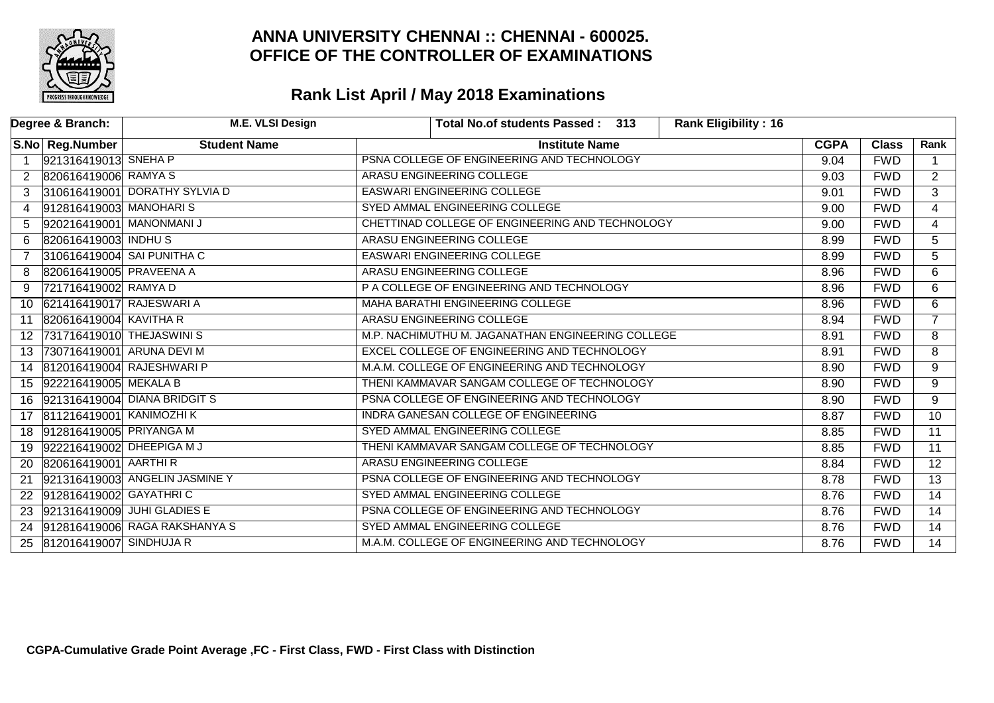

|                  | Degree & Branch:          | <b>M.E. VLSI Design</b>        |                                                   | Total No.of students Passed: 313             |  | <b>Rank Eligibility: 16</b> |             |                 |                 |
|------------------|---------------------------|--------------------------------|---------------------------------------------------|----------------------------------------------|--|-----------------------------|-------------|-----------------|-----------------|
|                  | S.No Reg.Number           | <b>Student Name</b>            |                                                   | <b>Institute Name</b>                        |  |                             | <b>CGPA</b> | <b>Class</b>    | Rank            |
|                  | 921316419013 SNEHA P      |                                |                                                   | PSNA COLLEGE OF ENGINEERING AND TECHNOLOGY   |  |                             | 9.04        | <b>FWD</b>      |                 |
| $\overline{2}$   | 820616419006 RAMYA S      |                                |                                                   | ARASU ENGINEERING COLLEGE                    |  |                             | 9.03        | <b>FWD</b>      | 2               |
| 3                |                           | 310616419001 DORATHY SYLVIA D  |                                                   | <b>EASWARI ENGINEERING COLLEGE</b>           |  |                             | 9.01        | <b>FWD</b>      | $\overline{3}$  |
| 4                | 912816419003 MANOHARIS    |                                |                                                   | SYED AMMAL ENGINEERING COLLEGE               |  |                             | 9.00        | <b>FWD</b>      | $\overline{4}$  |
| 5                | 920216419001 MANONMANI J  |                                | CHETTINAD COLLEGE OF ENGINEERING AND TECHNOLOGY   |                                              |  | 9.00                        | <b>FWD</b>  | $\overline{4}$  |                 |
| 6                | 820616419003 INDHUS       |                                |                                                   | ARASU ENGINEERING COLLEGE                    |  |                             | 8.99        | <b>FWD</b>      | 5               |
|                  |                           | 310616419004 SAI PUNITHA C     |                                                   | <b>EASWARI ENGINEERING COLLEGE</b>           |  |                             | 8.99        | <b>FWD</b>      | $\overline{5}$  |
| 8                | 820616419005 PRAVEENA A   |                                |                                                   | ARASU ENGINEERING COLLEGE                    |  |                             | 8.96        | <b>FWD</b>      | 6               |
| 9                | 721716419002 RAMYA D      |                                |                                                   | P A COLLEGE OF ENGINEERING AND TECHNOLOGY    |  |                             | 8.96        | <b>FWD</b>      | 6               |
| 10               | 621416419017 RAJESWARI A  |                                |                                                   | <b>MAHA BARATHI ENGINEERING COLLEGE</b>      |  |                             | 8.96        | <b>FWD</b>      | 6               |
| 11               | 820616419004 KAVITHA R    |                                | ARASU ENGINEERING COLLEGE                         |                                              |  |                             | 8.94        | <b>FWD</b>      | $\overline{7}$  |
| 12 <sup>12</sup> | 731716419010 THEJASWINI S |                                | M.P. NACHIMUTHU M. JAGANATHAN ENGINEERING COLLEGE |                                              |  |                             | 8.91        | <b>FWD</b>      | 8               |
| 13               | 730716419001 ARUNA DEVI M |                                |                                                   | EXCEL COLLEGE OF ENGINEERING AND TECHNOLOGY  |  |                             | 8.91        | <b>FWD</b>      | 8               |
| 14               |                           | 812016419004 RAJESHWARI P      |                                                   | M.A.M. COLLEGE OF ENGINEERING AND TECHNOLOGY |  |                             | 8.90        | <b>FWD</b>      | 9               |
|                  | 15 922216419005 MEKALA B  |                                |                                                   | THENI KAMMAVAR SANGAM COLLEGE OF TECHNOLOGY  |  |                             | 8.90        | <b>FWD</b>      | $\overline{9}$  |
| 16               |                           | 921316419004 DIANA BRIDGIT S   |                                                   | PSNA COLLEGE OF ENGINEERING AND TECHNOLOGY   |  |                             | 8.90        | <b>FWD</b>      | 9               |
| 17               | 811216419001 KANIMOZHI K  |                                |                                                   | INDRA GANESAN COLLEGE OF ENGINEERING         |  |                             | 8.87        | <b>FWD</b>      | 10 <sup>°</sup> |
| 18               | 912816419005 PRIYANGA M   |                                |                                                   | SYED AMMAL ENGINEERING COLLEGE               |  |                             | 8.85        | <b>FWD</b>      | $\overline{11}$ |
| 19               | 922216419002 DHEEPIGA M J |                                |                                                   | THENI KAMMAVAR SANGAM COLLEGE OF TECHNOLOGY  |  |                             | 8.85        | <b>FWD</b>      | 11              |
| 20               | 820616419001 AARTHIR      |                                |                                                   | ARASU ENGINEERING COLLEGE                    |  |                             | 8.84        | <b>FWD</b>      | 12 <sup>2</sup> |
| 21               |                           | 921316419003 ANGELIN JASMINE Y |                                                   | PSNA COLLEGE OF ENGINEERING AND TECHNOLOGY   |  |                             | 8.78        | <b>FWD</b>      | $\overline{13}$ |
| 22               | 912816419002 GAYATHRIC    |                                |                                                   | SYED AMMAL ENGINEERING COLLEGE               |  |                             | 8.76        | <b>FWD</b>      | $\overline{14}$ |
| 23               |                           | 921316419009 JUHI GLADIES E    |                                                   | PSNA COLLEGE OF ENGINEERING AND TECHNOLOGY   |  |                             | 8.76        | <b>FWD</b>      | 14              |
| 24               |                           | 912816419006 RAGA RAKSHANYA S  | SYED AMMAL ENGINEERING COLLEGE                    |                                              |  | 8.76                        | <b>FWD</b>  | $\overline{14}$ |                 |
| 25               | 812016419007 SINDHUJA R   |                                |                                                   | M.A.M. COLLEGE OF ENGINEERING AND TECHNOLOGY |  |                             | 8.76        | <b>FWD</b>      | $\overline{14}$ |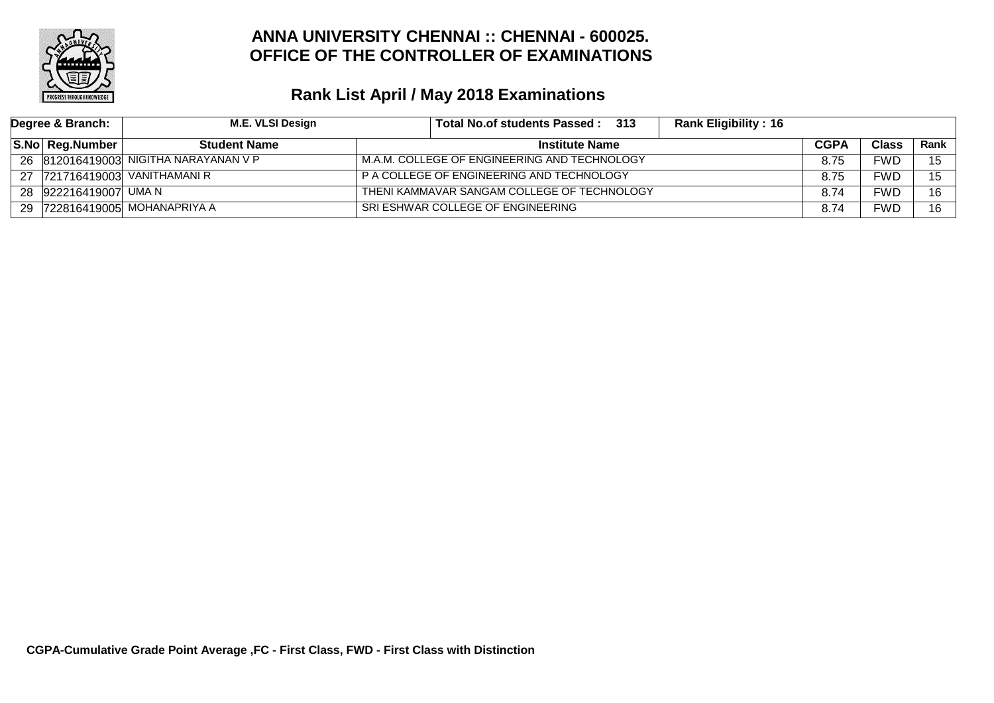

| Degree & Branch:       | M.E. VLSI Design                      | <b>Rank Eligibility: 16</b><br>- 313<br>Total No.of students Passed: |             |            |      |
|------------------------|---------------------------------------|----------------------------------------------------------------------|-------------|------------|------|
| <b>S.No Reg.Number</b> | <b>Student Name</b>                   | <b>Institute Name</b>                                                | <b>CGPA</b> | Class      | Rank |
|                        | 26 812016419003 NIGITHA NARAYANAN V P | M.A.M. COLLEGE OF ENGINEERING AND TECHNOLOGY                         | 8.75        | <b>FWD</b> | 15   |
|                        | 27 721716419003 VANITHAMANI R         | P A COLLEGE OF ENGINEERING AND TECHNOLOGY                            | 8.75        | FWD        | 15   |
| 28 922216419007 UMA N  |                                       | THENI KAMMAVAR SANGAM COLLEGE OF TECHNOLOGY                          | 8.74        | FWD        | 16   |
|                        | 29 722816419005 MOHANAPRIYA A         | SRI ESHWAR COLLEGE OF ENGINEERING                                    | 8.74        | <b>FWD</b> | 16   |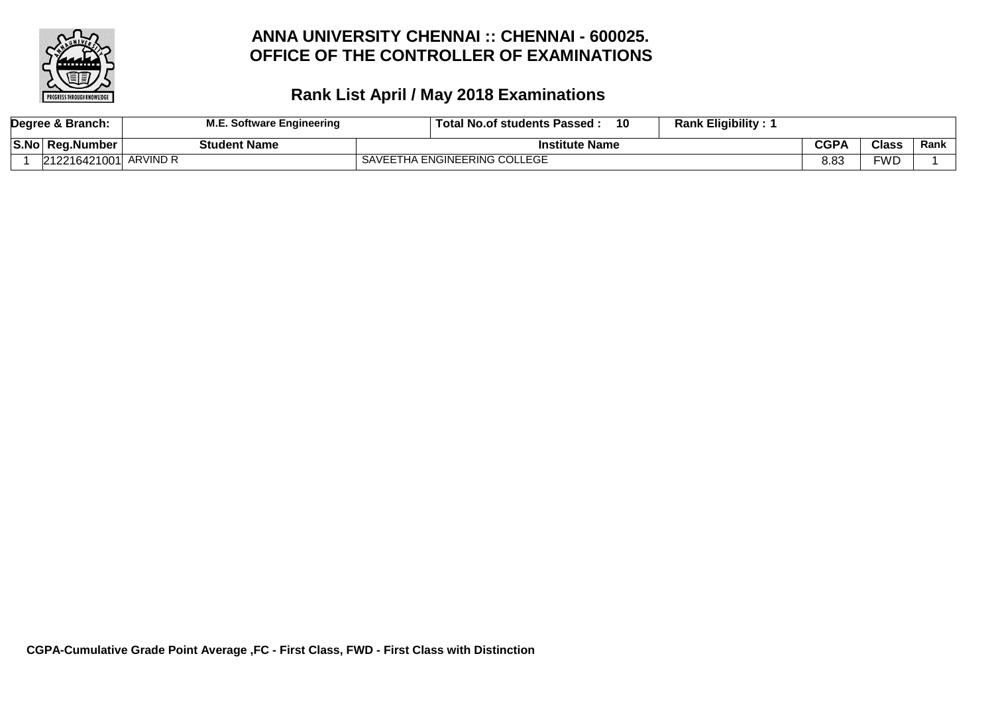

|      | Degree & Branch: | <b>M.E. Software Engineering</b> | 10<br>$\lrcorner$ Total No.of students Passed : | <b>Rank Eligibility:</b> |      |               |      |
|------|------------------|----------------------------------|-------------------------------------------------|--------------------------|------|---------------|------|
| S.No | ∣ Rea.Number     | <b>Student Name</b>              | <b>Institute Name</b><br><b>CGPA</b>            |                          |      | $\bigcap$ ass | Rank |
|      | 212216421001     | LARVIND R                        | SAVEETHA ENGINEERING COLLEGE                    |                          | 8.83 | =WD           |      |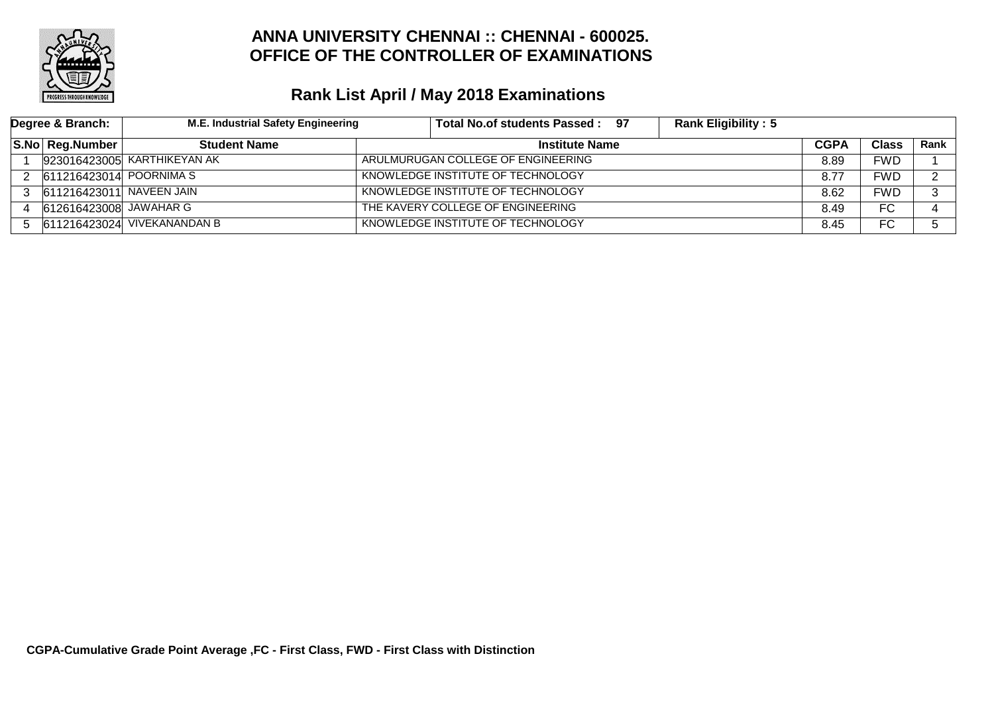

|               | Degree & Branch:         | M.E. Industrial Safety Engineering | <b>Rank Eligibility: 5</b><br>Total No.of students Passed: 97 |      |            |      |
|---------------|--------------------------|------------------------------------|---------------------------------------------------------------|------|------------|------|
|               | S.No Reg.Number          | <b>Student Name</b>                | <b>Institute Name</b>                                         |      |            | Rank |
|               |                          | 923016423005 KARTHIKEYAN AK        | ARULMURUGAN COLLEGE OF ENGINEERING                            | 8.89 | <b>FWD</b> |      |
| 2             | 611216423014 POORNIMA S  |                                    | KNOWLEDGE INSTITUTE OF TECHNOLOGY                             | 8.77 | <b>FWD</b> | ົ    |
| $\mathcal{S}$ | 611216423011 NAVEEN JAIN |                                    | KNOWLEDGE INSTITUTE OF TECHNOLOGY                             | 8.62 | <b>FWD</b> |      |
|               | 612616423008 JAWAHAR G   |                                    | THE KAVERY COLLEGE OF ENGINEERING                             | 8.49 | FC         |      |
| 5.            |                          | 611216423024 VIVEKANANDAN B        | KNOWLEDGE INSTITUTE OF TECHNOLOGY                             | 8.45 | FC         |      |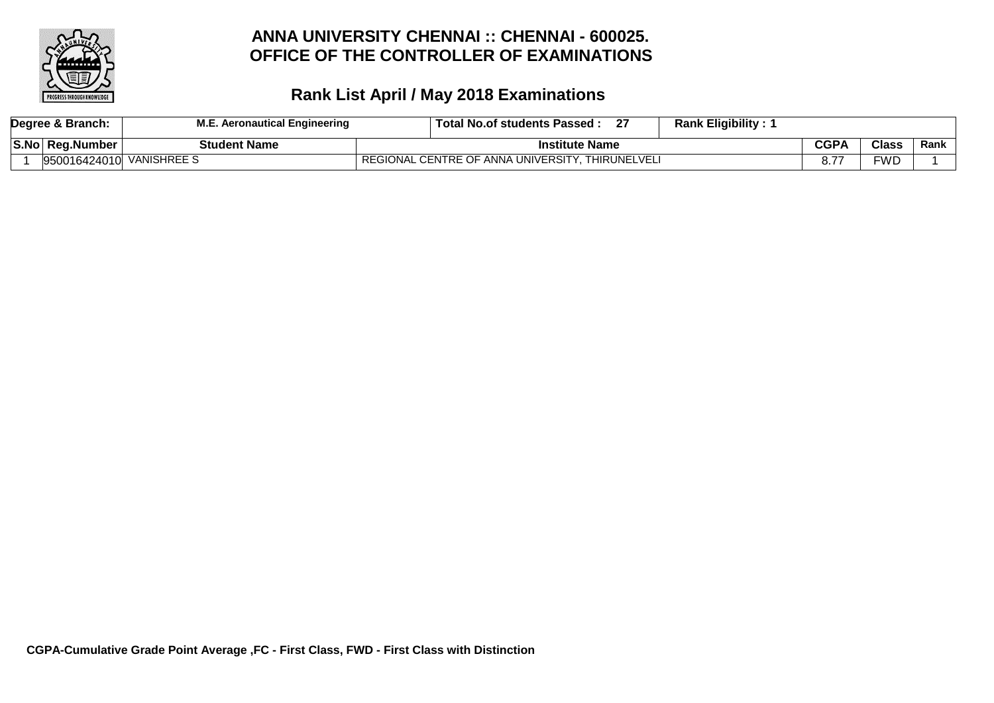

| Degree & Branch: | M C<br>. Aeronautical Engineering | Total No.of students Passed :                    | ^7 | <b>Rank Eligibility:</b> |      |              |      |
|------------------|-----------------------------------|--------------------------------------------------|----|--------------------------|------|--------------|------|
| S.No Reg.Number  | <b>Student Name</b>               | <b>Institute Name</b>                            |    |                          | CGPA | <b>Class</b> | Rank |
| 950016424010     | <b>VANISHREE S</b>                | REGIONAL CENTRE OF ANNA UNIVERSITY, THIRUNELVELI |    |                          |      | ™D           |      |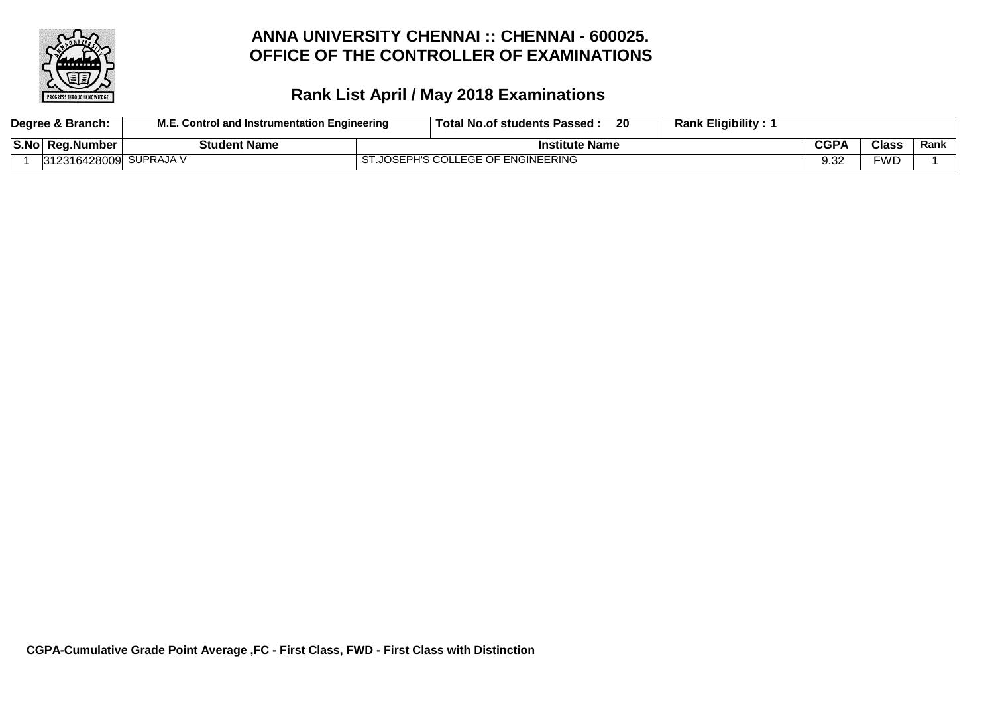

|        | Degree & Branch: | . Control and Instrumentation Engineering | Total No.of students Passed:       | 20 | <b>Rank Eligibility:</b> |               |              |      |
|--------|------------------|-------------------------------------------|------------------------------------|----|--------------------------|---------------|--------------|------|
| ∣S.No∣ | ∠⊟Rea.Number     | <b>Student Name</b>                       | <b>Institute Name</b>              |    |                          | CGPA          | <b>Class</b> | Rank |
|        | 312316428009     | SUPRAJA V                                 | ST.JOSEPH'S COLLEGE OF ENGINEERING |    |                          | $\sim$<br>v.v | FWD          |      |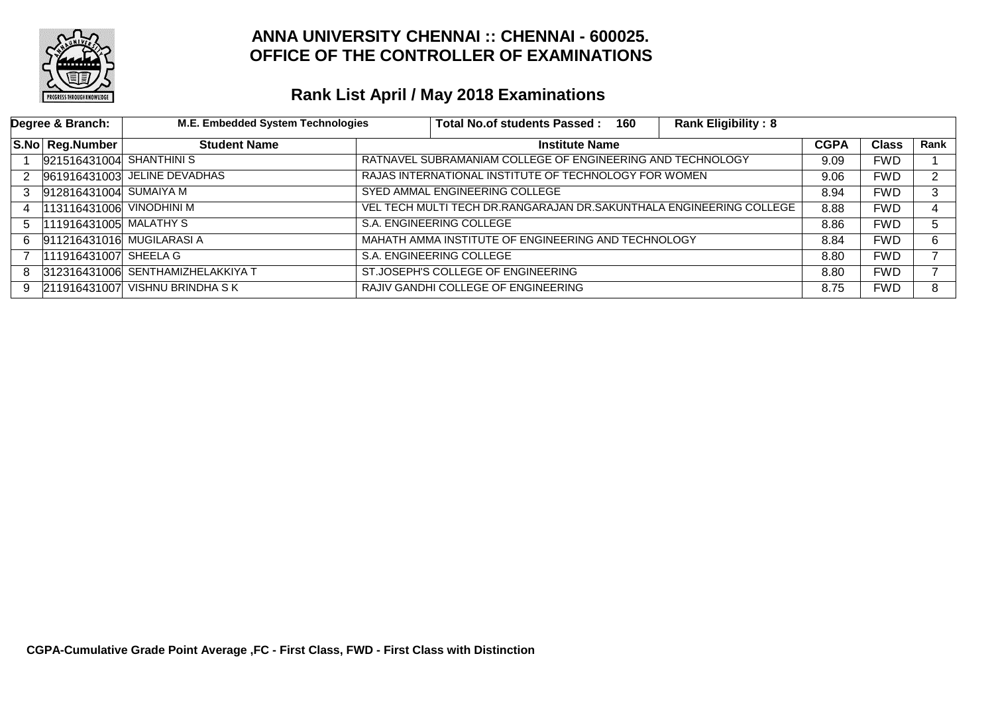

|   | Degree & Branch:         | <b>M.E. Embedded System Technologies</b> | <b>Total No.of students Passed:</b><br>160                          | <b>Rank Eligibility: 8</b> |             |              |      |
|---|--------------------------|------------------------------------------|---------------------------------------------------------------------|----------------------------|-------------|--------------|------|
|   | S.No Reg.Number          | <b>Student Name</b>                      | <b>Institute Name</b>                                               |                            | <b>CGPA</b> | <b>Class</b> | Rank |
|   | 921516431004 SHANTHINIS  |                                          | RATNAVEL SUBRAMANIAM COLLEGE OF ENGINEERING AND TECHNOLOGY          |                            | 9.09        | <b>FWD</b>   |      |
| 2 |                          | 961916431003 JELINE DEVADHAS             | RAJAS INTERNATIONAL INSTITUTE OF TECHNOLOGY FOR WOMEN               |                            | 9.06        | FWD.         | C.   |
|   | 912816431004 SUMAIYA M   |                                          | SYED AMMAL ENGINEERING COLLEGE                                      |                            | 8.94        | <b>FWD</b>   | 3    |
| 4 | 113116431006 VINODHINI M |                                          | VEL TECH MULTI TECH DR.RANGARAJAN DR.SAKUNTHALA ENGINEERING COLLEGE |                            | 8.88        | <b>FWD</b>   | 4    |
| 5 | 111916431005 MALATHY S   |                                          | S.A. ENGINEERING COLLEGE                                            |                            | 8.86        | <b>FWD</b>   | 5.   |
| 6 |                          | 911216431016 MUGILARASI A                | MAHATH AMMA INSTITUTE OF ENGINEERING AND TECHNOLOGY                 |                            | 8.84        | <b>FWD</b>   | 6    |
|   | 111916431007 SHEELA G    |                                          | S.A. ENGINEERING COLLEGE                                            |                            | 8.80        | <b>FWD</b>   | ⇁    |
| 8 |                          | 312316431006 SENTHAMIZHELAKKIYA T        | ST.JOSEPH'S COLLEGE OF ENGINEERING                                  |                            | 8.80        | <b>FWD</b>   |      |
| 9 |                          | 211916431007 VISHNU BRINDHA S K          | RAJIV GANDHI COLLEGE OF ENGINEERING                                 |                            | 8.75        | <b>FWD</b>   | 8    |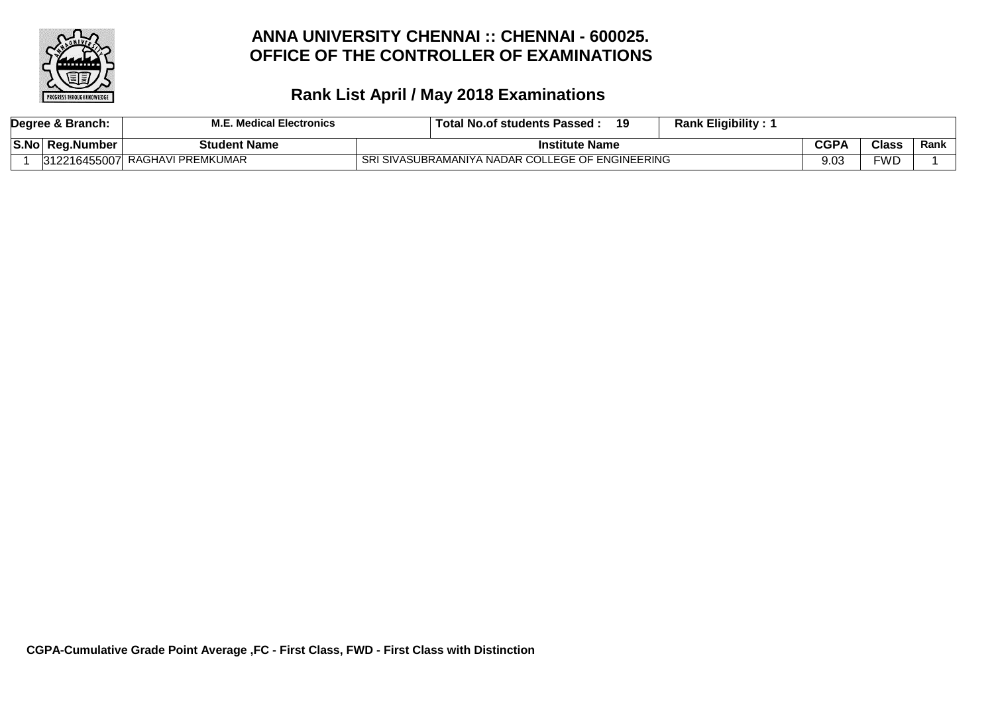

|      | Degree & Branch: | <b>M.E.</b><br>Medical Electronics | <b>Total No.of students Passed</b> :             | 19 | <b>Rank Eligibility:</b> |      |              |      |
|------|------------------|------------------------------------|--------------------------------------------------|----|--------------------------|------|--------------|------|
| S.No | ± Rea.Number ⊦   | <b>Student Name</b>                | <b>Institute Name</b>                            |    |                          | CGP/ | <b>Class</b> | Rank |
|      |                  | 312216455007 RAGHAVI PREMKUMAR     | SRI SIVASUBRAMANIYA NADAR COLLEGE OF ENGINEERING |    |                          | 9.03 | FWD          |      |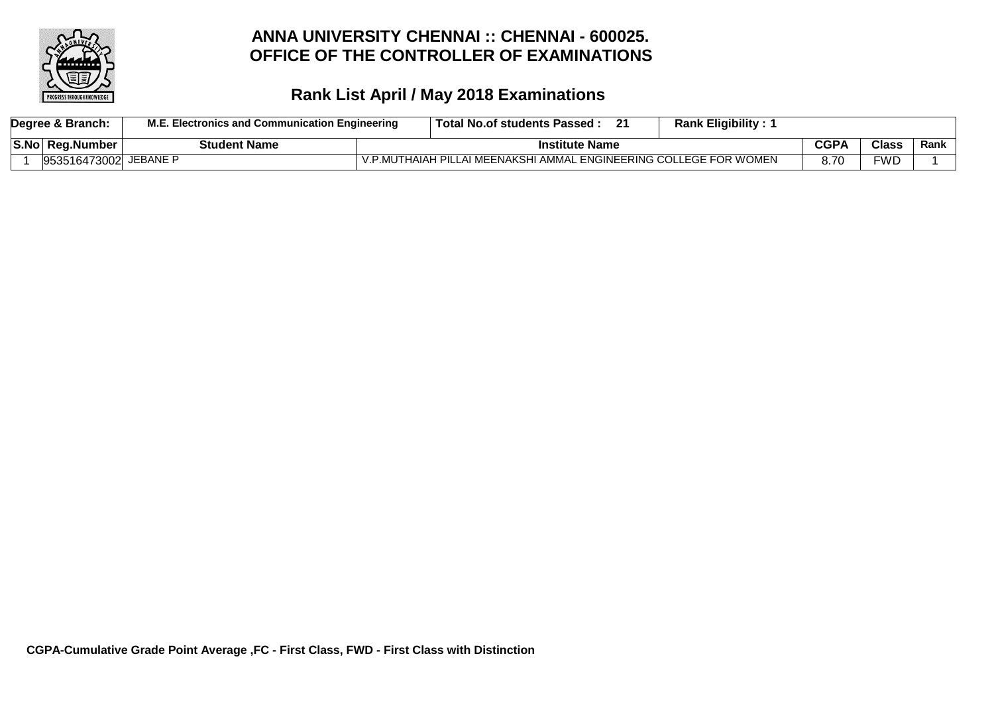

|      | Degree & Branch:      | M.E. Electronics and Communication Engineering |          | Total No.of students Passed:                                 | . . | <b>Rank Eligibility:</b> |      |       |      |
|------|-----------------------|------------------------------------------------|----------|--------------------------------------------------------------|-----|--------------------------|------|-------|------|
| S.No | <b>Reg.Number</b>     | <b>Student Name</b>                            |          | <b>Institute Name</b>                                        |     |                          | CGPA | Class | Rank |
|      | 953516473002 JEBANE P |                                                | V.P.MUL. | THAIAH PILLAI MEENAKSHI AMMAL ENGINEERING COLLEGE FOR WOMEN. |     |                          | 8.7C | =WD   |      |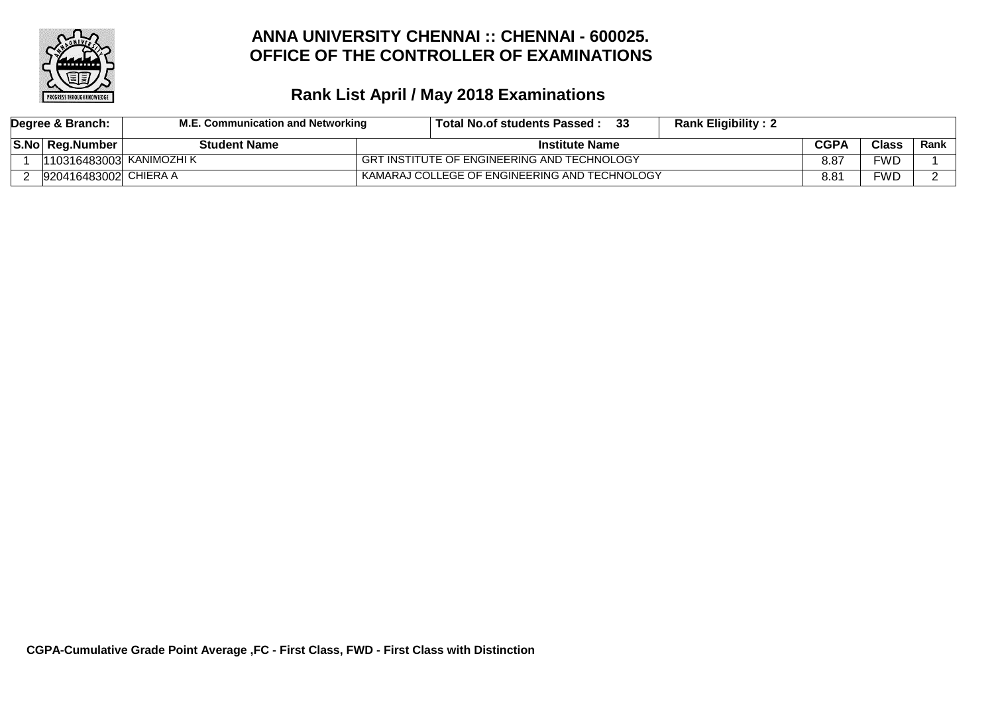

| Degree & Branch: |  |                          | M.E. Communication and Networking | Total No.of students Passed :                 | <b>Rank Eligibility: 2</b> |             |              |        |
|------------------|--|--------------------------|-----------------------------------|-----------------------------------------------|----------------------------|-------------|--------------|--------|
|                  |  | S.No  Reg.Number         | <b>Student Name</b>               | <b>Institute Name</b>                         |                            | <b>CGPA</b> | <b>Class</b> | Rank l |
|                  |  | 110316483003 KANIMOZHI K |                                   | l GRT INSTITUTE OF ENGINEERING AND TECHNOLOGY |                            | 8.87        | FWD          |        |
|                  |  | 920416483002 CHIERA A    |                                   | KAMARAJ COLLEGE OF ENGINEERING AND TECHNOLOGY |                            | 8.81        | FWD          |        |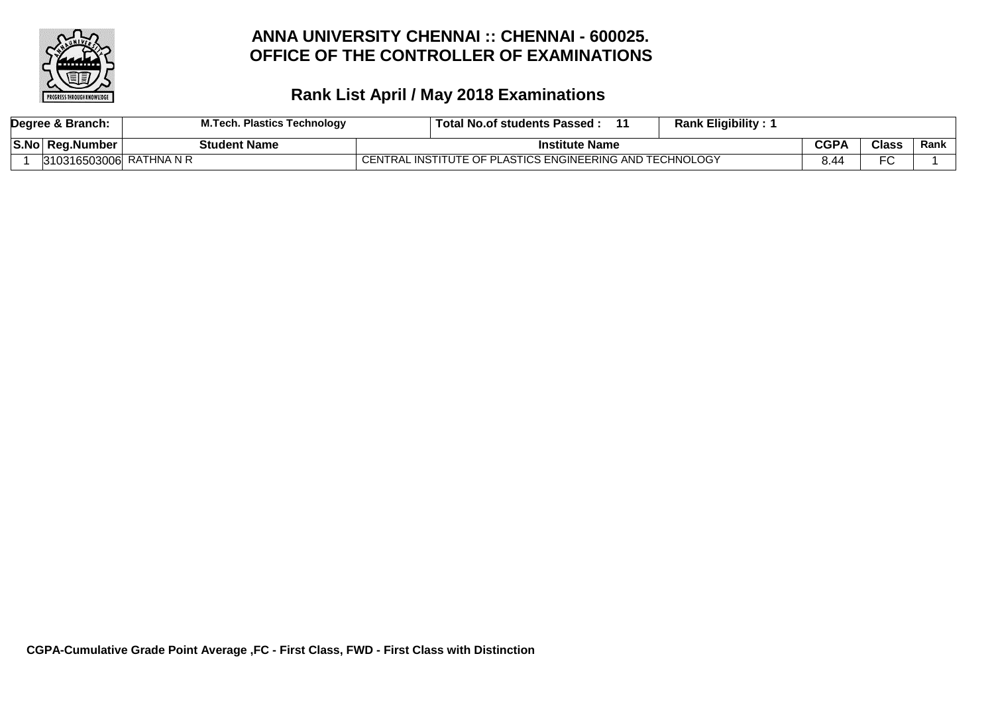

|        | Degree & Branch: | .പ. Plastics Technology<br>∴Tech. ⊾ | Total No.of students Passed :                            | <b>Rank Eligibility:</b> |      |                  |      |
|--------|------------------|-------------------------------------|----------------------------------------------------------|--------------------------|------|------------------|------|
| 'S.No⊤ | ∣ Rea.Number     | Student Name                        | <b>Institute Name</b>                                    |                          | CGP/ | <b>Class</b>     | Rank |
|        | 310316503006     | RATHNA N R                          | CENTRAL INSTITUTE OF PLASTICS ENGINEERING AND TECHNOLOGY |                          | 8.44 | $\Gamma$<br>- L. |      |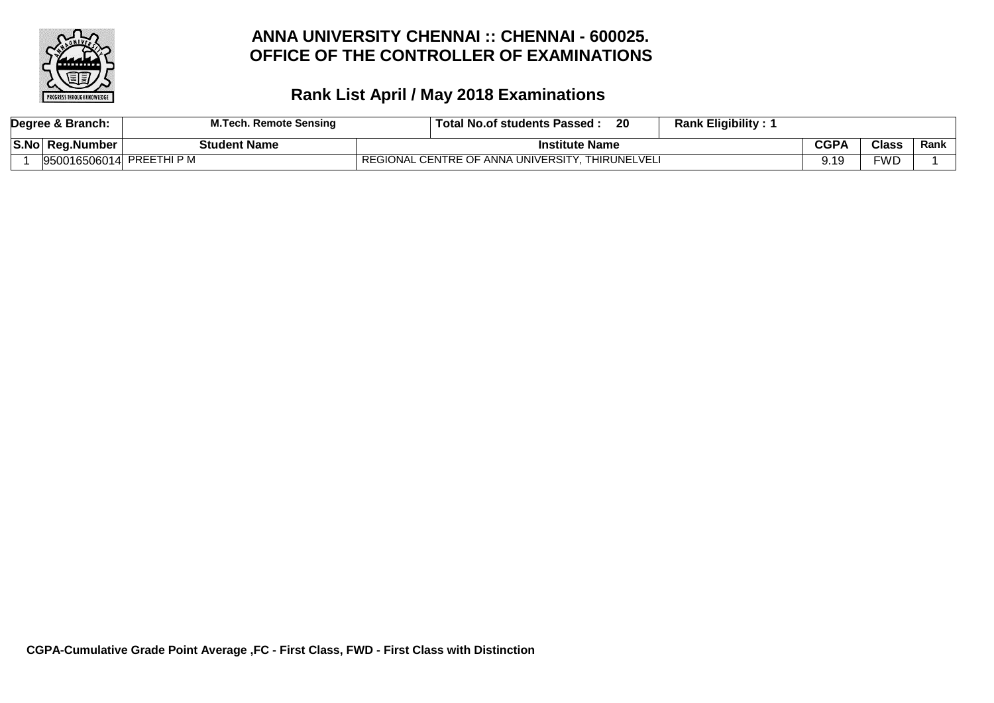

|        | Degree & Branch:         | <b>M.Tech. Remote Sensing</b> | <b>Rank Eligibility:</b><br>20<br><b>Total No.of students Passed</b> |      |              |      |
|--------|--------------------------|-------------------------------|----------------------------------------------------------------------|------|--------------|------|
| 'S.No⊺ | ∣ Rea.Number             | <b>Student Name</b>           | <b>Institute Name</b>                                                | CGPA | <b>Class</b> | Rank |
|        | 950016506014 PREETHI P M |                               | REGIONAL CENTRE OF ANNA UNIVERSITY, THIRUNELVELI                     |      | <b>EWD</b>   |      |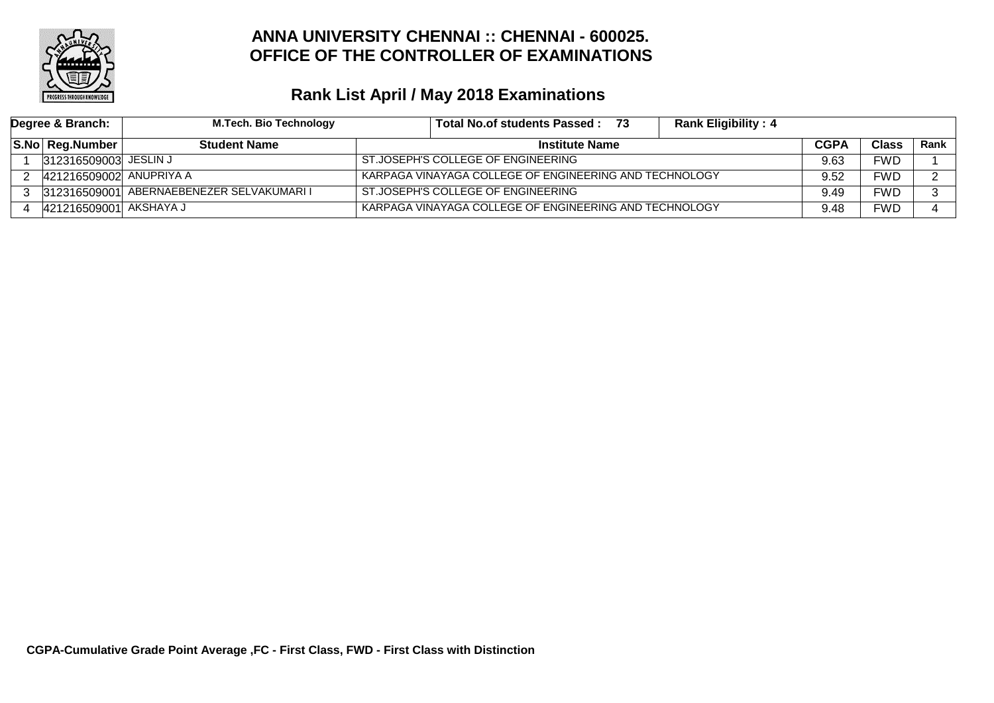

| Degree & Branch: |                         | <b>M.Tech. Bio Technology</b>            | <b>Rank Eligibility: 4</b><br>- 73<br>Total No.of students Passed: |             |       |      |
|------------------|-------------------------|------------------------------------------|--------------------------------------------------------------------|-------------|-------|------|
|                  | <b>S.No Reg.Number</b>  | <b>Student Name</b>                      | <b>Institute Name</b>                                              | <b>CGPA</b> | Class | Rank |
|                  | 312316509003 JESLIN J   |                                          | ST.JOSEPH'S COLLEGE OF ENGINEERING                                 | 9.63        | FWD   |      |
|                  | 421216509002 ANUPRIYA A |                                          | KARPAGA VINAYAGA COLLEGE OF ENGINEERING AND TECHNOLOGY             | 9.52        | FWD   |      |
|                  |                         | 312316509001 ABERNAEBENEZER SELVAKUMARIT | ST.JOSEPH'S COLLEGE OF ENGINEERING                                 | 9.49        | FWD   |      |
|                  | 421216509001 AKSHAYA J  |                                          | KARPAGA VINAYAGA COLLEGE OF ENGINEERING AND TECHNOLOGY             | 9.48        | FWD   |      |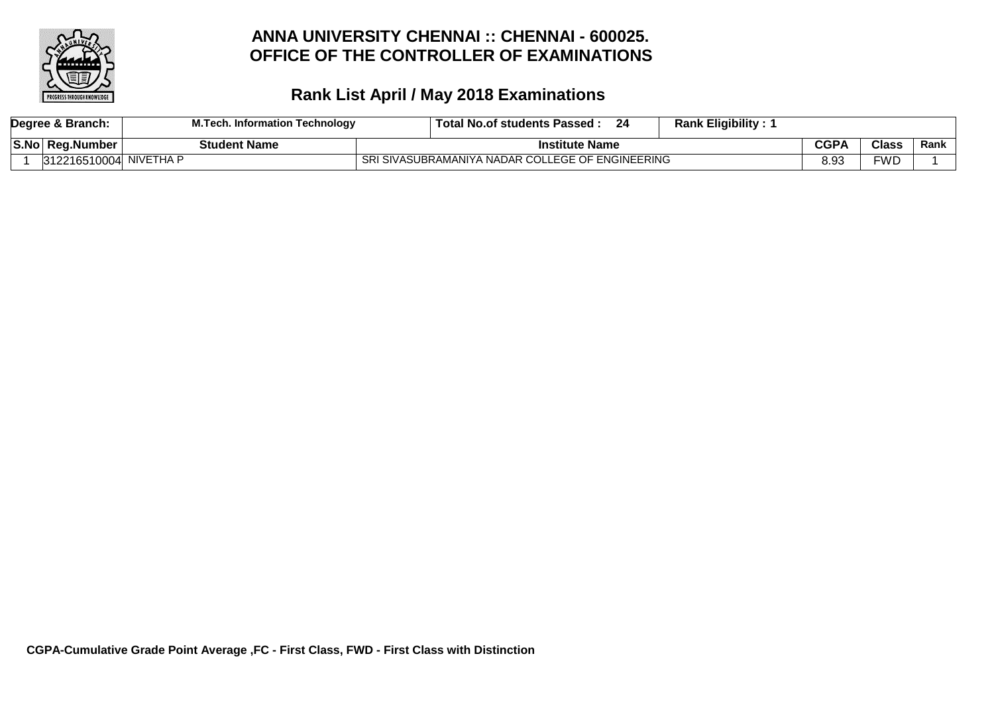

|      | Degree & Branch:       | M.Tech.<br>Information Technology | <b>Rank Eligibility:</b><br>-24<br>$\lrcorner$ Total No.of students Passed $\lrcorner$ |      |              |      |
|------|------------------------|-----------------------------------|----------------------------------------------------------------------------------------|------|--------------|------|
| S.No | ∣ Rea.Number           | <b>Student Name</b>               | <b>Institute Name</b>                                                                  | CGP/ | <b>Class</b> | Rank |
|      | 312216510004 NIVETHA P |                                   | SRI SIVASUBRAMANIYA NADAR COLLEGE OF ENGINEERING                                       | 8.93 | ™D⊓          |      |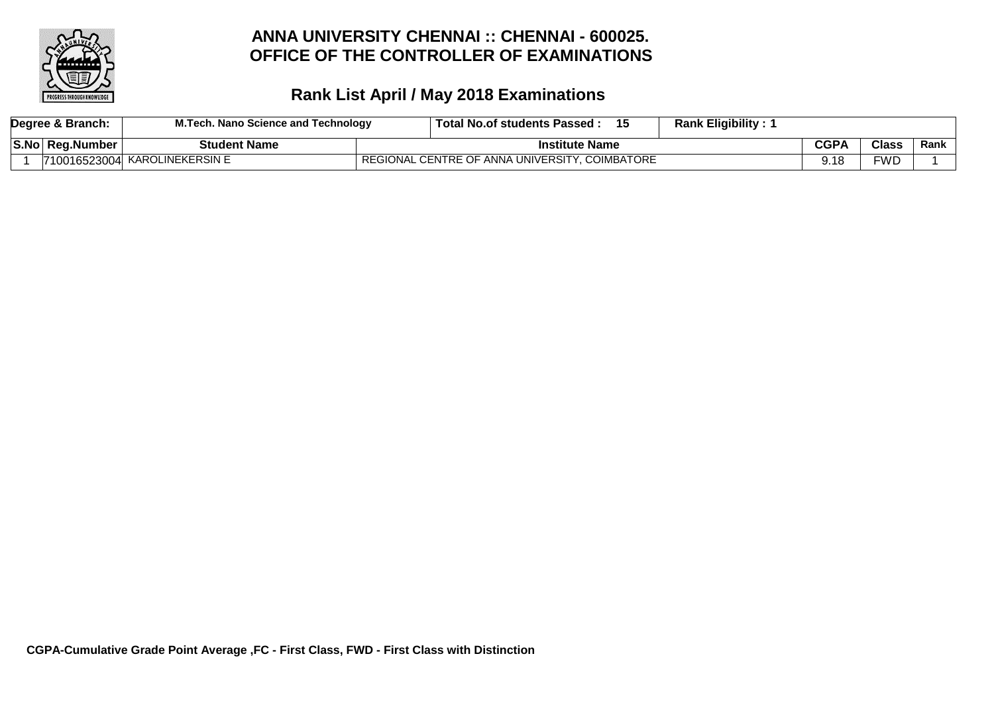

|      | Degree & Branch: | M.Tech. Nano Science and Technology                                      | <b>Rank Eligibility:</b><br>$\,$ Total No.of students Passed $\, \cdot \,$ |      |              |      |
|------|------------------|--------------------------------------------------------------------------|----------------------------------------------------------------------------|------|--------------|------|
| S.No | ∣ Rea.Number     | <b>Student Name</b>                                                      | <b>Institute Name</b>                                                      | CGP/ | <b>Class</b> | Rank |
|      |                  | $\,$ 710016523004 KAROLINE $\overline{\rm K}$ ERSIN $\,\overline{\rm E}$ | <b>COIMBATORE</b><br>REGIONAL CENTRE OF ANNA UNIVERSITY.                   |      | <b>FWD</b>   |      |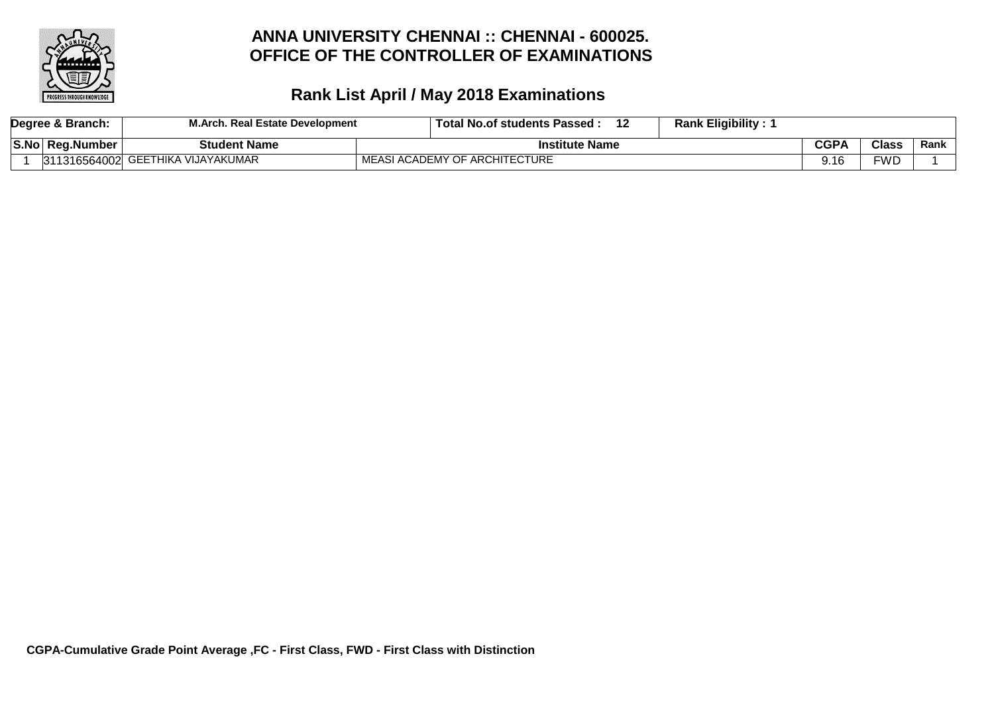

| Degree & Branch: | <b>M.Arch. Real Estate Development</b> | $\,$ Total No.of students Passed : | <b>Rank Eligibility:</b> |             |       |      |
|------------------|----------------------------------------|------------------------------------|--------------------------|-------------|-------|------|
| S.No Reg.Number  | <b>Student Name</b>                    | <b>Institute Name</b>              |                          | <b>CGPA</b> | Class | Rank |
|                  | 311316564002 GEETHIKA VIJAYAKUMAR      | MEASI ACADEMY OF ARCHITECTURE      |                          | 9.16        | FWD   |      |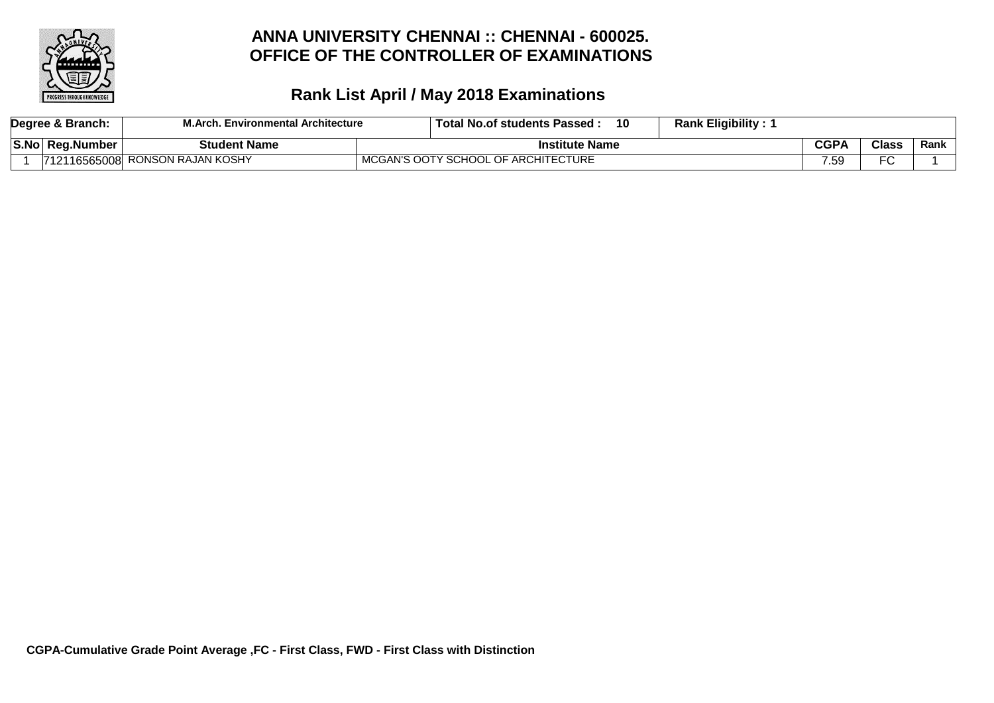

|                   | Degree & Branch: | M.Arch.<br>. Environmental Architecture |                     | 10<br>. Total No.of students Passed : | <b>Rank Eligibility:</b> |             |                 |      |
|-------------------|------------------|-----------------------------------------|---------------------|---------------------------------------|--------------------------|-------------|-----------------|------|
| $ \texttt{S.No} $ | ∣ Rea.Number     | Student Name                            |                     | <b>Institute Name</b>                 |                          | <b>CGP/</b> | <b>Class</b>    | Rank |
|                   | 16565008<br>ワイクィ | I RONSON RAJAN KOSHY                    | MCGAN'S OOTY SCHOOL | . OF ARCHITECTURE                     |                          | 7.59        | $\Gamma$<br>۰ι. |      |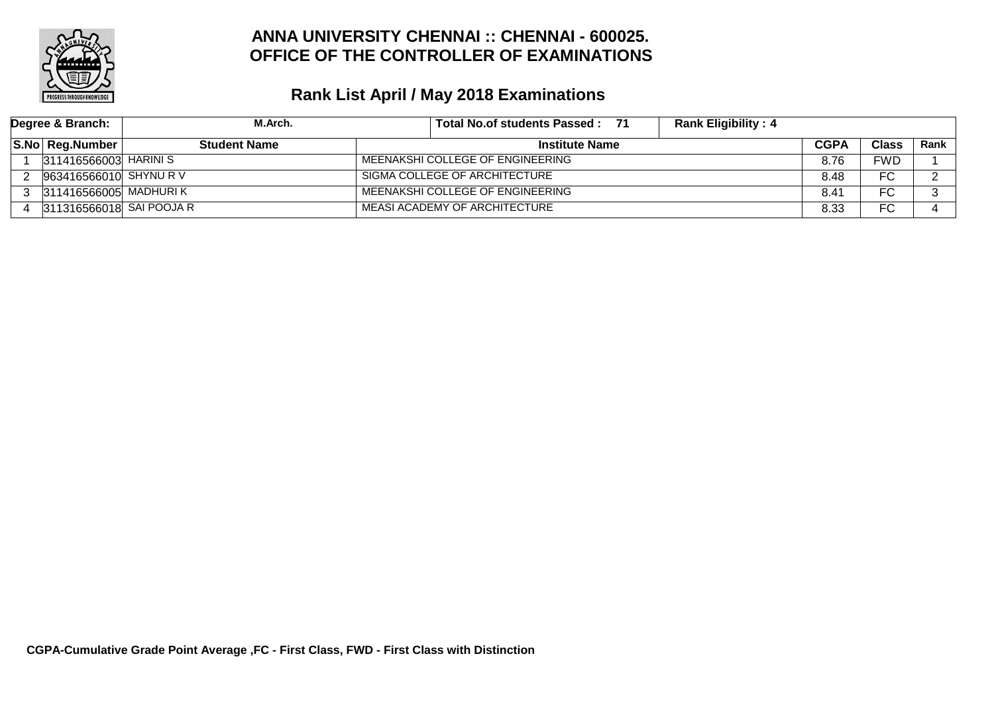

| Degree & Branch: |                          | M.Arch.             | <b>Rank Eligibility: 4</b><br>Total No.of students Passed: 71 |               |              |      |
|------------------|--------------------------|---------------------|---------------------------------------------------------------|---------------|--------------|------|
|                  | S.No Reg.Number          | <b>Student Name</b> | <b>Institute Name</b>                                         | <b>CGPA</b>   | <b>Class</b> | Rank |
|                  | 311416566003 HARINI S    |                     | MEENAKSHI COLLEGE OF ENGINEERING                              | 8.76          | <b>FWD</b>   |      |
|                  | 963416566010 SHYNU R V   |                     | SIGMA COLLEGE OF ARCHITECTURE                                 | 8.48          | FC           |      |
|                  | 311416566005 MADHURIK    |                     | MEENAKSHI COLLEGE OF ENGINEERING                              | $8.4^{\circ}$ | FC           |      |
|                  | 311316566018 SAI POOJA R |                     | MEASI ACADEMY OF ARCHITECTURE                                 | 8.33          | FC           |      |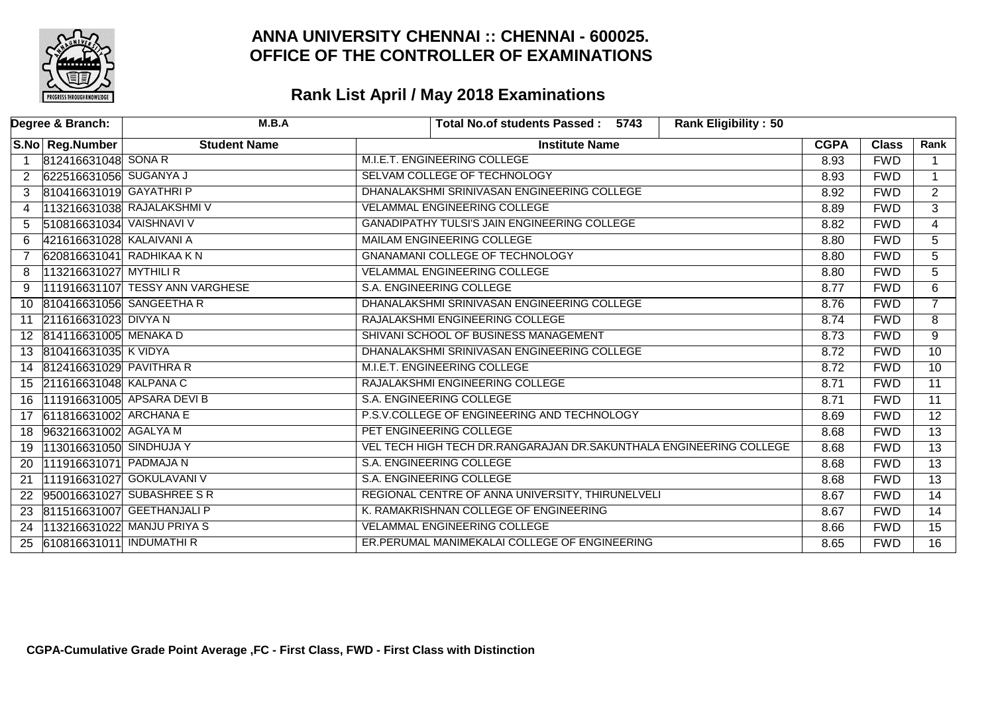

|    | Degree & Branch:           | M.B.A                           | <b>Rank Eligibility: 50</b><br>Total No.of students Passed: 5743   |             |              |                 |
|----|----------------------------|---------------------------------|--------------------------------------------------------------------|-------------|--------------|-----------------|
|    | S.No Reg.Number            | <b>Student Name</b>             | <b>Institute Name</b>                                              | <b>CGPA</b> | <b>Class</b> | Rank            |
|    | 812416631048 SONA R        |                                 | M.I.E.T. ENGINEERING COLLEGE                                       | 8.93        | <b>FWD</b>   |                 |
| 2  | 622516631056 SUGANYA J     |                                 | SELVAM COLLEGE OF TECHNOLOGY                                       | 8.93        | <b>FWD</b>   |                 |
|    | 810416631019 GAYATHRI P    |                                 | DHANALAKSHMI SRINIVASAN ENGINEERING COLLEGE                        | 8.92        | <b>FWD</b>   | $\overline{2}$  |
| 4  |                            | 113216631038 RAJALAKSHMIV       | <b>VELAMMAL ENGINEERING COLLEGE</b>                                | 8.89        | <b>FWD</b>   | 3               |
| 5  | 510816631034 VAISHNAVI V   |                                 | <b>GANADIPATHY TULSI'S JAIN ENGINEERING COLLEGE</b>                | 8.82        | <b>FWD</b>   | $\overline{4}$  |
| 6  | 421616631028 KALAIVANI A   |                                 | MAILAM ENGINEERING COLLEGE                                         | 8.80        | <b>FWD</b>   | 5               |
|    |                            | 620816631041 RADHIKAA K N       | <b>GNANAMANI COLLEGE OF TECHNOLOGY</b>                             | 8.80        | <b>FWD</b>   | $\overline{5}$  |
| 8  | 113216631027 MYTHILI R     |                                 | <b>VELAMMAL ENGINEERING COLLEGE</b>                                | 8.80        | <b>FWD</b>   | 5               |
| 9  |                            | 111916631107 TESSY ANN VARGHESE | S.A. ENGINEERING COLLEGE                                           | 8.77        | <b>FWD</b>   | 6               |
| 10 |                            | 810416631056 SANGEETHA R        | DHANALAKSHMI SRINIVASAN ENGINEERING COLLEGE                        | 8.76        | <b>FWD</b>   | $\overline{7}$  |
| 11 | 211616631023 DIVYA N       |                                 | RAJALAKSHMI ENGINEERING COLLEGE                                    | 8.74        | <b>FWD</b>   | $\overline{8}$  |
|    | 12 814116631005 MENAKA D   |                                 | SHIVANI SCHOOL OF BUSINESS MANAGEMENT                              | 8.73        | <b>FWD</b>   | 9               |
| 13 | 810416631035 K VIDYA       |                                 | DHANALAKSHMI SRINIVASAN ENGINEERING COLLEGE                        | 8.72        | <b>FWD</b>   | 10              |
|    | 14 812416631029 PAVITHRA R |                                 | M.I.E.T. ENGINEERING COLLEGE                                       | 8.72        | <b>FWD</b>   | 10 <sup>°</sup> |
|    | 15 211616631048 KALPANA C  |                                 | RAJALAKSHMI ENGINEERING COLLEGE                                    | 8.71        | <b>FWD</b>   | $\overline{11}$ |
| 16 |                            | 111916631005 APSARA DEVI B      | S.A. ENGINEERING COLLEGE                                           | 8.71        | <b>FWD</b>   | $\overline{11}$ |
| 17 | 611816631002 ARCHANA E     |                                 | P.S.V.COLLEGE OF ENGINEERING AND TECHNOLOGY                        | 8.69        | <b>FWD</b>   | $\overline{12}$ |
| 18 | 963216631002 AGALYA M      |                                 | PET ENGINEERING COLLEGE                                            | 8.68        | <b>FWD</b>   | $\overline{13}$ |
| 19 | 113016631050 SINDHUJA Y    |                                 | VEL TECH HIGH TECH DR.RANGARAJAN DR.SAKUNTHALA ENGINEERING COLLEGE | 8.68        | <b>FWD</b>   | $\overline{13}$ |
| 20 | 111916631071 PADMAJA N     |                                 | S.A. ENGINEERING COLLEGE                                           | 8.68        | <b>FWD</b>   | $\overline{13}$ |
| 21 |                            | 111916631027 GOKULAVANI V       | <b>S.A. ENGINEERING COLLEGE</b>                                    | 8.68        | <b>FWD</b>   | $\overline{13}$ |
| 22 |                            | 950016631027 SUBASHREE S R      | REGIONAL CENTRE OF ANNA UNIVERSITY, THIRUNELVELI                   | 8.67        | <b>FWD</b>   | $\overline{14}$ |
| 23 |                            | 811516631007 GEETHANJALI P      | K. RAMAKRISHNAN COLLEGE OF ENGINEERING                             | 8.67        | <b>FWD</b>   | 14              |
| 24 |                            | 113216631022 MANJU PRIYA S      | <b>VELAMMAL ENGINEERING COLLEGE</b>                                | 8.66        | <b>FWD</b>   | 15              |
| 25 | 610816631011 INDUMATHI R   |                                 | ER.PERUMAL MANIMEKALAI COLLEGE OF ENGINEERING                      | 8.65        | <b>FWD</b>   | 16              |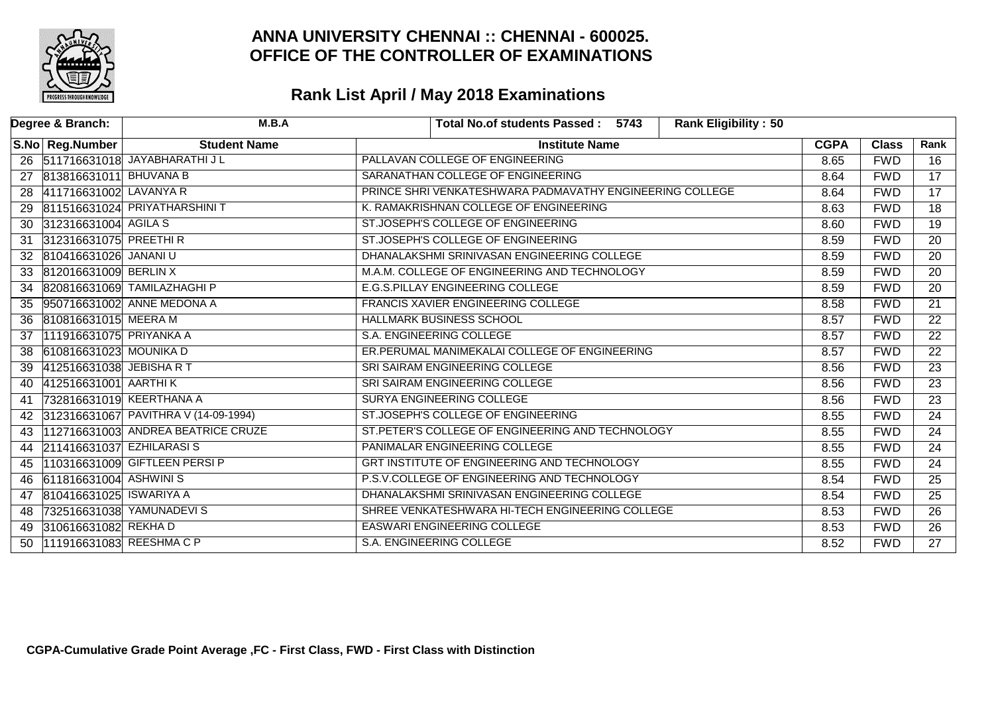

|    | Degree & Branch:          | M.B.A                                | <b>Rank Eligibility: 50</b><br>Total No.of students Passed: 5743 |             |              |                 |
|----|---------------------------|--------------------------------------|------------------------------------------------------------------|-------------|--------------|-----------------|
|    | S.No Reg.Number           | <b>Student Name</b>                  | <b>Institute Name</b>                                            | <b>CGPA</b> | <b>Class</b> | Rank            |
|    |                           | 26 511716631018 JAYABHARATHI JL      | PALLAVAN COLLEGE OF ENGINEERING                                  | 8.65        | <b>FWD</b>   | 16              |
| 27 | 813816631011 BHUVANA B    |                                      | SARANATHAN COLLEGE OF ENGINEERING                                | 8.64        | <b>FWD</b>   | $\overline{17}$ |
| 28 | 411716631002 LAVANYA R    |                                      | PRINCE SHRI VENKATESHWARA PADMAVATHY ENGINEERING COLLEGE         | 8.64        | <b>FWD</b>   | $\overline{17}$ |
| 29 |                           | 811516631024 PRIYATHARSHINIT         | K. RAMAKRISHNAN COLLEGE OF ENGINEERING                           | 8.63        | <b>FWD</b>   | $\overline{18}$ |
| 30 | 312316631004 AGILA S      |                                      | ST.JOSEPH'S COLLEGE OF ENGINEERING                               | 8.60        | <b>FWD</b>   | 19              |
| 31 | 312316631075 PREETHIR     |                                      | ST.JOSEPH'S COLLEGE OF ENGINEERING                               | 8.59        | <b>FWD</b>   | $\overline{20}$ |
| 32 | 810416631026 JANANI U     |                                      | DHANALAKSHMI SRINIVASAN ENGINEERING COLLEGE                      | 8.59        | <b>FWD</b>   | $\overline{20}$ |
| 33 | 812016631009 BERLIN X     |                                      | M.A.M. COLLEGE OF ENGINEERING AND TECHNOLOGY                     | 8.59        | <b>FWD</b>   | 20              |
| 34 |                           | 820816631069 TAMILAZHAGHI P          | E.G.S.PILLAY ENGINEERING COLLEGE                                 | 8.59        | <b>FWD</b>   | 20              |
| 35 |                           | 950716631002 ANNE MEDONA A           | FRANCIS XAVIER ENGINEERING COLLEGE                               | 8.58        | <b>FWD</b>   | $\overline{21}$ |
| 36 | 810816631015 MEERA M      |                                      | <b>HALLMARK BUSINESS SCHOOL</b>                                  | 8.57        | <b>FWD</b>   | $\overline{22}$ |
| 37 | 111916631075 PRIYANKA A   |                                      | S.A. ENGINEERING COLLEGE                                         | 8.57        | <b>FWD</b>   | $\overline{22}$ |
| 38 | 610816631023 MOUNIKA D    |                                      | ER.PERUMAL MANIMEKALAI COLLEGE OF ENGINEERING                    | 8.57        | <b>FWD</b>   | $\overline{22}$ |
| 39 | 412516631038 JEBISHA R T  |                                      | SRI SAIRAM ENGINEERING COLLEGE                                   | 8.56        | <b>FWD</b>   | $\overline{23}$ |
| 40 | 412516631001 AARTHIK      |                                      | SRI SAIRAM ENGINEERING COLLEGE                                   | 8.56        | <b>FWD</b>   | $\overline{23}$ |
| 41 |                           | 732816631019 KEERTHANA A             | SURYA ENGINEERING COLLEGE                                        | 8.56        | <b>FWD</b>   | 23              |
| 42 |                           | 312316631067 PAVITHRA V (14-09-1994) | ST.JOSEPH'S COLLEGE OF ENGINEERING                               | 8.55        | <b>FWD</b>   | $\overline{24}$ |
| 43 |                           | 112716631003 ANDREA BEATRICE CRUZE   | ST.PETER'S COLLEGE OF ENGINEERING AND TECHNOLOGY                 | 8.55        | <b>FWD</b>   | $\overline{24}$ |
| 44 | 211416631037 EZHILARASI S |                                      | PANIMALAR ENGINEERING COLLEGE                                    | 8.55        | <b>FWD</b>   | $\overline{24}$ |
| 45 |                           | 110316631009 GIFTLEEN PERSI P        | GRT INSTITUTE OF ENGINEERING AND TECHNOLOGY                      | 8.55        | <b>FWD</b>   | 24              |
| 46 | 611816631004 ASHWINIS     |                                      | P.S.V.COLLEGE OF ENGINEERING AND TECHNOLOGY                      | 8.54        | <b>FWD</b>   | $\overline{25}$ |
| 47 | 810416631025 ISWARIYA A   |                                      | DHANALAKSHMI SRINIVASAN ENGINEERING COLLEGE                      | 8.54        | <b>FWD</b>   | $\overline{25}$ |
| 48 |                           | 732516631038 YAMUNADEVIS             | SHREE VENKATESHWARA HI-TECH ENGINEERING COLLEGE                  | 8.53        | <b>FWD</b>   | $\overline{26}$ |
| 49 | 310616631082 REKHAD       |                                      | EASWARI ENGINEERING COLLEGE                                      | 8.53        | <b>FWD</b>   | $\overline{26}$ |
| 50 | 111916631083 REESHMA C P  |                                      | S.A. ENGINEERING COLLEGE                                         | 8.52        | <b>FWD</b>   | $\overline{27}$ |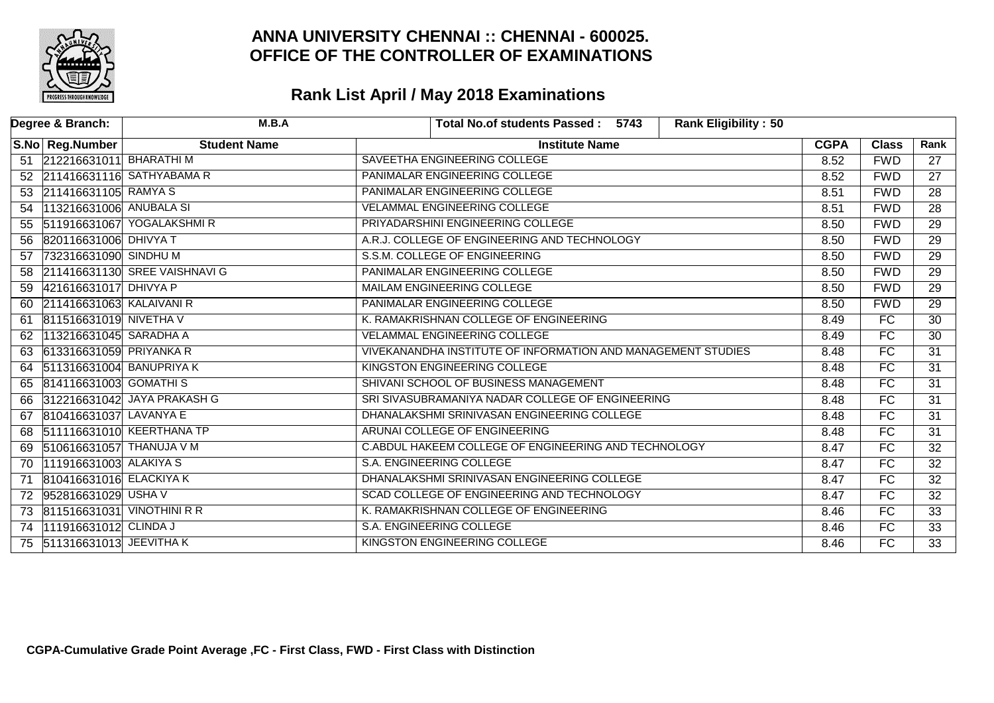

|    | Degree & Branch:           | M.B.A                         | <b>Rank Eligibility: 50</b><br>Total No.of students Passed: 5743 |             |                 |                 |
|----|----------------------------|-------------------------------|------------------------------------------------------------------|-------------|-----------------|-----------------|
|    | S.No Reg.Number            | <b>Student Name</b>           | <b>Institute Name</b>                                            | <b>CGPA</b> | <b>Class</b>    | Rank            |
|    | 51 212216631011 BHARATHI M |                               | SAVEETHA ENGINEERING COLLEGE                                     | 8.52        | <b>FWD</b>      | 27              |
|    |                            | 52 211416631116 SATHYABAMA R  | PANIMALAR ENGINEERING COLLEGE                                    | 8.52        | <b>FWD</b>      | $\overline{27}$ |
|    | 53 211416631105 RAMYA S    |                               | PANIMALAR ENGINEERING COLLEGE                                    | 8.51        | <b>FWD</b>      | $\overline{28}$ |
| 54 | 113216631006 ANUBALA SI    |                               | <b>VELAMMAL ENGINEERING COLLEGE</b>                              | 8.51        | <b>FWD</b>      | $\overline{28}$ |
| 55 |                            | 511916631067 YOGALAKSHMIR     | PRIYADARSHINI ENGINEERING COLLEGE                                | 8.50        | <b>FWD</b>      | $\overline{29}$ |
| 56 | 820116631006 DHIVYA T      |                               | A.R.J. COLLEGE OF ENGINEERING AND TECHNOLOGY                     | 8.50        | <b>FWD</b>      | $\overline{29}$ |
| 57 | 732316631090 SINDHU M      |                               | S.S.M. COLLEGE OF ENGINEERING                                    | 8.50        | <b>FWD</b>      | $\overline{29}$ |
| 58 |                            | 211416631130 SREE VAISHNAVI G | PANIMALAR ENGINEERING COLLEGE                                    | 8.50        | <b>FWD</b>      | $\overline{29}$ |
| 59 | 421616631017 DHIVYA P      |                               | MAILAM ENGINEERING COLLEGE                                       | 8.50        | <b>FWD</b>      | 29              |
| 60 | 211416631063 KALAIVANI R   |                               | PANIMALAR ENGINEERING COLLEGE                                    | 8.50        | <b>FWD</b>      | $\overline{29}$ |
| 61 | 811516631019 NIVETHA V     |                               | K. RAMAKRISHNAN COLLEGE OF ENGINEERING                           | 8.49        | <b>FC</b>       | $\overline{30}$ |
| 62 | 113216631045 SARADHA A     |                               | <b>VELAMMAL ENGINEERING COLLEGE</b>                              | 8.49        | FC              | 30              |
| 63 | 613316631059 PRIYANKA R    |                               | VIVEKANANDHA INSTITUTE OF INFORMATION AND MANAGEMENT STUDIES     | 8.48        | FC              | $\overline{31}$ |
| 64 | 511316631004 BANUPRIYA K   |                               | KINGSTON ENGINEERING COLLEGE                                     | 8.48        | $\overline{FC}$ | $\overline{31}$ |
|    | 65 814116631003 GOMATHIS   |                               | SHIVANI SCHOOL OF BUSINESS MANAGEMENT                            | 8.48        | FC              | 31              |
| 66 |                            | 312216631042 JAYA PRAKASH G   | SRI SIVASUBRAMANIYA NADAR COLLEGE OF ENGINEERING                 | 8.48        | FC              | $\overline{31}$ |
| 67 | 810416631037 LAVANYA E     |                               | DHANALAKSHMI SRINIVASAN ENGINEERING COLLEGE                      | 8.48        | FC              | $\overline{31}$ |
| 68 |                            | 511116631010 KEERTHANA TP     | ARUNAI COLLEGE OF ENGINEERING                                    | 8.48        | $\overline{FC}$ | $\overline{31}$ |
| 69 | 510616631057 THANUJA V M   |                               | C.ABDUL HAKEEM COLLEGE OF ENGINEERING AND TECHNOLOGY             | 8.47        | FC              | $\overline{32}$ |
| 70 | 111916631003 ALAKIYA S     |                               | S.A. ENGINEERING COLLEGE                                         | 8.47        | FC              | $\overline{32}$ |
| 71 | 810416631016 ELACKIYA K    |                               | DHANALAKSHMI SRINIVASAN ENGINEERING COLLEGE                      | 8.47        | FC              | $\overline{32}$ |
| 72 | 952816631029 USHA V        |                               | SCAD COLLEGE OF ENGINEERING AND TECHNOLOGY                       | 8.47        | FC              | $\overline{32}$ |
|    |                            | 73 811516631031 VINOTHINI R R | K. RAMAKRISHNAN COLLEGE OF ENGINEERING                           |             | FC              | $\overline{33}$ |
| 74 | 111916631012 CLINDA J      |                               | S.A. ENGINEERING COLLEGE                                         |             |                 | $\overline{33}$ |
| 75 | 511316631013 JEEVITHA K    |                               | KINGSTON ENGINEERING COLLEGE<br>8.46                             |             |                 | $\overline{33}$ |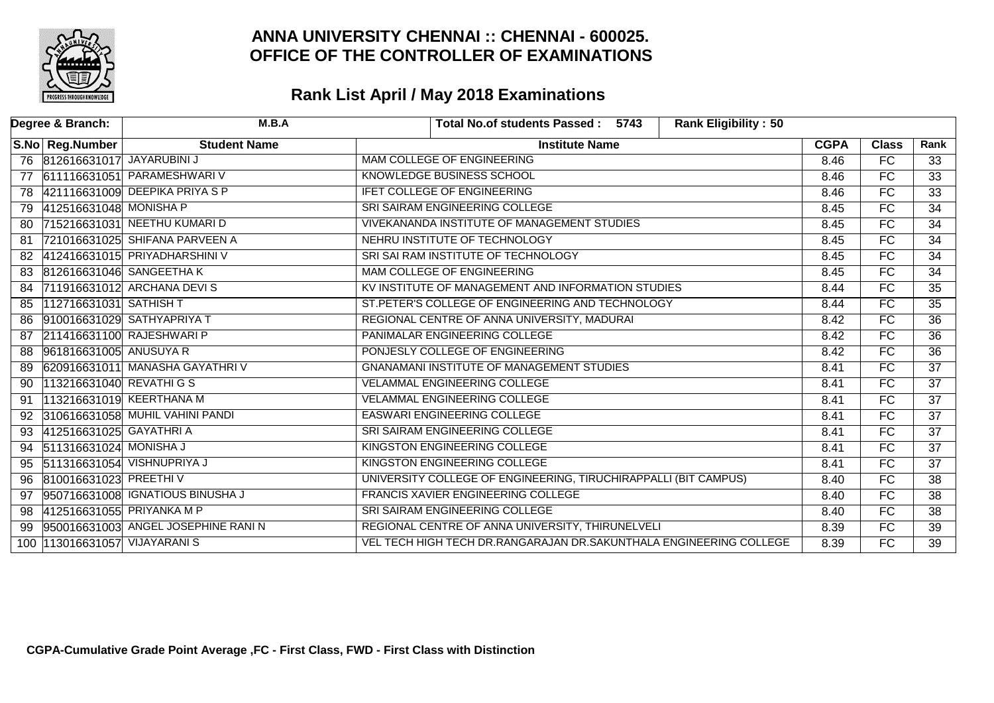

|    | Degree & Branch:               | M.B.A                              | <b>Rank Eligibility: 50</b><br>Total No.of students Passed: 5743   |             |                 |                 |
|----|--------------------------------|------------------------------------|--------------------------------------------------------------------|-------------|-----------------|-----------------|
|    | S.No Reg.Number                | <b>Student Name</b>                | <b>Institute Name</b>                                              | <b>CGPA</b> | <b>Class</b>    | Rank            |
|    | 76 812616631017 JAYARUBINI J   |                                    | <b>MAM COLLEGE OF ENGINEERING</b>                                  | 8.46        | $\overline{FC}$ | 33              |
| 77 |                                | 611116631051 PARAMESHWARI V        | <b>KNOWLEDGE BUSINESS SCHOOL</b>                                   | 8.46        | FC              | $\overline{33}$ |
| 78 |                                | 421116631009 DEEPIKA PRIYA S P     | <b>IFET COLLEGE OF ENGINEERING</b>                                 | 8.46        | $\overline{FC}$ | $\overline{33}$ |
| 79 | 412516631048 MONISHA P         |                                    | SRI SAIRAM ENGINEERING COLLEGE                                     | 8.45        | FC              | 34              |
| 80 |                                | 715216631031 NEETHU KUMARI D       | <b>VIVEKANANDA INSTITUTE OF MANAGEMENT STUDIES</b>                 | 8.45        | FC              | $\overline{34}$ |
| 81 |                                | 721016631025 SHIFANA PARVEEN A     | NEHRU INSTITUTE OF TECHNOLOGY                                      | 8.45        | FC              | $\overline{34}$ |
|    |                                | 412416631015 PRIYADHARSHINI V      | SRI SAI RAM INSTITUTE OF TECHNOLOGY                                | 8.45        | $\overline{FC}$ | $\overline{34}$ |
| 83 |                                | 812616631046 SANGEETHAK            | MAM COLLEGE OF ENGINEERING                                         | 8.45        | FC              | $\overline{34}$ |
| 84 |                                | 711916631012 ARCHANA DEVIS         | KV INSTITUTE OF MANAGEMENT AND INFORMATION STUDIES                 | 8.44        | FC              | $\overline{35}$ |
| 85 | 112716631031 SATHISH T         |                                    | ST.PETER'S COLLEGE OF ENGINEERING AND TECHNOLOGY                   | 8.44        | FC              | 35              |
| 86 |                                | 910016631029 SATHYAPRIYA T         | REGIONAL CENTRE OF ANNA UNIVERSITY, MADURAI                        | 8.42        | FC              | $\overline{36}$ |
| 87 |                                | 211416631100 RAJESHWARI P          | PANIMALAR ENGINEERING COLLEGE                                      | 8.42        | $\overline{FC}$ | $\overline{36}$ |
| 88 | 961816631005 ANUSUYA R         |                                    | PONJESLY COLLEGE OF ENGINEERING                                    | 8.42        | FC              | 36              |
| 89 |                                | 620916631011 MANASHA GAYATHRI V    | <b>GNANAMANI INSTITUTE OF MANAGEMENT STUDIES</b>                   | 8.41        | $\overline{FC}$ | $\overline{37}$ |
| 90 | 113216631040 REVATHI G S       |                                    | VELAMMAL ENGINEERING COLLEGE                                       | 8.41        | FC              | $\overline{37}$ |
| 91 |                                | 113216631019 KEERTHANA M           | <b>VELAMMAL ENGINEERING COLLEGE</b>                                | 8.41        | FC              | 37              |
| 92 |                                | 310616631058 MUHIL VAHINI PANDI    | <b>EASWARI ENGINEERING COLLEGE</b>                                 | 8.41        | FC              | 37              |
| 93 | 412516631025 GAYATHRI A        |                                    | SRI SAIRAM ENGINEERING COLLEGE                                     | 8.41        | $\overline{FC}$ | $\overline{37}$ |
| 94 | 511316631024 MONISHA J         |                                    | KINGSTON ENGINEERING COLLEGE                                       | 8.41        | FC              | $\overline{37}$ |
| 95 |                                | 511316631054 VISHNUPRIYA J         | KINGSTON ENGINEERING COLLEGE                                       | 8.41        | FC              | $\overline{37}$ |
| 96 | 810016631023 PREETHIV          |                                    | UNIVERSITY COLLEGE OF ENGINEERING, TIRUCHIRAPPALLI (BIT CAMPUS)    | 8.40        | FC              | $\overline{38}$ |
| 97 |                                | 950716631008 IGNATIOUS BINUSHA J   | FRANCIS XAVIER ENGINEERING COLLEGE                                 | 8.40        | FC              | $\overline{38}$ |
| 98 |                                | 412516631055 PRIYANKA M P          | SRI SAIRAM ENGINEERING COLLEGE                                     | 8.40        | FC              | 38              |
| 99 |                                | 950016631003 ANGEL JOSEPHINE RANIN | REGIONAL CENTRE OF ANNA UNIVERSITY, THIRUNELVELI                   | 8.39        | FC              | $\overline{39}$ |
|    | 100   13016631057 VIJAYARANI S |                                    | VEL TECH HIGH TECH DR.RANGARAJAN DR.SAKUNTHALA ENGINEERING COLLEGE | 8.39        | $\overline{FC}$ | $\overline{39}$ |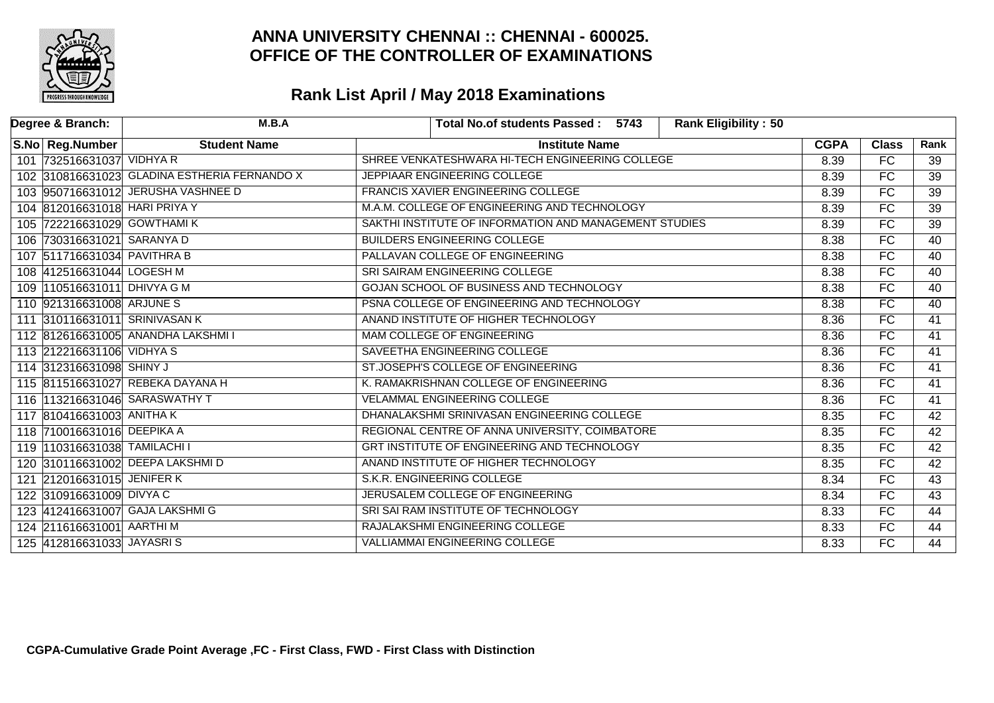

| Degree & Branch:                | M.B.A                                        | <b>Rank Eligibility: 50</b><br>Total No.of students Passed: 5743 |             |                 |                 |
|---------------------------------|----------------------------------------------|------------------------------------------------------------------|-------------|-----------------|-----------------|
| S.No Reg.Number                 | <b>Student Name</b>                          | <b>Institute Name</b>                                            | <b>CGPA</b> | <b>Class</b>    | Rank            |
| 101 732516631037 VIDHYA R       |                                              | SHREE VENKATESHWARA HI-TECH ENGINEERING COLLEGE                  | 8.39        | FC              | 39              |
|                                 | 102 310816631023 GLADINA ESTHERIA FERNANDO X | JEPPIAAR ENGINEERING COLLEGE                                     | 8.39        | FC              | $\overline{39}$ |
|                                 | 103 950716631012 JERUSHA VASHNEE D           | <b>FRANCIS XAVIER ENGINEERING COLLEGE</b>                        | 8.39        | FC              | $\overline{39}$ |
| 104 812016631018 HARI PRIYA Y   |                                              | M.A.M. COLLEGE OF ENGINEERING AND TECHNOLOGY                     | 8.39        | FC              | $\overline{39}$ |
| 105 722216631029 GOWTHAMI K     |                                              | SAKTHI INSTITUTE OF INFORMATION AND MANAGEMENT STUDIES           | 8.39        | FC              | $\overline{39}$ |
| 106 730316631021 SARANYA D      |                                              | <b>BUILDERS ENGINEERING COLLEGE</b>                              | 8.38        | FC              | 40              |
| 107 511716631034 PAVITHRA B     |                                              | PALLAVAN COLLEGE OF ENGINEERING                                  | 8.38        | $\overline{FC}$ | 40              |
| 108 412516631044 LOGESH M       |                                              | SRI SAIRAM ENGINEERING COLLEGE                                   | 8.38        | FC              | 40              |
| 109 110516631011 DHIVYA G M     |                                              | GOJAN SCHOOL OF BUSINESS AND TECHNOLOGY                          | 8.38        | <b>FC</b>       | 40              |
| 110 921316631008 ARJUNES        |                                              | PSNA COLLEGE OF ENGINEERING AND TECHNOLOGY                       | 8.38        | FC              | 40              |
| 111 310116631011 SRINIVASAN K   |                                              | ANAND INSTITUTE OF HIGHER TECHNOLOGY                             | 8.36        | FC              | 41              |
|                                 | 112 812616631005 ANANDHA LAKSHMI I           | <b>MAM COLLEGE OF ENGINEERING</b>                                | 8.36        | FC              | 41              |
| 113 212216631106 VIDHYA S       |                                              | SAVEETHA ENGINEERING COLLEGE                                     | 8.36        | FC              | 41              |
| 114 312316631098 SHINY J        |                                              | ST.JOSEPH'S COLLEGE OF ENGINEERING                               | 8.36        | FC              | 41              |
|                                 | 115 811516631027 REBEKA DAYANA H             | K. RAMAKRISHNAN COLLEGE OF ENGINEERING                           | 8.36        | FC              | 41              |
| 116 113216631046 SARASWATHY T   |                                              | <b>VELAMMAL ENGINEERING COLLEGE</b>                              | 8.36        | FC              | 41              |
| 117 810416631003 ANITHA K       |                                              | DHANALAKSHMI SRINIVASAN ENGINEERING COLLEGE                      | 8.35        | FC              | 42              |
| 118 710016631016 DEEPIKA A      |                                              | REGIONAL CENTRE OF ANNA UNIVERSITY, COIMBATORE                   | 8.35        | FC              | 42              |
| 119 110316631038 TAMILACHI I    |                                              | GRT INSTITUTE OF ENGINEERING AND TECHNOLOGY                      | 8.35        | FC              | 42              |
|                                 | 120 310116631002 DEEPA LAKSHMID              | ANAND INSTITUTE OF HIGHER TECHNOLOGY                             | 8.35        | FC              | 42              |
| 121 212016631015 JENIFER K      |                                              | S.K.R. ENGINEERING COLLEGE                                       | 8.34        | FC              | 43              |
| 122 310916631009 DIVYA C        |                                              | JERUSALEM COLLEGE OF ENGINEERING                                 | 8.34        | FC              | $\overline{43}$ |
| 123 412416631007 GAJA LAKSHMI G |                                              | SRI SAI RAM INSTITUTE OF TECHNOLOGY                              | 8.33        | FC              | 44              |
| 124 211616631001 AARTHI M       |                                              | RAJALAKSHMI ENGINEERING COLLEGE                                  | 8.33        | FC              | 44              |
| 125 412816631033 JAYASRIS       |                                              | <b>VALLIAMMAI ENGINEERING COLLEGE</b>                            | 8.33        | FC              | 44              |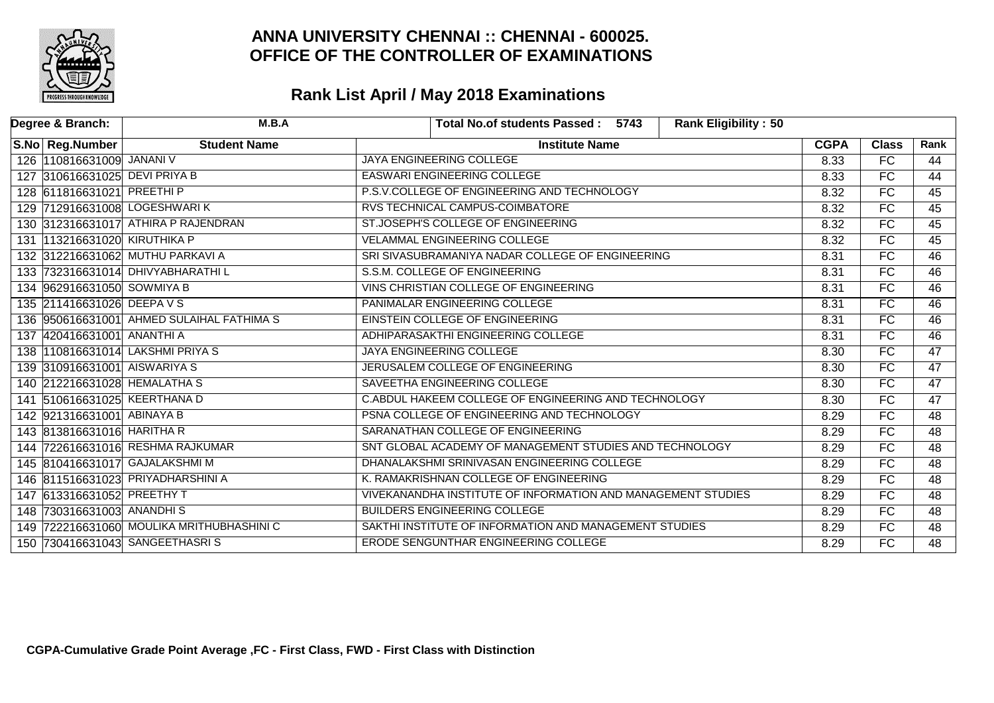

| Degree & Branch:              | M.B.A                                     | <b>Rank Eligibility: 50</b><br>Total No.of students Passed: 5743 |             |                 |                 |
|-------------------------------|-------------------------------------------|------------------------------------------------------------------|-------------|-----------------|-----------------|
| S.No Reg.Number               | <b>Student Name</b>                       | <b>Institute Name</b>                                            | <b>CGPA</b> | <b>Class</b>    | Rank            |
| 126 110816631009 JANANI V     |                                           | JAYA ENGINEERING COLLEGE                                         | 8.33        | FC              | 44              |
| 127 310616631025 DEVI PRIYA B |                                           | <b>EASWARI ENGINEERING COLLEGE</b>                               | 8.33        | FC              | 44              |
| 128 611816631021 PREETHI P    |                                           | P.S.V.COLLEGE OF ENGINEERING AND TECHNOLOGY                      | 8.32        | $\overline{FC}$ | $\overline{45}$ |
|                               | 129 712916631008 LOGESHWARIK              | RVS TECHNICAL CAMPUS-COIMBATORE                                  | 8.32        | FC              | $\overline{45}$ |
|                               | 130 312316631017 ATHIRA P RAJENDRAN       | ST.JOSEPH'S COLLEGE OF ENGINEERING                               | 8.32        | FC              | $\overline{45}$ |
| 131 13216631020 KIRUTHIKA P   |                                           | <b>VELAMMAL ENGINEERING COLLEGE</b>                              | 8.32        | FC              | 45              |
|                               | 132 312216631062 MUTHU PARKAVI A          | SRI SIVASUBRAMANIYA NADAR COLLEGE OF ENGINEERING                 | 8.31        | $\overline{FC}$ | $\overline{46}$ |
|                               | 133 732316631014 DHIVYABHARATHI L         | S.S.M. COLLEGE OF ENGINEERING                                    | 8.31        | FC              | 46              |
| 134 962916631050 SOWMIYA B    |                                           | VINS CHRISTIAN COLLEGE OF ENGINEERING                            | 8.31        | FC              | $\overline{46}$ |
| 135 211416631026 DEEPA V S    |                                           | PANIMALAR ENGINEERING COLLEGE                                    | 8.31        | FC              | 46              |
|                               | 136 950616631001 AHMED SULAIHAL FATHIMA S | EINSTEIN COLLEGE OF ENGINEERING                                  | 8.31        | FC              | 46              |
| 137 420416631001 ANANTHI A    |                                           | ADHIPARASAKTHI ENGINEERING COLLEGE                               | 8.31        | FC              | 46              |
|                               | 138 110816631014 LAKSHMI PRIYA S          | JAYA ENGINEERING COLLEGE                                         | 8.30        | FC              | 47              |
| 139 310916631001 AISWARIYA S  |                                           | JERUSALEM COLLEGE OF ENGINEERING                                 | 8.30        | FC              | $\overline{47}$ |
| 140 212216631028 HEMALATHA S  |                                           | SAVEETHA ENGINEERING COLLEGE                                     | 8.30        | FC              | 47              |
| 141 510616631025 KEERTHANA D  |                                           | C.ABDUL HAKEEM COLLEGE OF ENGINEERING AND TECHNOLOGY             | 8.30        | FC.             | 47              |
| 142 921316631001 ABINAYA B    |                                           | PSNA COLLEGE OF ENGINEERING AND TECHNOLOGY                       | 8.29        | FC              | 48              |
| 143 813816631016 HARITHA R    |                                           | SARANATHAN COLLEGE OF ENGINEERING                                | 8.29        | FC              | $\overline{48}$ |
|                               | 144 722616631016 RESHMA RAJKUMAR          | SNT GLOBAL ACADEMY OF MANAGEMENT STUDIES AND TECHNOLOGY          | 8.29        | FC              | 48              |
|                               | 145 810416631017 GAJALAKSHMI M            | DHANALAKSHMI SRINIVASAN ENGINEERING COLLEGE                      | 8.29        | FC.             | 48              |
|                               | 146 811516631023 PRIYADHARSHINI A         | K. RAMAKRISHNAN COLLEGE OF ENGINEERING                           | 8.29        | FC              | 48              |
| 147 613316631052 PREETHY T    |                                           | VIVEKANANDHA INSTITUTE OF INFORMATION AND MANAGEMENT STUDIES     | 8.29        | $\overline{FC}$ | $\overline{48}$ |
| 148 730316631003 ANANDHIS     |                                           | BUILDERS ENGINEERING COLLEGE                                     | 8.29        | FC              | 48              |
|                               | 149 722216631060 MOULIKA MRITHUBHASHINI C | SAKTHI INSTITUTE OF INFORMATION AND MANAGEMENT STUDIES           | 8.29        | FC              | $\overline{48}$ |
|                               | 150 730416631043 SANGEETHASRIS            | ERODE SENGUNTHAR ENGINEERING COLLEGE                             | 8.29        | $\overline{FC}$ | $\overline{48}$ |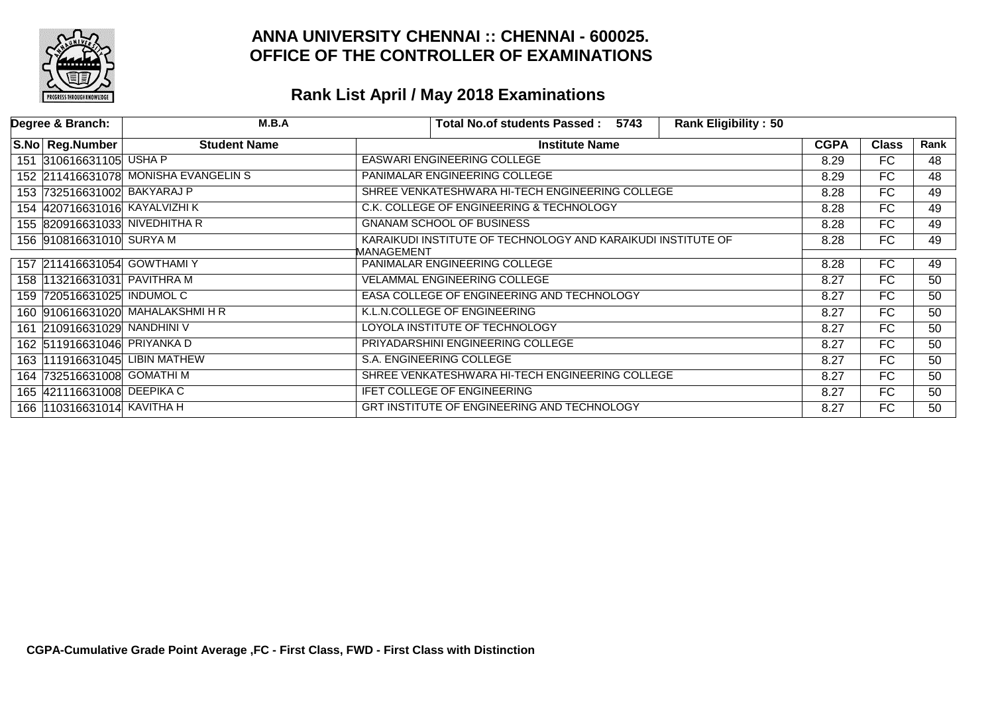

| Degree & Branch:               | M.B.A                                |                                                    | Total No.of students Passed: 5743                            | <b>Rank Eligibility: 50</b> |             |              |      |
|--------------------------------|--------------------------------------|----------------------------------------------------|--------------------------------------------------------------|-----------------------------|-------------|--------------|------|
| S.No Reg.Number                | <b>Student Name</b>                  |                                                    | <b>Institute Name</b>                                        |                             | <b>CGPA</b> | <b>Class</b> | Rank |
| 151 310616631105 USHA P        |                                      | <b>EASWARI ENGINEERING COLLEGE</b>                 |                                                              |                             | 8.29        | FC.          | 48   |
|                                | 152 211416631078 MONISHA EVANGELIN S | PANIMALAR ENGINEERING COLLEGE                      |                                                              |                             | 8.29        | FC.          | 48   |
| 153 732516631002 BAKYARAJ P    |                                      |                                                    | SHREE VENKATESHWARA HI-TECH ENGINEERING COLLEGE              |                             | 8.28        | FC.          | 49   |
| 154 420716631016 KAYALVIZHI K  |                                      | C.K. COLLEGE OF ENGINEERING & TECHNOLOGY           |                                                              |                             | 8.28        | FC.          | 49   |
| 155 820916631033 NIVEDHITHA R  |                                      | <b>GNANAM SCHOOL OF BUSINESS</b>                   |                                                              |                             | 8.28        | FC           | 49   |
| 156 910816631010 SURYA M       |                                      |                                                    | KARAIKUDI INSTITUTE OF TECHNOLOGY AND KARAIKUDI INSTITUTE OF |                             | 8.28        | FC.          | 49   |
| 157 211416631054 GOWTHAMI Y    |                                      | MANAGEMENT<br>PANIMALAR ENGINEERING COLLEGE        |                                                              |                             | 8.28        | FC.          | 49   |
| 158   13216631031 PAVITHRA M   |                                      | VELAMMAL ENGINEERING COLLEGE                       |                                                              |                             | 8.27        | FC.          | 50   |
| 159 720516631025 INDUMOL C     |                                      | EASA COLLEGE OF ENGINEERING AND TECHNOLOGY         |                                                              |                             | 8.27        | FC.          | 50   |
|                                | 160 910616631020 MAHALAKSHMI H R     | K.L.N.COLLEGE OF ENGINEERING                       |                                                              |                             | 8.27        | FC.          | 50   |
| 161 210916631029 NANDHINI V    |                                      | LOYOLA INSTITUTE OF TECHNOLOGY                     |                                                              |                             | 8.27        | FC.          | 50   |
| 162 511916631046 PRIYANKA D    |                                      | PRIYADARSHINI ENGINEERING COLLEGE                  |                                                              |                             | 8.27        | FC.          | 50   |
| 163  111916631045 LIBIN MATHEW |                                      | S.A. ENGINEERING COLLEGE                           |                                                              |                             | 8.27        | FC.          | 50   |
| 164 732516631008 GOMATHI M     |                                      |                                                    | SHREE VENKATESHWARA HI-TECH ENGINEERING COLLEGE              |                             | 8.27        | FC.          | 50   |
| 165 421116631008 DEEPIKA C     |                                      | IFET COLLEGE OF ENGINEERING                        |                                                              |                             | 8.27        | FC.          | 50   |
| 166   110316631014 KAVITHA H   |                                      | <b>GRT INSTITUTE OF ENGINEERING AND TECHNOLOGY</b> |                                                              |                             | 8.27        | FC.          | 50   |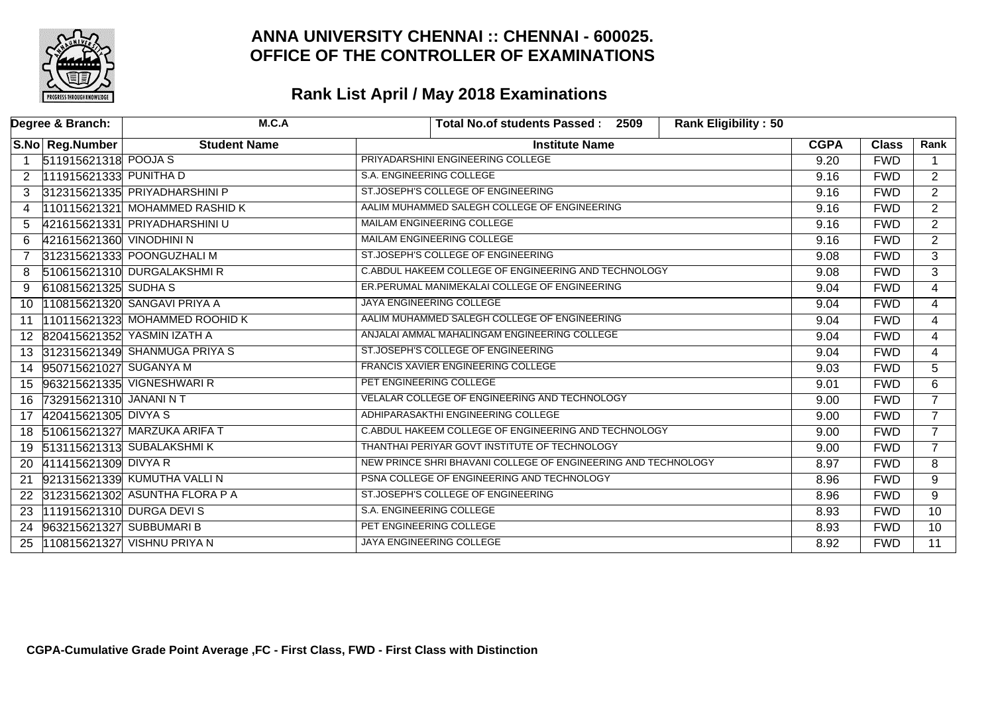

|    | Degree & Branch:         | M.C.A                           | <b>Rank Eligibility: 50</b><br>Total No.of students Passed: 2509 |             |              |                 |
|----|--------------------------|---------------------------------|------------------------------------------------------------------|-------------|--------------|-----------------|
|    | S.No Reg.Number          | <b>Student Name</b>             | <b>Institute Name</b>                                            | <b>CGPA</b> | <b>Class</b> | Rank            |
|    | 511915621318 POOJA S     |                                 | PRIYADARSHINI ENGINEERING COLLEGE                                | 9.20        | <b>FWD</b>   | $\mathbf 1$     |
| 2  | 111915621333 PUNITHA D   |                                 | S.A. ENGINEERING COLLEGE                                         | 9.16        | <b>FWD</b>   | $\overline{2}$  |
| 3  |                          | 312315621335 PRIYADHARSHINI P   | ST.JOSEPH'S COLLEGE OF ENGINEERING                               | 9.16        | <b>FWD</b>   | $\overline{2}$  |
| 4  |                          | 110115621321 MOHAMMED RASHID K  | AALIM MUHAMMED SALEGH COLLEGE OF ENGINEERING                     | 9.16        | <b>FWD</b>   | $\overline{2}$  |
| 5  |                          | 421615621331 PRIYADHARSHINI U   | MAILAM ENGINEERING COLLEGE                                       | 9.16        | <b>FWD</b>   | 2 <sup>1</sup>  |
| 6  | 421615621360 VINODHINI N |                                 | <b>MAILAM ENGINEERING COLLEGE</b>                                | 9.16        | <b>FWD</b>   | $\overline{2}$  |
|    |                          | 312315621333 POONGUZHALI M      | ST.JOSEPH'S COLLEGE OF ENGINEERING                               | 9.08        | <b>FWD</b>   | $\overline{3}$  |
| 8  |                          | 510615621310 DURGALAKSHMIR      | C.ABDUL HAKEEM COLLEGE OF ENGINEERING AND TECHNOLOGY             | 9.08        | <b>FWD</b>   | 3               |
| 9  | 610815621325 SUDHA S     |                                 | ER. PERUMAL MANIMEKALAI COLLEGE OF ENGINEERING                   | 9.04        | <b>FWD</b>   | 4               |
| 10 |                          | 110815621320 SANGAVI PRIYA A    | JAYA ENGINEERING COLLEGE                                         | 9.04        | <b>FWD</b>   | $\overline{4}$  |
| 11 |                          | 110115621323 MOHAMMED ROOHID K  | AALIM MUHAMMED SALEGH COLLEGE OF ENGINEERING                     | 9.04        | <b>FWD</b>   | $\overline{4}$  |
|    |                          | 12 820415621352 YASMIN IZATH A  | ANJALAI AMMAL MAHALINGAM ENGINEERING COLLEGE                     | 9.04        | <b>FWD</b>   | $\overline{4}$  |
| 13 |                          | 312315621349 SHANMUGA PRIYA S   | ST.JOSEPH'S COLLEGE OF ENGINEERING                               | 9.04        | <b>FWD</b>   | 4               |
| 14 | 950715621027 SUGANYA M   |                                 | <b>FRANCIS XAVIER ENGINEERING COLLEGE</b>                        | 9.03        | <b>FWD</b>   | $\overline{5}$  |
|    |                          | 15 963215621335 VIGNESHWARI R   | PET ENGINEERING COLLEGE                                          | 9.01        | <b>FWD</b>   | 6               |
| 16 | 732915621310 JANANI N T  |                                 | VELALAR COLLEGE OF ENGINEERING AND TECHNOLOGY                    | 9.00        | <b>FWD</b>   | $\overline{7}$  |
| 17 | 420415621305 DIVYA S     |                                 | ADHIPARASAKTHI ENGINEERING COLLEGE                               | 9.00        | <b>FWD</b>   | $\overline{7}$  |
|    |                          | 18 510615621327 MARZUKA ARIFA T | C.ABDUL HAKEEM COLLEGE OF ENGINEERING AND TECHNOLOGY             | 9.00        | <b>FWD</b>   | $\overline{7}$  |
| 19 |                          | 513115621313 SUBALAKSHMIK       | THANTHAI PERIYAR GOVT INSTITUTE OF TECHNOLOGY                    | 9.00        | <b>FWD</b>   | $\overline{7}$  |
| 20 | 411415621309 DIVYA R     |                                 | NEW PRINCE SHRI BHAVANI COLLEGE OF ENGINEERING AND TECHNOLOGY    | 8.97        | <b>FWD</b>   | 8               |
| 21 |                          | 921315621339 KUMUTHA VALLIN     | PSNA COLLEGE OF ENGINEERING AND TECHNOLOGY                       | 8.96        | <b>FWD</b>   | $\overline{9}$  |
| 22 |                          | 312315621302 ASUNTHA FLORA P A  | ST.JOSEPH'S COLLEGE OF ENGINEERING                               | 8.96        | <b>FWD</b>   | 9               |
| 23 |                          | 111915621310 DURGA DEVIS        | S.A. ENGINEERING COLLEGE                                         | 8.93        | <b>FWD</b>   | 10 <sup>°</sup> |
| 24 | 963215621327 SUBBUMARI B |                                 | PET ENGINEERING COLLEGE                                          | 8.93        | <b>FWD</b>   | 10              |
|    |                          | 110815621327 VISHNU PRIYA N     | <b>JAYA ENGINEERING COLLEGE</b>                                  | 8.92        | <b>FWD</b>   | $\overline{11}$ |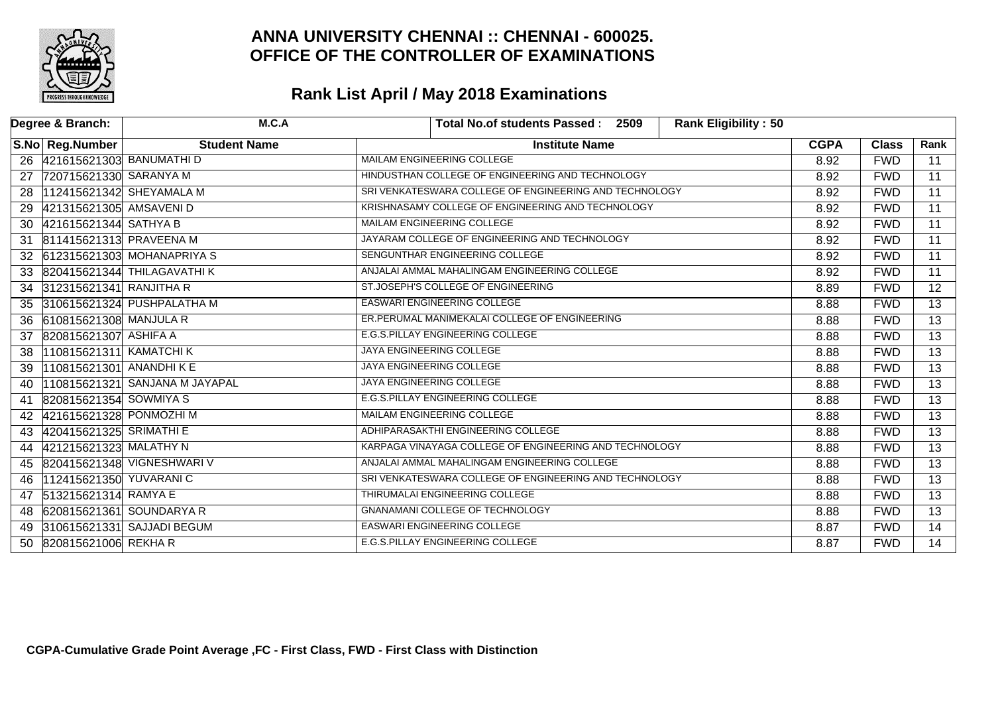

|    | Degree & Branch:           | M.C.A                          | <b>Rank Eligibility: 50</b><br><b>Total No.of students Passed:</b><br>2509 |             |              |                 |
|----|----------------------------|--------------------------------|----------------------------------------------------------------------------|-------------|--------------|-----------------|
|    | S.No Reg.Number            | <b>Student Name</b>            | <b>Institute Name</b>                                                      | <b>CGPA</b> | <b>Class</b> | Rank            |
|    | 26 421615621303 BANUMATHID |                                | MAILAM ENGINEERING COLLEGE                                                 | 8.92        | <b>FWD</b>   | $\overline{11}$ |
| 27 | 720715621330 SARANYA M     |                                | HINDUSTHAN COLLEGE OF ENGINEERING AND TECHNOLOGY                           | 8.92        | <b>FWD</b>   | $\overline{11}$ |
| 28 | 112415621342 SHEYAMALA M   |                                | SRI VENKATESWARA COLLEGE OF ENGINEERING AND TECHNOLOGY                     | 8.92        | <b>FWD</b>   | $\overline{11}$ |
| 29 | 421315621305 AMSAVENI D    |                                | KRISHNASAMY COLLEGE OF ENGINEERING AND TECHNOLOGY                          | 8.92        | <b>FWD</b>   | $\overline{11}$ |
| 30 | 421615621344 SATHYA B      |                                | MAILAM ENGINEERING COLLEGE                                                 | 8.92        | <b>FWD</b>   | $\overline{11}$ |
| 31 | 811415621313 PRAVEENA M    |                                | JAYARAM COLLEGE OF ENGINEERING AND TECHNOLOGY                              | 8.92        | <b>FWD</b>   | $\overline{11}$ |
| 32 |                            | 612315621303 MOHANAPRIYA S     | SENGUNTHAR ENGINEERING COLLEGE                                             | 8.92        | <b>FWD</b>   | $\overline{11}$ |
| 33 |                            | 820415621344 THILAGAVATHI K    | ANJALAI AMMAL MAHALINGAM ENGINEERING COLLEGE                               | 8.92        | <b>FWD</b>   | $\overline{11}$ |
| 34 | 312315621341 RANJITHA R    |                                | ST.JOSEPH'S COLLEGE OF ENGINEERING                                         | 8.89        | <b>FWD</b>   | $\overline{12}$ |
| 35 |                            | 310615621324 PUSHPALATHA M     | <b>EASWARI ENGINEERING COLLEGE</b>                                         | 8.88        | <b>FWD</b>   | $\overline{13}$ |
| 36 | 610815621308 MANJULA R     |                                | ER. PERUMAL MANIMEKALAI COLLEGE OF ENGINEERING                             | 8.88        | <b>FWD</b>   | $\overline{13}$ |
| 37 | 820815621307 ASHIFA A      |                                | E.G.S.PILLAY ENGINEERING COLLEGE                                           | 8.88        | <b>FWD</b>   | $\overline{13}$ |
| 38 | 110815621311 KAMATCHI K    |                                | <b>JAYA ENGINEERING COLLEGE</b>                                            | 8.88        | <b>FWD</b>   | $\overline{13}$ |
| 39 | 110815621301 ANANDHIKE     |                                | JAYA ENGINEERING COLLEGE                                                   | 8.88        | <b>FWD</b>   | $\overline{13}$ |
| 40 |                            | 110815621321 SANJANA M JAYAPAL | <b>JAYA ENGINEERING COLLEGE</b>                                            | 8.88        | <b>FWD</b>   | $\overline{13}$ |
| 41 | 820815621354 SOWMIYA S     |                                | E.G.S.PILLAY ENGINEERING COLLEGE                                           | 8.88        | <b>FWD</b>   | $\overline{13}$ |
| 42 | 421615621328 PONMOZHI M    |                                | <b>MAILAM ENGINEERING COLLEGE</b>                                          | 8.88        | <b>FWD</b>   | $\overline{13}$ |
| 43 | 420415621325 SRIMATHI E    |                                | ADHIPARASAKTHI ENGINEERING COLLEGE                                         | 8.88        | <b>FWD</b>   | $\overline{13}$ |
| 44 | 421215621323 MALATHY N     |                                | KARPAGA VINAYAGA COLLEGE OF ENGINEERING AND TECHNOLOGY                     | 8.88        | <b>FWD</b>   | $\overline{13}$ |
| 45 |                            | 820415621348 VIGNESHWARI V     | ANJALAI AMMAL MAHALINGAM ENGINEERING COLLEGE                               | 8.88        | <b>FWD</b>   | $\overline{13}$ |
| 46 | 112415621350 YUVARANIC     |                                | SRI VENKATESWARA COLLEGE OF ENGINEERING AND TECHNOLOGY                     | 8.88        | <b>FWD</b>   | $\overline{13}$ |
|    | 47 513215621314 RAMYA E    |                                | THIRUMALAI ENGINEERING COLLEGE                                             | 8.88        | <b>FWD</b>   | $\overline{13}$ |
| 48 |                            | 620815621361 SOUNDARYA R       | <b>GNANAMANI COLLEGE OF TECHNOLOGY</b>                                     | 8.88        | <b>FWD</b>   | $\overline{13}$ |
| 49 |                            | 310615621331 SAJJADI BEGUM     | <b>EASWARI ENGINEERING COLLEGE</b>                                         | 8.87        | <b>FWD</b>   | 14              |
| 50 | 820815621006 REKHAR        |                                | E.G.S.PILLAY ENGINEERING COLLEGE                                           | 8.87        | <b>FWD</b>   | $\overline{14}$ |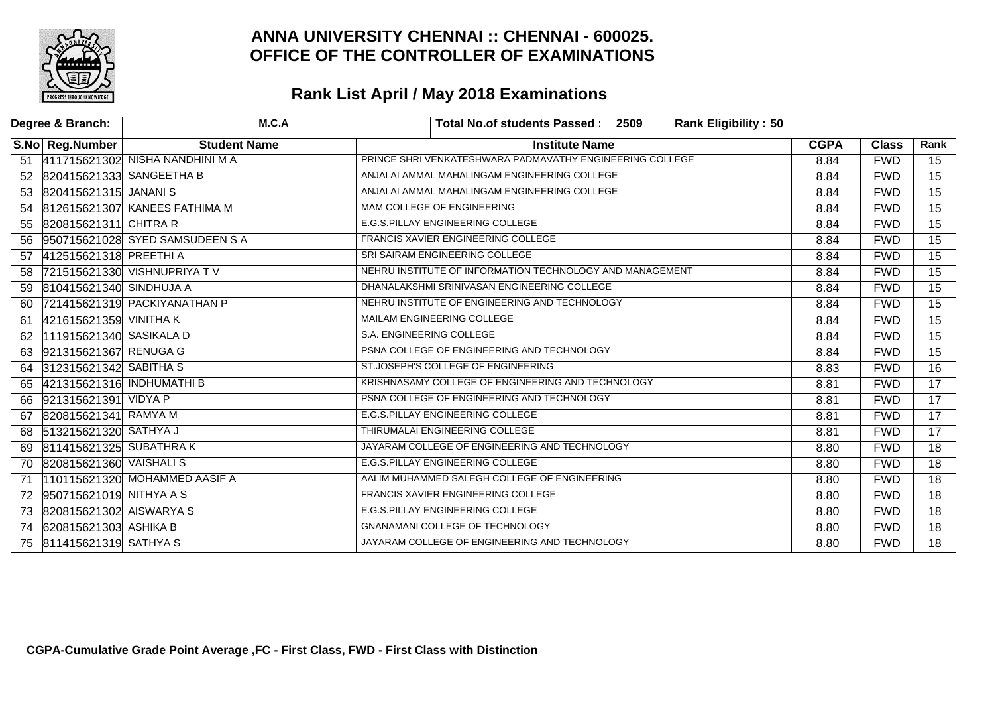

|    | Degree & Branch:           | M.C.A                             | <b>Rank Eligibility: 50</b><br>Total No.of students Passed: 2509 |             |              |                 |
|----|----------------------------|-----------------------------------|------------------------------------------------------------------|-------------|--------------|-----------------|
|    | S.No Reg.Number            | <b>Student Name</b>               | <b>Institute Name</b>                                            | <b>CGPA</b> | <b>Class</b> | Rank            |
|    |                            | 51 411715621302 NISHA NANDHINI MA | PRINCE SHRI VENKATESHWARA PADMAVATHY ENGINEERING COLLEGE         | 8.84        | <b>FWD</b>   | $\overline{15}$ |
| 52 | 820415621333 SANGEETHA B   |                                   | ANJALAI AMMAL MAHALINGAM ENGINEERING COLLEGE                     | 8.84        | <b>FWD</b>   | $\overline{15}$ |
|    | 53 820415621315 JANANIS    |                                   | ANJALAI AMMAL MAHALINGAM ENGINEERING COLLEGE                     | 8.84        | <b>FWD</b>   | $\overline{15}$ |
|    |                            | 54 812615621307 KANEES FATHIMA M  | MAM COLLEGE OF ENGINEERING                                       | 8.84        | <b>FWD</b>   | 15              |
| 55 | 820815621311 CHITRA R      |                                   | <b>E.G.S.PILLAY ENGINEERING COLLEGE</b>                          | 8.84        | <b>FWD</b>   | $\overline{15}$ |
| 56 |                            | 950715621028 SYED SAMSUDEEN S A   | <b>FRANCIS XAVIER ENGINEERING COLLEGE</b>                        | 8.84        | <b>FWD</b>   | $\overline{15}$ |
| 57 | 412515621318 PREETHI A     |                                   | SRI SAIRAM ENGINEERING COLLEGE                                   | 8.84        | <b>FWD</b>   | $\overline{15}$ |
| 58 |                            | 721515621330 VISHNUPRIYA TV       | NEHRU INSTITUTE OF INFORMATION TECHNOLOGY AND MANAGEMENT         | 8.84        | <b>FWD</b>   | $\overline{15}$ |
|    | 59 810415621340 SINDHUJA A |                                   | DHANALAKSHMI SRINIVASAN ENGINEERING COLLEGE                      | 8.84        | <b>FWD</b>   | 15              |
| 60 |                            | 721415621319 PACKIYANATHAN P      | NEHRU INSTITUTE OF ENGINEERING AND TECHNOLOGY                    | 8.84        | <b>FWD</b>   | $\overline{15}$ |
| 61 | 421615621359 VINITHAK      |                                   | MAILAM ENGINEERING COLLEGE                                       | 8.84        | <b>FWD</b>   | $\overline{15}$ |
| 62 | 111915621340 SASIKALA D    |                                   | S.A. ENGINEERING COLLEGE                                         | 8.84        | <b>FWD</b>   | 15              |
| 63 | 921315621367 RENUGA G      |                                   | PSNA COLLEGE OF ENGINEERING AND TECHNOLOGY                       | 8.84        | <b>FWD</b>   | 15              |
|    | 64 312315621342 SABITHA S  |                                   | ST.JOSEPH'S COLLEGE OF ENGINEERING                               | 8.83        | <b>FWD</b>   | $\overline{16}$ |
|    |                            | 65 421315621316 INDHUMATHI B      | KRISHNASAMY COLLEGE OF ENGINEERING AND TECHNOLOGY                | 8.81        | <b>FWD</b>   | $\overline{17}$ |
|    | 66 921315621391 VIDYA P    |                                   | PSNA COLLEGE OF ENGINEERING AND TECHNOLOGY                       | 8.81        | <b>FWD</b>   | $\overline{17}$ |
|    | 67 820815621341 RAMYA M    |                                   | <b>E.G.S.PILLAY ENGINEERING COLLEGE</b>                          | 8.81        | <b>FWD</b>   | $\overline{17}$ |
|    | 68 513215621320 SATHYA J   |                                   | THIRUMALAI ENGINEERING COLLEGE                                   | 8.81        | <b>FWD</b>   | $\overline{17}$ |
|    | 69 811415621325 SUBATHRAK  |                                   | JAYARAM COLLEGE OF ENGINEERING AND TECHNOLOGY                    | 8.80        | <b>FWD</b>   | $\overline{18}$ |
|    | 70 820815621360 VAISHALIS  |                                   | E.G.S.PILLAY ENGINEERING COLLEGE                                 | 8.80        | <b>FWD</b>   | $\overline{18}$ |
| 71 |                            | 110115621320 MOHAMMED AASIF A     | AALIM MUHAMMED SALEGH COLLEGE OF ENGINEERING                     | 8.80        | <b>FWD</b>   | $\overline{18}$ |
| 72 | 950715621019 NITHYA A S    |                                   | FRANCIS XAVIER ENGINEERING COLLEGE                               | 8.80        | <b>FWD</b>   | $\overline{18}$ |
|    | 73 820815621302 AISWARYA S |                                   | E.G.S.PILLAY ENGINEERING COLLEGE                                 | 8.80        | <b>FWD</b>   | $\overline{18}$ |
| 74 | 620815621303 ASHIKA B      |                                   | <b>GNANAMANI COLLEGE OF TECHNOLOGY</b>                           | 8.80        | <b>FWD</b>   | $\overline{18}$ |
|    | 75 811415621319 SATHYA S   |                                   | JAYARAM COLLEGE OF ENGINEERING AND TECHNOLOGY                    | 8.80        | <b>FWD</b>   | $\overline{18}$ |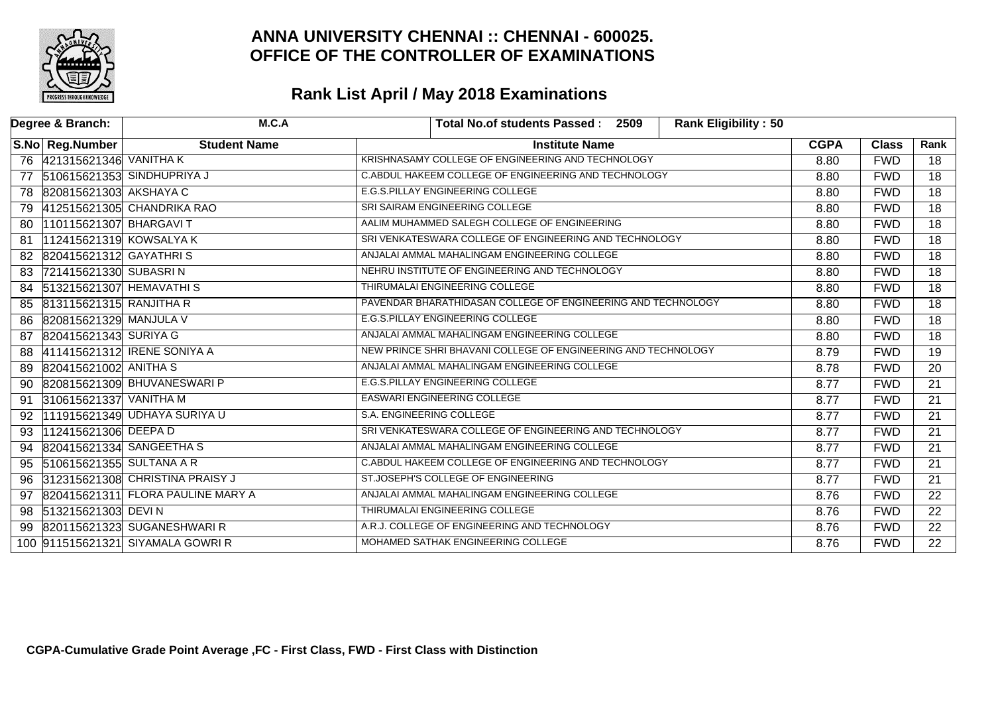

|    | Degree & Branch:            | M.C.A                             | <b>Rank Eligibility: 50</b><br>Total No.of students Passed: 2509 |             |              |                 |
|----|-----------------------------|-----------------------------------|------------------------------------------------------------------|-------------|--------------|-----------------|
|    | S.No Reg.Number             | <b>Student Name</b>               | <b>Institute Name</b>                                            | <b>CGPA</b> | <b>Class</b> | Rank            |
|    | 76 421315621346 VANITHA K   |                                   | KRISHNASAMY COLLEGE OF ENGINEERING AND TECHNOLOGY                | 8.80        | <b>FWD</b>   | 18              |
| 77 |                             | 510615621353 SINDHUPRIYA J        | C.ABDUL HAKEEM COLLEGE OF ENGINEERING AND TECHNOLOGY             | 8.80        | <b>FWD</b>   | $\overline{18}$ |
| 78 | 820815621303 AKSHAYA C      |                                   | E.G.S.PILLAY ENGINEERING COLLEGE                                 | 8.80        | <b>FWD</b>   | $\overline{18}$ |
|    |                             | 79  412515621305 CHANDRIKA RAO    | SRI SAIRAM ENGINEERING COLLEGE                                   | 8.80        | <b>FWD</b>   | $\overline{18}$ |
| 80 | 110115621307 BHARGAVI T     |                                   | AALIM MUHAMMED SALEGH COLLEGE OF ENGINEERING                     | 8.80        | <b>FWD</b>   | 18              |
| 81 | 112415621319 KOWSALYA K     |                                   | SRI VENKATESWARA COLLEGE OF ENGINEERING AND TECHNOLOGY           | 8.80        | <b>FWD</b>   | $\overline{18}$ |
|    | 82 820415621312 GAYATHRIS   |                                   | ANJALAI AMMAL MAHALINGAM ENGINEERING COLLEGE                     | 8.80        | <b>FWD</b>   | $\overline{18}$ |
| 83 | 721415621330 SUBASRIN       |                                   | NEHRU INSTITUTE OF ENGINEERING AND TECHNOLOGY                    | 8.80        | <b>FWD</b>   | $\overline{18}$ |
|    | 84 513215621307 HEMAVATHIS  |                                   | THIRUMALAI ENGINEERING COLLEGE                                   | 8.80        | <b>FWD</b>   | $\overline{18}$ |
| 85 | 813115621315 RANJITHA R     |                                   | PAVENDAR BHARATHIDASAN COLLEGE OF ENGINEERING AND TECHNOLOGY     | 8.80        | <b>FWD</b>   | $\overline{18}$ |
| 86 | 820815621329 MANJULA V      |                                   | E.G.S.PILLAY ENGINEERING COLLEGE                                 | 8.80        | <b>FWD</b>   | $\overline{18}$ |
|    | 87 820415621343 SURIYA G    |                                   | ANJALAI AMMAL MAHALINGAM ENGINEERING COLLEGE                     | 8.80        | <b>FWD</b>   | $\overline{18}$ |
| 88 |                             | 411415621312 IRENE SONIYA A       | NEW PRINCE SHRI BHAVANI COLLEGE OF ENGINEERING AND TECHNOLOGY    | 8.79        | <b>FWD</b>   | $\overline{19}$ |
| 89 | 820415621002 ANITHA S       |                                   | ANJALAI AMMAL MAHALINGAM ENGINEERING COLLEGE                     | 8.78        | <b>FWD</b>   | $\overline{20}$ |
| 90 |                             | 820815621309 BHUVANESWARI P       | E.G.S.PILLAY ENGINEERING COLLEGE                                 | 8.77        | <b>FWD</b>   | $\overline{21}$ |
| 91 | 310615621337 VANITHA M      |                                   | <b>EASWARI ENGINEERING COLLEGE</b>                               | 8.77        | <b>FWD</b>   | 21              |
| 92 |                             | 111915621349 UDHAYA SURIYA U      | S.A. ENGINEERING COLLEGE                                         | 8.77        | <b>FWD</b>   | $\overline{21}$ |
| 93 | 112415621306 DEEPA D        |                                   | SRI VENKATESWARA COLLEGE OF ENGINEERING AND TECHNOLOGY           | 8.77        | <b>FWD</b>   | $\overline{21}$ |
| 94 | 820415621334 SANGEETHA S    |                                   | ANJALAI AMMAL MAHALINGAM ENGINEERING COLLEGE                     | 8.77        | <b>FWD</b>   | $\overline{21}$ |
|    | 95 510615621355 SULTANA A R |                                   | C.ABDUL HAKEEM COLLEGE OF ENGINEERING AND TECHNOLOGY             | 8.77        | <b>FWD</b>   | $\overline{21}$ |
| 96 |                             | 312315621308 CHRISTINA PRAISY J   | ST.JOSEPH'S COLLEGE OF ENGINEERING                               | 8.77        | <b>FWD</b>   | $\overline{21}$ |
| 97 |                             | 820415621311 FLORA PAULINE MARY A | ANJALAI AMMAL MAHALINGAM ENGINEERING COLLEGE                     | 8.76        | <b>FWD</b>   | $\overline{22}$ |
|    | 98 513215621303 DEVIN       |                                   | THIRUMALAI ENGINEERING COLLEGE                                   | 8.76        | <b>FWD</b>   | $\overline{22}$ |
| 99 |                             | 820115621323 SUGANESHWARI R       | A.R.J. COLLEGE OF ENGINEERING AND TECHNOLOGY                     | 8.76        | <b>FWD</b>   | $\overline{22}$ |
|    |                             | 100 911515621321 SIYAMALA GOWRI R | MOHAMED SATHAK ENGINEERING COLLEGE                               | 8.76        | <b>FWD</b>   | $\overline{22}$ |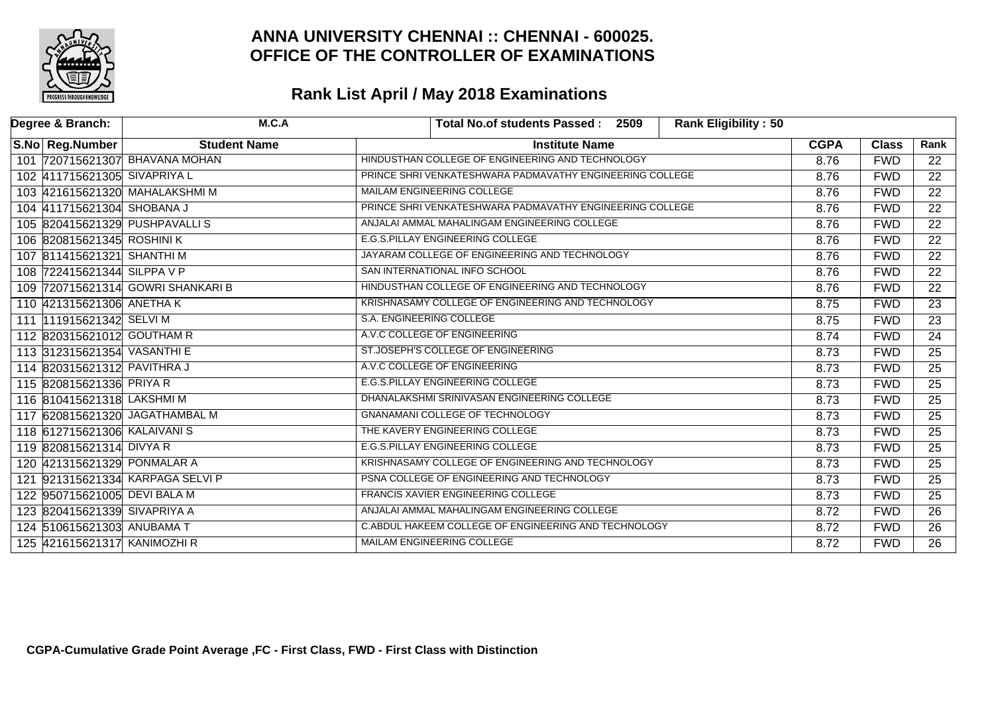

| Degree & Branch:             | M.C.A                             | <b>Rank Eligibility: 50</b><br>Total No.of students Passed: 2509 |             |              |                 |
|------------------------------|-----------------------------------|------------------------------------------------------------------|-------------|--------------|-----------------|
| S.No Reg.Number              | <b>Student Name</b>               | <b>Institute Name</b>                                            | <b>CGPA</b> | <b>Class</b> | Rank            |
|                              | 101 720715621307 BHAVANA MOHAN    | HINDUSTHAN COLLEGE OF ENGINEERING AND TECHNOLOGY                 | 8.76        | <b>FWD</b>   | 22              |
| 102 411715621305 SIVAPRIYA L |                                   | PRINCE SHRI VENKATESHWARA PADMAVATHY ENGINEERING COLLEGE         | 8.76        | <b>FWD</b>   | $\overline{22}$ |
|                              | 103 421615621320 MAHALAKSHMI M    | MAILAM ENGINEERING COLLEGE                                       | 8.76        | <b>FWD</b>   | $\overline{22}$ |
| 104 411715621304 SHOBANA J   |                                   | PRINCE SHRI VENKATESHWARA PADMAVATHY ENGINEERING COLLEGE         | 8.76        | <b>FWD</b>   | 22              |
|                              | 105 820415621329 PUSHPAVALLIS     | ANJALAI AMMAL MAHALINGAM ENGINEERING COLLEGE                     | 8.76        | <b>FWD</b>   | 22              |
| 106 820815621345 ROSHINIK    |                                   | E.G.S. PILLAY ENGINEERING COLLEGE                                | 8.76        | <b>FWD</b>   | $\overline{22}$ |
| 107 811415621321 SHANTHIM    |                                   | JAYARAM COLLEGE OF ENGINEERING AND TECHNOLOGY                    | 8.76        | <b>FWD</b>   | $\overline{22}$ |
| 108 722415621344 SILPPA V P  |                                   | SAN INTERNATIONAL INFO SCHOOL                                    | 8.76        | <b>FWD</b>   | 22              |
|                              | 109 720715621314 GOWRI SHANKARI B | HINDUSTHAN COLLEGE OF ENGINEERING AND TECHNOLOGY                 | 8.76        | <b>FWD</b>   | $\overline{22}$ |
| 110 421315621306 ANETHAK     |                                   | KRISHNASAMY COLLEGE OF ENGINEERING AND TECHNOLOGY                | 8.75        | <b>FWD</b>   | $\overline{23}$ |
| 111 11915621342 SELVI M      |                                   | S.A. ENGINEERING COLLEGE                                         | 8.75        | <b>FWD</b>   | $\overline{23}$ |
| 112 820315621012 GOUTHAM R   |                                   | A.V.C COLLEGE OF ENGINEERING                                     | 8.74        | <b>FWD</b>   | $\overline{24}$ |
| 113 312315621354 VASANTHI E  |                                   | ST.JOSEPH'S COLLEGE OF ENGINEERING                               | 8.73        | <b>FWD</b>   | 25              |
| 114 820315621312 PAVITHRA J  |                                   | A.V.C COLLEGE OF ENGINEERING                                     | 8.73        | <b>FWD</b>   | $\overline{25}$ |
| 115 820815621336 PRIYA R     |                                   | E.G.S.PILLAY ENGINEERING COLLEGE                                 | 8.73        | <b>FWD</b>   | $\overline{25}$ |
| 116 810415621318 LAKSHMI M   |                                   | DHANALAKSHMI SRINIVASAN ENGINEERING COLLEGE                      | 8.73        | <b>FWD</b>   | $\overline{25}$ |
|                              | 117 620815621320 JAGATHAMBAL M    | <b>GNANAMANI COLLEGE OF TECHNOLOGY</b>                           | 8.73        | <b>FWD</b>   | $\overline{25}$ |
| 118 612715621306 KALAIVANIS  |                                   | THE KAVERY ENGINEERING COLLEGE                                   | 8.73        | <b>FWD</b>   | $\overline{25}$ |
| 119 820815621314 DIVYA R     |                                   | E.G.S.PILLAY ENGINEERING COLLEGE                                 | 8.73        | <b>FWD</b>   | $\overline{25}$ |
| 120 421315621329 PONMALAR A  |                                   | KRISHNASAMY COLLEGE OF ENGINEERING AND TECHNOLOGY                | 8.73        | <b>FWD</b>   | $\overline{25}$ |
|                              | 121 921315621334 KARPAGA SELVI P  | PSNA COLLEGE OF ENGINEERING AND TECHNOLOGY                       | 8.73        | <b>FWD</b>   | 25              |
| 122 950715621005 DEVI BALA M |                                   | <b>FRANCIS XAVIER ENGINEERING COLLEGE</b>                        | 8.73        | <b>FWD</b>   | $\overline{25}$ |
| 123 820415621339 SIVAPRIYA A |                                   | ANJALAI AMMAL MAHALINGAM ENGINEERING COLLEGE                     | 8.72        | <b>FWD</b>   | $\overline{26}$ |
| 124 510615621303 ANUBAMA T   |                                   | C.ABDUL HAKEEM COLLEGE OF ENGINEERING AND TECHNOLOGY             | 8.72        | <b>FWD</b>   | $\overline{26}$ |
| 125 421615621317 KANIMOZHI R |                                   | MAILAM ENGINEERING COLLEGE                                       | 8.72        | <b>FWD</b>   | $\overline{26}$ |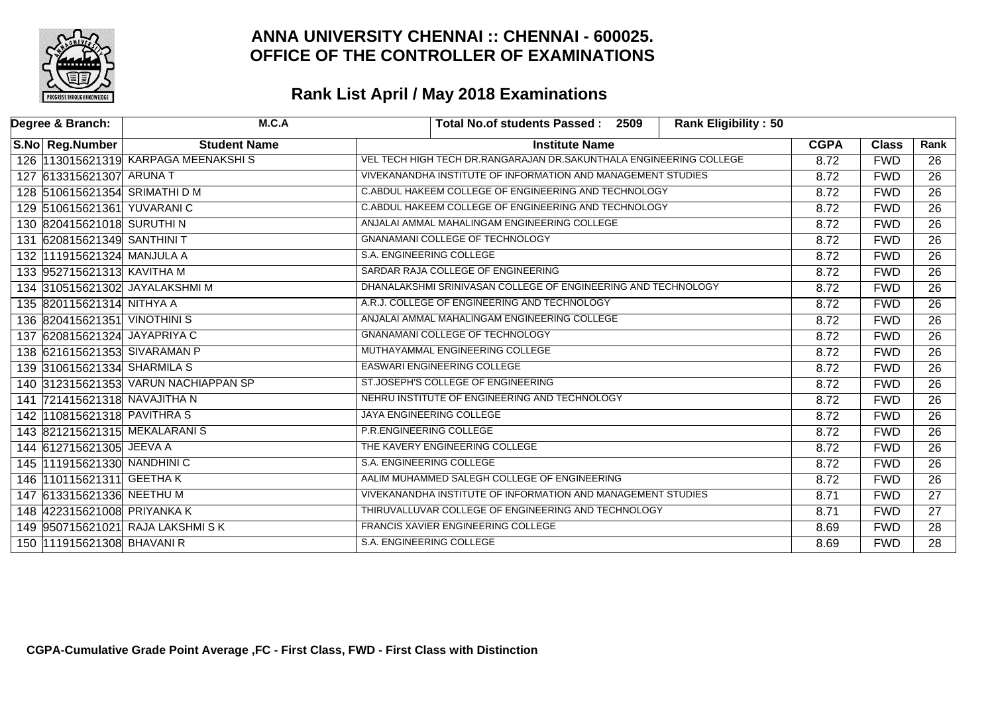

| Degree & Branch:              | M.C.A                                | <b>Rank Eligibility: 50</b><br>Total No.of students Passed: 2509   |             |              |                 |
|-------------------------------|--------------------------------------|--------------------------------------------------------------------|-------------|--------------|-----------------|
| S.No Reg.Number               | <b>Student Name</b>                  | <b>Institute Name</b>                                              | <b>CGPA</b> | <b>Class</b> | Rank            |
|                               | 126 113015621319 KARPAGA MEENAKSHIS  | VEL TECH HIGH TECH DR.RANGARAJAN DR.SAKUNTHALA ENGINEERING COLLEGE | 8.72        | <b>FWD</b>   | 26              |
| 127 613315621307 ARUNA T      |                                      | VIVEKANANDHA INSTITUTE OF INFORMATION AND MANAGEMENT STUDIES       | 8.72        | <b>FWD</b>   | $\overline{26}$ |
| 128 510615621354 SRIMATHI D M |                                      | C.ABDUL HAKEEM COLLEGE OF ENGINEERING AND TECHNOLOGY               | 8.72        | <b>FWD</b>   | $\overline{26}$ |
| 129 510615621361 YUVARANIC    |                                      | C. ABDUL HAKEEM COLLEGE OF ENGINEERING AND TECHNOLOGY              | 8.72        | <b>FWD</b>   | $\overline{26}$ |
| 130 820415621018 SURUTHIN     |                                      | ANJALAI AMMAL MAHALINGAM ENGINEERING COLLEGE                       | 8.72        | <b>FWD</b>   | $\overline{26}$ |
| 131 620815621349 SANTHINI T   |                                      | <b>GNANAMANI COLLEGE OF TECHNOLOGY</b>                             | 8.72        | <b>FWD</b>   | $\overline{26}$ |
| 132 111915621324 MANJULA A    |                                      | S.A. ENGINEERING COLLEGE                                           | 8.72        | <b>FWD</b>   | $\overline{26}$ |
| 133 952715621313 KAVITHA M    |                                      | SARDAR RAJA COLLEGE OF ENGINEERING                                 | 8.72        | <b>FWD</b>   | $\overline{26}$ |
|                               | 134 310515621302 JAYALAKSHMI M       | DHANALAKSHMI SRINIVASAN COLLEGE OF ENGINEERING AND TECHNOLOGY      | 8.72        | <b>FWD</b>   | $\overline{26}$ |
| 135 820115621314 NITHYA A     |                                      | A.R.J. COLLEGE OF ENGINEERING AND TECHNOLOGY                       | 8.72        | <b>FWD</b>   | $\overline{26}$ |
| 136 820415621351 VINOTHINIS   |                                      | ANJALAI AMMAL MAHALINGAM ENGINEERING COLLEGE                       | 8.72        | <b>FWD</b>   | $\overline{26}$ |
| 137 620815621324 JAYAPRIYA C  |                                      | <b>GNANAMANI COLLEGE OF TECHNOLOGY</b>                             | 8.72        | <b>FWD</b>   | $\overline{26}$ |
| 138 621615621353 SIVARAMAN P  |                                      | MUTHAYAMMAL ENGINEERING COLLEGE                                    | 8.72        | <b>FWD</b>   | 26              |
| 139 310615621334 SHARMILA S   |                                      | <b>EASWARI ENGINEERING COLLEGE</b>                                 | 8.72        | <b>FWD</b>   | $\overline{26}$ |
|                               | 140 312315621353 VARUN NACHIAPPAN SP | ST.JOSEPH'S COLLEGE OF ENGINEERING                                 | 8.72        | <b>FWD</b>   | $\overline{26}$ |
| 141 721415621318 NAVAJITHA N  |                                      | NEHRU INSTITUTE OF ENGINEERING AND TECHNOLOGY                      | 8.72        | <b>FWD</b>   | $\overline{26}$ |
| 142 110815621318 PAVITHRA S   |                                      | <b>JAYA ENGINEERING COLLEGE</b>                                    | 8.72        | <b>FWD</b>   | $\overline{26}$ |
|                               | 143 821215621315 MEKALARANIS         | P.R.ENGINEERING COLLEGE                                            | 8.72        | <b>FWD</b>   | $\overline{26}$ |
| 144 612715621305 JEEVA A      |                                      | THE KAVERY ENGINEERING COLLEGE                                     | 8.72        | <b>FWD</b>   | $\overline{26}$ |
| 145 111915621330 NANDHINI C   |                                      | S.A. ENGINEERING COLLEGE                                           | 8.72        | <b>FWD</b>   | $\overline{26}$ |
| 146 110115621311 GEETHA K     |                                      | AALIM MUHAMMED SALEGH COLLEGE OF ENGINEERING                       | 8.72        | <b>FWD</b>   | $\overline{26}$ |
| 147 613315621336 NEETHU M     |                                      | VIVEKANANDHA INSTITUTE OF INFORMATION AND MANAGEMENT STUDIES       | 8.71        | <b>FWD</b>   | $\overline{27}$ |
| 148 422315621008 PRIYANKA K   |                                      | THIRUVALLUVAR COLLEGE OF ENGINEERING AND TECHNOLOGY                | 8.71        | <b>FWD</b>   | $\overline{27}$ |
|                               | 149 950715621021 RAJA LAKSHMISK      | <b>FRANCIS XAVIER ENGINEERING COLLEGE</b>                          | 8.69        | <b>FWD</b>   | $\overline{28}$ |
| 150 111915621308 BHAVANIR     |                                      | S.A. ENGINEERING COLLEGE                                           | 8.69        | <b>FWD</b>   | $\overline{28}$ |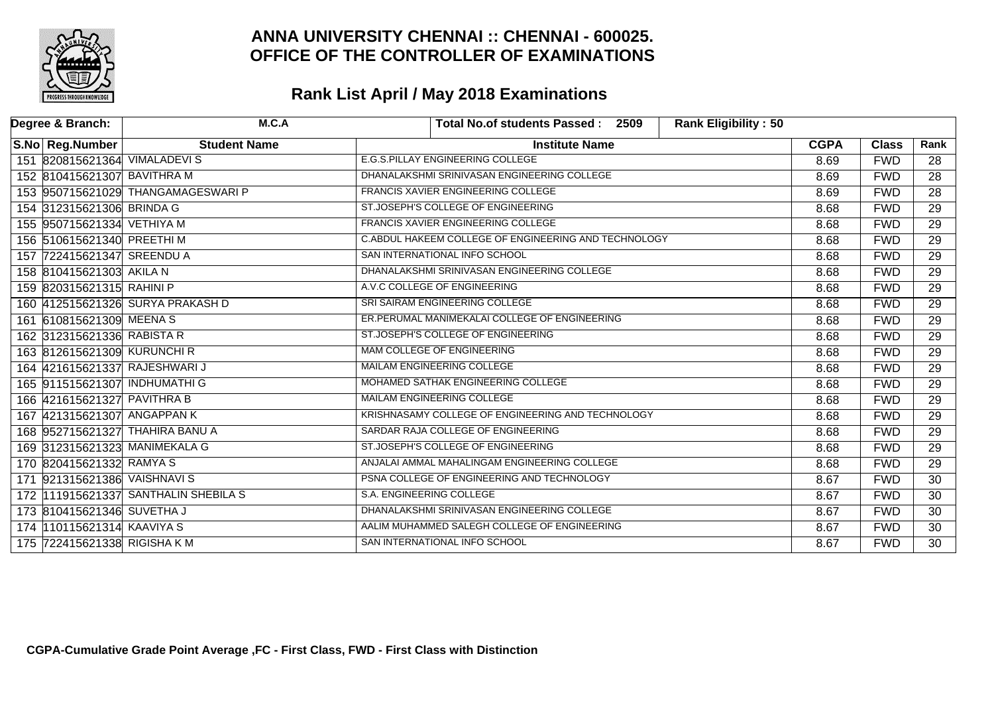

| Degree & Branch:                | M.C.A                               | <b>Rank Eligibility: 50</b><br>Total No.of students Passed: 2509 |             |              |                 |
|---------------------------------|-------------------------------------|------------------------------------------------------------------|-------------|--------------|-----------------|
| S.No Reg.Number                 | <b>Student Name</b>                 | <b>Institute Name</b>                                            | <b>CGPA</b> | <b>Class</b> | Rank            |
| 151 820815621364 VIMALADEVIS    |                                     | E.G.S.PILLAY ENGINEERING COLLEGE                                 | 8.69        | <b>FWD</b>   | 28              |
| 152 810415621307 BAVITHRA M     |                                     | DHANALAKSHMI SRINIVASAN ENGINEERING COLLEGE                      | 8.69        | <b>FWD</b>   | $\overline{28}$ |
|                                 | 153 950715621029 THANGAMAGESWARI P  | <b>FRANCIS XAVIER ENGINEERING COLLEGE</b>                        | 8.69        | <b>FWD</b>   | $\overline{28}$ |
| 154 312315621306 BRINDA G       |                                     | ST.JOSEPH'S COLLEGE OF ENGINEERING                               | 8.68        | <b>FWD</b>   | $\overline{29}$ |
| 155 950715621334 VETHIYA M      |                                     | <b>FRANCIS XAVIER ENGINEERING COLLEGE</b>                        | 8.68        | <b>FWD</b>   | $\overline{29}$ |
| 156 510615621340 PREETHIM       |                                     | C.ABDUL HAKEEM COLLEGE OF ENGINEERING AND TECHNOLOGY             | 8.68        | <b>FWD</b>   | $\overline{29}$ |
| 157 722415621347 SREENDU A      |                                     | SAN INTERNATIONAL INFO SCHOOL                                    | 8.68        | <b>FWD</b>   | $\overline{29}$ |
| 158 810415621303 AKILA N        |                                     | DHANALAKSHMI SRINIVASAN ENGINEERING COLLEGE                      | 8.68        | <b>FWD</b>   | $\overline{29}$ |
| 159 820315621315 RAHINI P       |                                     | A.V.C COLLEGE OF ENGINEERING                                     | 8.68        | <b>FWD</b>   | $\overline{29}$ |
|                                 | 160 412515621326 SURYA PRAKASH D    | SRI SAIRAM ENGINEERING COLLEGE                                   | 8.68        | <b>FWD</b>   | $\overline{29}$ |
| 161 610815621309 MEENA S        |                                     | ER. PERUMAL MANIMEKALAI COLLEGE OF ENGINEERING                   | 8.68        | <b>FWD</b>   | $\overline{29}$ |
| 162 312315621336 RABISTA R      |                                     | ST.JOSEPH'S COLLEGE OF ENGINEERING                               | 8.68        | <b>FWD</b>   | $\overline{29}$ |
| 163 812615621309 KURUNCHI R     |                                     | MAM COLLEGE OF ENGINEERING                                       | 8.68        | <b>FWD</b>   | $\overline{29}$ |
| 164 421615621337 RAJESHWARI J   |                                     | <b>MAILAM ENGINEERING COLLEGE</b>                                | 8.68        | <b>FWD</b>   | $\overline{29}$ |
| 165 911515621307 INDHUMATHI G   |                                     | MOHAMED SATHAK ENGINEERING COLLEGE                               | 8.68        | <b>FWD</b>   | $\overline{29}$ |
| 166 421615621327 PAVITHRA B     |                                     | MAILAM ENGINEERING COLLEGE                                       | 8.68        | <b>FWD</b>   | $\overline{29}$ |
| 167 421315621307 ANGAPPAN K     |                                     | KRISHNASAMY COLLEGE OF ENGINEERING AND TECHNOLOGY                | 8.68        | <b>FWD</b>   | $\overline{29}$ |
| 168 952715621327 THAHIRA BANU A |                                     | SARDAR RAJA COLLEGE OF ENGINEERING                               | 8.68        | <b>FWD</b>   | $\overline{29}$ |
| 169 312315621323 MANIMEKALA G   |                                     | ST.JOSEPH'S COLLEGE OF ENGINEERING                               | 8.68        | <b>FWD</b>   | $\overline{29}$ |
| 170 820415621332 RAMYA S        |                                     | ANJALAI AMMAL MAHALINGAM ENGINEERING COLLEGE                     | 8.68        | <b>FWD</b>   | $\overline{29}$ |
| 171 921315621386 VAISHNAVIS     |                                     | PSNA COLLEGE OF ENGINEERING AND TECHNOLOGY                       | 8.67        | <b>FWD</b>   | $\overline{30}$ |
|                                 | 172 11915621337 SANTHALIN SHEBILA S | S.A. ENGINEERING COLLEGE                                         | 8.67        | <b>FWD</b>   | $\overline{30}$ |
| 173 810415621346 SUVETHA J      |                                     | DHANALAKSHMI SRINIVASAN ENGINEERING COLLEGE                      | 8.67        | <b>FWD</b>   | $\overline{30}$ |
| 174 110115621314 KAAVIYA S      |                                     | AALIM MUHAMMED SALEGH COLLEGE OF ENGINEERING                     | 8.67        | <b>FWD</b>   | $\overline{30}$ |
| 175 722415621338 RIGISHA KM     |                                     | SAN INTERNATIONAL INFO SCHOOL                                    | 8.67        | <b>FWD</b>   | $\overline{30}$ |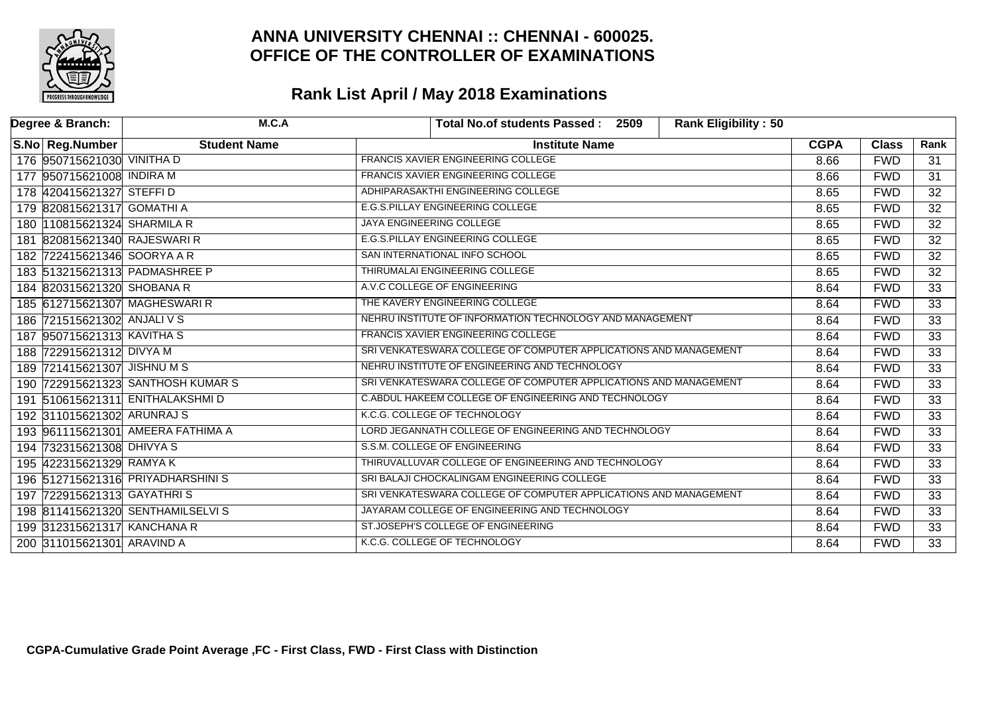

| Degree & Branch:         | M.C.A                             | Rank Eligibility: 50<br>Total No.of students Passed: 2509        |             |              |                 |
|--------------------------|-----------------------------------|------------------------------------------------------------------|-------------|--------------|-----------------|
| S.No Reg.Number          | <b>Student Name</b>               | <b>Institute Name</b>                                            | <b>CGPA</b> | <b>Class</b> | Rank            |
|                          | 176 950715621030 VINITHA D        | <b>FRANCIS XAVIER ENGINEERING COLLEGE</b>                        | 8.66        | <b>FWD</b>   | 31              |
|                          | 177 950715621008 INDIRA M         | <b>FRANCIS XAVIER ENGINEERING COLLEGE</b>                        | 8.66        | <b>FWD</b>   | 31              |
|                          | 178 420415621327 STEFFID          | ADHIPARASAKTHI ENGINEERING COLLEGE                               | 8.65        | <b>FWD</b>   | $\overline{32}$ |
|                          | 179 820815621317 GOMATHI A        | E.G.S.PILLAY ENGINEERING COLLEGE                                 | 8.65        | <b>FWD</b>   | $\overline{32}$ |
|                          | 180 110815621324 SHARMILA R       | <b>JAYA ENGINEERING COLLEGE</b>                                  | 8.65        | <b>FWD</b>   | $\overline{32}$ |
|                          | 181 820815621340 RAJESWARI R      | <b>E.G.S.PILLAY ENGINEERING COLLEGE</b>                          | 8.65        | <b>FWD</b>   | $\overline{32}$ |
|                          | 182 722415621346 SOORYA A R       | SAN INTERNATIONAL INFO SCHOOL                                    | 8.65        | <b>FWD</b>   | $\overline{32}$ |
|                          | 183 513215621313 PADMASHREE P     | <b>THIRUMALAI ENGINEERING COLLEGE</b>                            | 8.65        | <b>FWD</b>   | $\overline{32}$ |
|                          | 184 820315621320 SHOBANA R        | A.V.C COLLEGE OF ENGINEERING                                     | 8.64        | <b>FWD</b>   | $\overline{33}$ |
|                          | 185 612715621307 MAGHESWARI R     | THE KAVERY ENGINEERING COLLEGE                                   | 8.64        | <b>FWD</b>   | $\overline{33}$ |
|                          | 186 721515621302 ANJALI V S       | NEHRU INSTITUTE OF INFORMATION TECHNOLOGY AND MANAGEMENT         | 8.64        | <b>FWD</b>   | $\overline{33}$ |
|                          | 187 950715621313 KAVITHA S        | <b>FRANCIS XAVIER ENGINEERING COLLEGE</b>                        | 8.64        | <b>FWD</b>   | $\overline{33}$ |
| 188 722915621312 DIVYA M |                                   | SRI VENKATESWARA COLLEGE OF COMPUTER APPLICATIONS AND MANAGEMENT | 8.64        | <b>FWD</b>   | $\overline{33}$ |
|                          | 189 721415621307 JISHNU M S       | NEHRU INSTITUTE OF ENGINEERING AND TECHNOLOGY                    | 8.64        | <b>FWD</b>   | $\overline{33}$ |
|                          | 190 722915621323 SANTHOSH KUMAR S | SRI VENKATESWARA COLLEGE OF COMPUTER APPLICATIONS AND MANAGEMENT | 8.64        | <b>FWD</b>   | $\overline{33}$ |
|                          | 191 510615621311 ENITHALAKSHMID   | C.ABDUL HAKEEM COLLEGE OF ENGINEERING AND TECHNOLOGY             | 8.64        | <b>FWD</b>   | $\overline{33}$ |
|                          | 192 311015621302 ARUNRAJ S        | K.C.G. COLLEGE OF TECHNOLOGY                                     | 8.64        | <b>FWD</b>   | $\overline{33}$ |
|                          | 193 961115621301 AMEERA FATHIMA A | LORD JEGANNATH COLLEGE OF ENGINEERING AND TECHNOLOGY             | 8.64        | <b>FWD</b>   | $\overline{33}$ |
|                          | 194 732315621308 DHIVYA S         | S.S.M. COLLEGE OF ENGINEERING                                    | 8.64        | <b>FWD</b>   | $\overline{33}$ |
|                          | 195 422315621329 RAMYA K          | THIRUVALLUVAR COLLEGE OF ENGINEERING AND TECHNOLOGY              | 8.64        | <b>FWD</b>   | $\overline{33}$ |
|                          | 196 512715621316 PRIYADHARSHINIS  | SRI BALAJI CHOCKALINGAM ENGINEERING COLLEGE                      | 8.64        | <b>FWD</b>   | $\overline{33}$ |
|                          | 197 722915621313 GAYATHRIS        | SRI VENKATESWARA COLLEGE OF COMPUTER APPLICATIONS AND MANAGEMENT | 8.64        | <b>FWD</b>   | $\overline{33}$ |
|                          | 198 811415621320 SENTHAMILSELVIS  | JAYARAM COLLEGE OF ENGINEERING AND TECHNOLOGY                    | 8.64        | <b>FWD</b>   | $\overline{33}$ |
|                          | 199 312315621317 KANCHANA R       | ST.JOSEPH'S COLLEGE OF ENGINEERING                               | 8.64        | <b>FWD</b>   | 33              |
|                          | 200 311015621301 ARAVIND A        | K.C.G. COLLEGE OF TECHNOLOGY                                     | 8.64        | <b>FWD</b>   | $\overline{33}$ |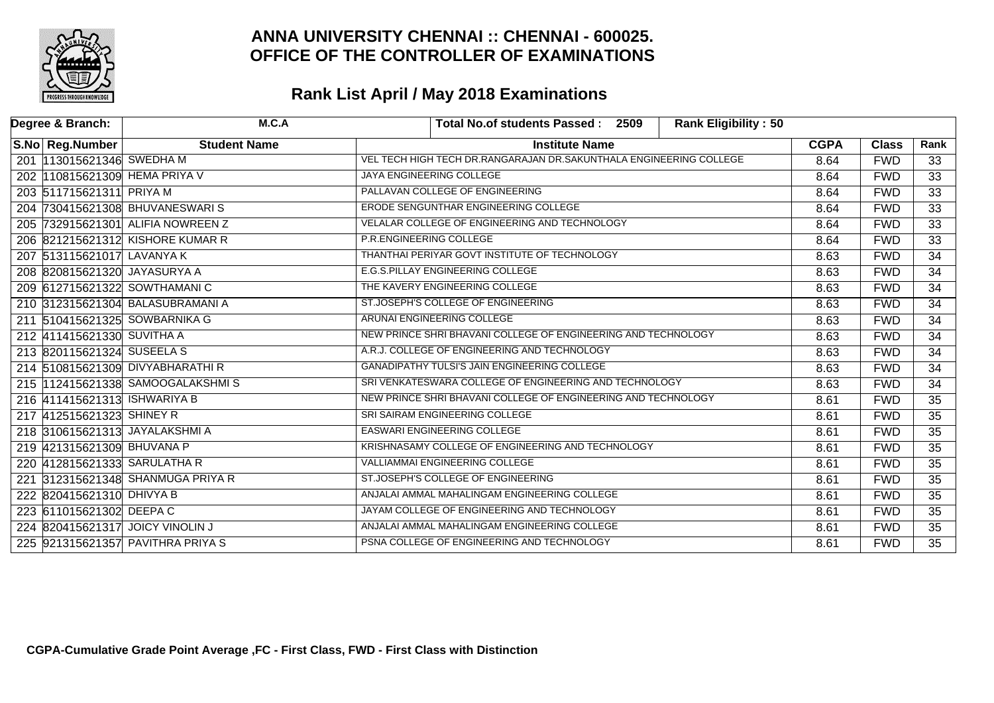

| Degree & Branch:                 | M.C.A                             |                                                               | Total No.of students Passed: 2509                                  | Rank Eligibility: 50 |             |              |                 |
|----------------------------------|-----------------------------------|---------------------------------------------------------------|--------------------------------------------------------------------|----------------------|-------------|--------------|-----------------|
| S.No Reg.Number                  | <b>Student Name</b>               |                                                               | <b>Institute Name</b>                                              |                      | <b>CGPA</b> | <b>Class</b> | Rank            |
| 201 13015621346 SWEDHA M         |                                   |                                                               | VEL TECH HIGH TECH DR.RANGARAJAN DR.SAKUNTHALA ENGINEERING COLLEGE |                      | 8.64        | <b>FWD</b>   | 33              |
| 202 110815621309 HEMA PRIYA V    |                                   | <b>JAYA ENGINEERING COLLEGE</b>                               |                                                                    |                      | 8.64        | <b>FWD</b>   | $\overline{33}$ |
| 203 511715621311 PRIYA M         |                                   | PALLAVAN COLLEGE OF ENGINEERING                               |                                                                    |                      | 8.64        | <b>FWD</b>   | $\overline{33}$ |
|                                  | 204 730415621308 BHUVANESWARIS    | ERODE SENGUNTHAR ENGINEERING COLLEGE                          |                                                                    |                      | 8.64        | <b>FWD</b>   | $\overline{33}$ |
|                                  | 205 732915621301 ALIFIA NOWREEN Z | VELALAR COLLEGE OF ENGINEERING AND TECHNOLOGY                 |                                                                    |                      | 8.64        | <b>FWD</b>   | $\overline{33}$ |
|                                  | 206 821215621312 KISHORE KUMAR R  | P.R.ENGINEERING COLLEGE                                       |                                                                    |                      | 8.64        | <b>FWD</b>   | $\overline{33}$ |
| 207 513115621017 LAVANYA K       |                                   | THANTHAI PERIYAR GOVT INSTITUTE OF TECHNOLOGY                 |                                                                    |                      | 8.63        | <b>FWD</b>   | $\overline{34}$ |
| 208 820815621320 JAYASURYA A     |                                   | <b>E.G.S.PILLAY ENGINEERING COLLEGE</b>                       |                                                                    |                      | 8.63        | <b>FWD</b>   | $\overline{34}$ |
| 209 612715621322 SOWTHAMANIC     |                                   | THE KAVERY ENGINEERING COLLEGE                                |                                                                    |                      | 8.63        | <b>FWD</b>   | $\overline{34}$ |
|                                  | 210 312315621304 BALASUBRAMANI A  | ST.JOSEPH'S COLLEGE OF ENGINEERING                            |                                                                    |                      | 8.63        | <b>FWD</b>   | $\overline{34}$ |
| 211 510415621325 SOWBARNIKA G    |                                   | ARUNAI ENGINEERING COLLEGE                                    |                                                                    |                      | 8.63        | <b>FWD</b>   | $\overline{34}$ |
| 212 411415621330 SUVITHA A       |                                   | NEW PRINCE SHRI BHAVANI COLLEGE OF ENGINEERING AND TECHNOLOGY |                                                                    |                      | 8.63        | <b>FWD</b>   | $\overline{34}$ |
| 213 820115621324 SUSEELA S       |                                   | A.R.J. COLLEGE OF ENGINEERING AND TECHNOLOGY                  |                                                                    |                      | 8.63        | <b>FWD</b>   | 34              |
|                                  | 214 510815621309 DIVYABHARATHIR   | GANADIPATHY TULSI'S JAIN ENGINEERING COLLEGE                  |                                                                    |                      | 8.63        | <b>FWD</b>   | $\overline{34}$ |
|                                  | 215  112415621338 SAMOOGALAKSHMIS |                                                               | SRI VENKATESWARA COLLEGE OF ENGINEERING AND TECHNOLOGY             |                      | 8.63        | <b>FWD</b>   | $\overline{34}$ |
| 216 411415621313 ISHWARIYA B     |                                   |                                                               | NEW PRINCE SHRI BHAVANI COLLEGE OF ENGINEERING AND TECHNOLOGY      |                      | 8.61        | <b>FWD</b>   | 35              |
| 217 412515621323 SHINEY R        |                                   | SRI SAIRAM ENGINEERING COLLEGE                                |                                                                    |                      | 8.61        | <b>FWD</b>   | $\overline{35}$ |
| 218 310615621313 JAYALAKSHMI A   |                                   | <b>EASWARI ENGINEERING COLLEGE</b>                            |                                                                    |                      | 8.61        | <b>FWD</b>   | $\overline{35}$ |
| 219 421315621309 BHUVANA P       |                                   |                                                               | KRISHNASAMY COLLEGE OF ENGINEERING AND TECHNOLOGY                  |                      | 8.61        | <b>FWD</b>   | $\overline{35}$ |
| 220 412815621333 SARULATHA R     |                                   | <b>VALLIAMMAI ENGINEERING COLLEGE</b>                         |                                                                    |                      | 8.61        | <b>FWD</b>   | $\overline{35}$ |
|                                  | 221 312315621348 SHANMUGA PRIYA R | ST.JOSEPH'S COLLEGE OF ENGINEERING                            |                                                                    |                      | 8.61        | <b>FWD</b>   | $\overline{35}$ |
| 222 820415621310 DHIVYA B        |                                   | ANJALAI AMMAL MAHALINGAM ENGINEERING COLLEGE                  |                                                                    |                      | 8.61        | <b>FWD</b>   | $\overline{35}$ |
| 223 611015621302 DEEPA C         |                                   | JAYAM COLLEGE OF ENGINEERING AND TECHNOLOGY                   |                                                                    |                      | 8.61        | <b>FWD</b>   | $\overline{35}$ |
| 224 820415621317 JOICY VINOLIN J |                                   | ANJALAI AMMAL MAHALINGAM ENGINEERING COLLEGE                  |                                                                    |                      | 8.61        | <b>FWD</b>   | $\overline{35}$ |
|                                  | 225 921315621357 PAVITHRA PRIYA S | PSNA COLLEGE OF ENGINEERING AND TECHNOLOGY                    |                                                                    |                      | 8.61        | <b>FWD</b>   | $\overline{35}$ |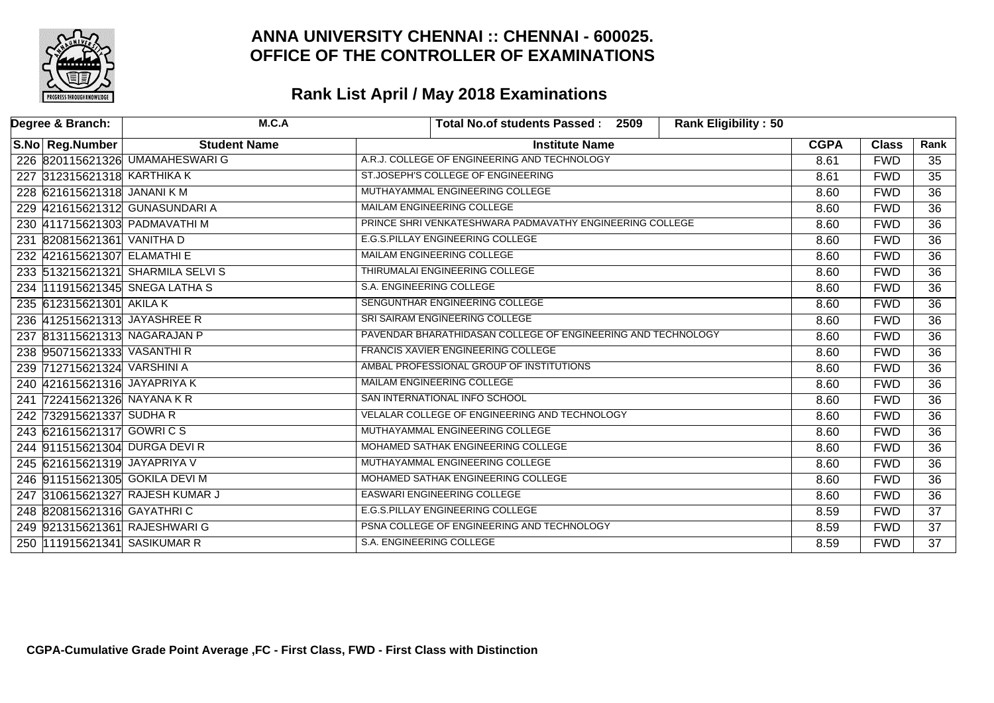

| Degree & Branch:                | M.C.A                            | Rank Eligibility: 50<br>Total No.of students Passed: 2509    |             |              |                 |
|---------------------------------|----------------------------------|--------------------------------------------------------------|-------------|--------------|-----------------|
| S.No Reg.Number                 | <b>Student Name</b>              | <b>Institute Name</b>                                        | <b>CGPA</b> | <b>Class</b> | Rank            |
|                                 | 226 820115621326 UMAMAHESWARIG   | A.R.J. COLLEGE OF ENGINEERING AND TECHNOLOGY                 | 8.61        | <b>FWD</b>   | 35              |
| 227 312315621318 KARTHIKA K     |                                  | ST.JOSEPH'S COLLEGE OF ENGINEERING                           | 8.61        | <b>FWD</b>   | $\overline{35}$ |
| 228 621615621318 JANANIKM       |                                  | MUTHAYAMMAL ENGINEERING COLLEGE                              | 8.60        | <b>FWD</b>   | $\overline{36}$ |
| 229 421615621312 GUNASUNDARI A  |                                  | <b>MAILAM ENGINEERING COLLEGE</b>                            | 8.60        | <b>FWD</b>   | $\overline{36}$ |
| 230 411715621303 PADMAVATHI M   |                                  | PRINCE SHRI VENKATESHWARA PADMAVATHY ENGINEERING COLLEGE     | 8.60        | <b>FWD</b>   | $\overline{36}$ |
| 231 820815621361 VANITHA D      |                                  | E.G.S.PILLAY ENGINEERING COLLEGE                             | 8.60        | <b>FWD</b>   | $\overline{36}$ |
| 232 421615621307 ELAMATHI E     |                                  | MAILAM ENGINEERING COLLEGE                                   | 8.60        | <b>FWD</b>   | $\overline{36}$ |
|                                 | 233 513215621321 SHARMILA SELVIS | <b>THIRUMALAI ENGINEERING COLLEGE</b>                        | 8.60        | <b>FWD</b>   | $\overline{36}$ |
| 234 111915621345 SNEGA LATHAS   |                                  | S.A. ENGINEERING COLLEGE                                     | 8.60        | <b>FWD</b>   | $\overline{36}$ |
| 235 612315621301 AKILA K        |                                  | SENGUNTHAR ENGINEERING COLLEGE                               | 8.60        | <b>FWD</b>   | $\overline{36}$ |
| 236 412515621313 JAYASHREE R    |                                  | SRI SAIRAM ENGINEERING COLLEGE                               | 8.60        | <b>FWD</b>   | $\overline{36}$ |
| 237 813115621313 NAGARAJAN P    |                                  | PAVENDAR BHARATHIDASAN COLLEGE OF ENGINEERING AND TECHNOLOGY | 8.60        | <b>FWD</b>   | $\overline{36}$ |
| 238 950715621333 VASANTHIR      |                                  | <b>FRANCIS XAVIER ENGINEERING COLLEGE</b>                    | 8.60        | <b>FWD</b>   | 36              |
| 239 712715621324 VARSHINI A     |                                  | AMBAL PROFESSIONAL GROUP OF INSTITUTIONS                     | 8.60        | <b>FWD</b>   | $\overline{36}$ |
| 240 421615621316 JAYAPRIYA K    |                                  | MAILAM ENGINEERING COLLEGE                                   | 8.60        | <b>FWD</b>   | $\overline{36}$ |
| 241 722415621326 NAYANA KR      |                                  | SAN INTERNATIONAL INFO SCHOOL                                | 8.60        | <b>FWD</b>   | $\overline{36}$ |
| 242 732915621337 SUDHA R        |                                  | VELALAR COLLEGE OF ENGINEERING AND TECHNOLOGY                | 8.60        | <b>FWD</b>   | $\overline{36}$ |
| 243 621615621317 GOWRICS        |                                  | MUTHAYAMMAL ENGINEERING COLLEGE                              | 8.60        | <b>FWD</b>   | $\overline{36}$ |
| 244 911515621304 DURGA DEVI R   |                                  | MOHAMED SATHAK ENGINEERING COLLEGE                           | 8.60        | <b>FWD</b>   | $\overline{36}$ |
| 245 621615621319 JAYAPRIYA V    |                                  | MUTHAYAMMAL ENGINEERING COLLEGE                              | 8.60        | <b>FWD</b>   | $\overline{36}$ |
| 246 911515621305 GOKILA DEVI M  |                                  | MOHAMED SATHAK ENGINEERING COLLEGE                           | 8.60        | <b>FWD</b>   | $\overline{36}$ |
| 247 310615621327 RAJESH KUMAR J |                                  | <b>EASWARI ENGINEERING COLLEGE</b>                           | 8.60        | <b>FWD</b>   | $\overline{36}$ |
| 248 820815621316 GAYATHRIC      |                                  | <b>E.G.S.PILLAY ENGINEERING COLLEGE</b>                      | 8.59        | <b>FWD</b>   | $\overline{37}$ |
| 249 921315621361 RAJESHWARI G   |                                  | PSNA COLLEGE OF ENGINEERING AND TECHNOLOGY                   | 8.59        | <b>FWD</b>   | $\overline{37}$ |
| 250 111915621341 SASIKUMAR R    |                                  | S.A. ENGINEERING COLLEGE                                     | 8.59        | <b>FWD</b>   | $\overline{37}$ |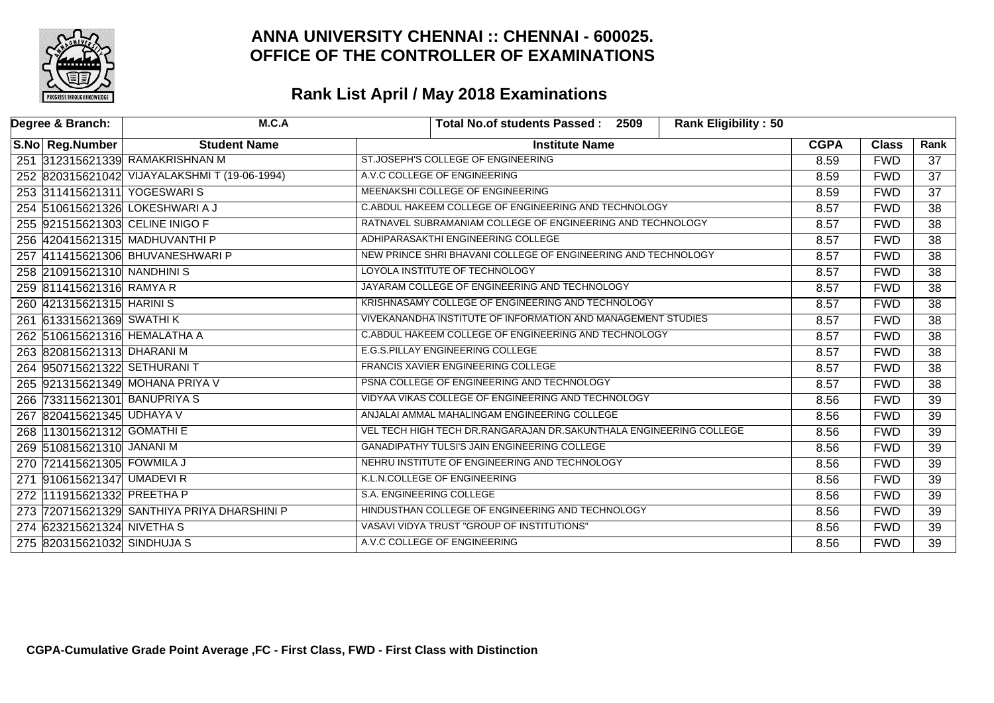

| Degree & Branch:                | M.C.A                                        | Rank Eligibility: 50<br>Total No.of students Passed: 2509          |             |              |                 |
|---------------------------------|----------------------------------------------|--------------------------------------------------------------------|-------------|--------------|-----------------|
| S.No Reg.Number                 | <b>Student Name</b>                          | <b>Institute Name</b>                                              | <b>CGPA</b> | <b>Class</b> | Rank            |
|                                 | 251 312315621339 RAMAKRISHNAN M              | ST.JOSEPH'S COLLEGE OF ENGINEERING                                 | 8.59        | <b>FWD</b>   | $\overline{37}$ |
|                                 | 252 820315621042 VIJAYALAKSHMIT (19-06-1994) | A.V.C COLLEGE OF ENGINEERING                                       | 8.59        | <b>FWD</b>   | $\overline{37}$ |
| 253 311415621311 YOGESWARIS     |                                              | MEENAKSHI COLLEGE OF ENGINEERING                                   | 8.59        | <b>FWD</b>   | $\overline{37}$ |
| 254 510615621326 LOKESHWARI A J |                                              | C.ABDUL HAKEEM COLLEGE OF ENGINEERING AND TECHNOLOGY               | 8.57        | <b>FWD</b>   | $\overline{38}$ |
| 255 921515621303 CELINE INIGO F |                                              | RATNAVEL SUBRAMANIAM COLLEGE OF ENGINEERING AND TECHNOLOGY         | 8.57        | <b>FWD</b>   | $\overline{38}$ |
| 256 420415621315 MADHUVANTHI P  |                                              | ADHIPARASAKTHI ENGINEERING COLLEGE                                 | 8.57        | <b>FWD</b>   | $\overline{38}$ |
|                                 | 257 411415621306 BHUVANESHWARI P             | NEW PRINCE SHRI BHAVANI COLLEGE OF ENGINEERING AND TECHNOLOGY      | 8.57        | <b>FWD</b>   | $\overline{38}$ |
| 258 210915621310 NANDHINIS      |                                              | LOYOLA INSTITUTE OF TECHNOLOGY                                     | 8.57        | <b>FWD</b>   | $\overline{38}$ |
| 259 811415621316 RAMYA R        |                                              | JAYARAM COLLEGE OF ENGINEERING AND TECHNOLOGY                      | 8.57        | <b>FWD</b>   | $\overline{38}$ |
| 260 421315621315 HARINIS        |                                              | KRISHNASAMY COLLEGE OF ENGINEERING AND TECHNOLOGY                  | 8.57        | <b>FWD</b>   | $\overline{38}$ |
| 261 613315621369 SWATHI K       |                                              | VIVEKANANDHA INSTITUTE OF INFORMATION AND MANAGEMENT STUDIES       | 8.57        | <b>FWD</b>   | $\overline{38}$ |
| 262 510615621316 HEMALATHA A    |                                              | C.ABDUL HAKEEM COLLEGE OF ENGINEERING AND TECHNOLOGY               | 8.57        | <b>FWD</b>   | $\overline{38}$ |
| 263 820815621313 DHARANI M      |                                              | E.G.S.PILLAY ENGINEERING COLLEGE                                   | 8.57        | <b>FWD</b>   | 38              |
| 264 950715621322 SETHURANIT     |                                              | <b>FRANCIS XAVIER ENGINEERING COLLEGE</b>                          | 8.57        | <b>FWD</b>   | $\overline{38}$ |
| 265 921315621349 MOHANA PRIYA V |                                              | PSNA COLLEGE OF ENGINEERING AND TECHNOLOGY                         | 8.57        | <b>FWD</b>   | $\overline{38}$ |
| 266 733115621301 BANUPRIYA S    |                                              | VIDYAA VIKAS COLLEGE OF ENGINEERING AND TECHNOLOGY                 | 8.56        | <b>FWD</b>   | 39              |
| 267 820415621345 UDHAYA V       |                                              | ANJALAI AMMAL MAHALINGAM ENGINEERING COLLEGE                       | 8.56        | <b>FWD</b>   | $\overline{39}$ |
| 268 113015621312 GOMATHI E      |                                              | VEL TECH HIGH TECH DR.RANGARAJAN DR.SAKUNTHALA ENGINEERING COLLEGE | 8.56        | <b>FWD</b>   | $\overline{39}$ |
| 269 510815621310 JANANI M       |                                              | <b>GANADIPATHY TULSI'S JAIN ENGINEERING COLLEGE</b>                | 8.56        | <b>FWD</b>   | $\overline{39}$ |
| 270 721415621305 FOWMILA J      |                                              | NEHRU INSTITUTE OF ENGINEERING AND TECHNOLOGY                      | 8.56        | <b>FWD</b>   | $\overline{39}$ |
| 271 910615621347 UMADEVIR       |                                              | K.L.N.COLLEGE OF ENGINEERING                                       | 8.56        | <b>FWD</b>   | $\overline{39}$ |
| 272 111915621332 PREETHA P      |                                              | S.A. ENGINEERING COLLEGE                                           | 8.56        | <b>FWD</b>   | $\overline{39}$ |
|                                 | 273 720715621329 SANTHIYA PRIYA DHARSHINI P  | HINDUSTHAN COLLEGE OF ENGINEERING AND TECHNOLOGY                   | 8.56        | <b>FWD</b>   | $\overline{39}$ |
| 274 623215621324 NIVETHAS       |                                              | VASAVI VIDYA TRUST "GROUP OF INSTITUTIONS"                         | 8.56        | <b>FWD</b>   | $\overline{39}$ |
| 275 820315621032 SINDHUJA S     |                                              | A.V.C COLLEGE OF ENGINEERING                                       | 8.56        | <b>FWD</b>   | $\overline{39}$ |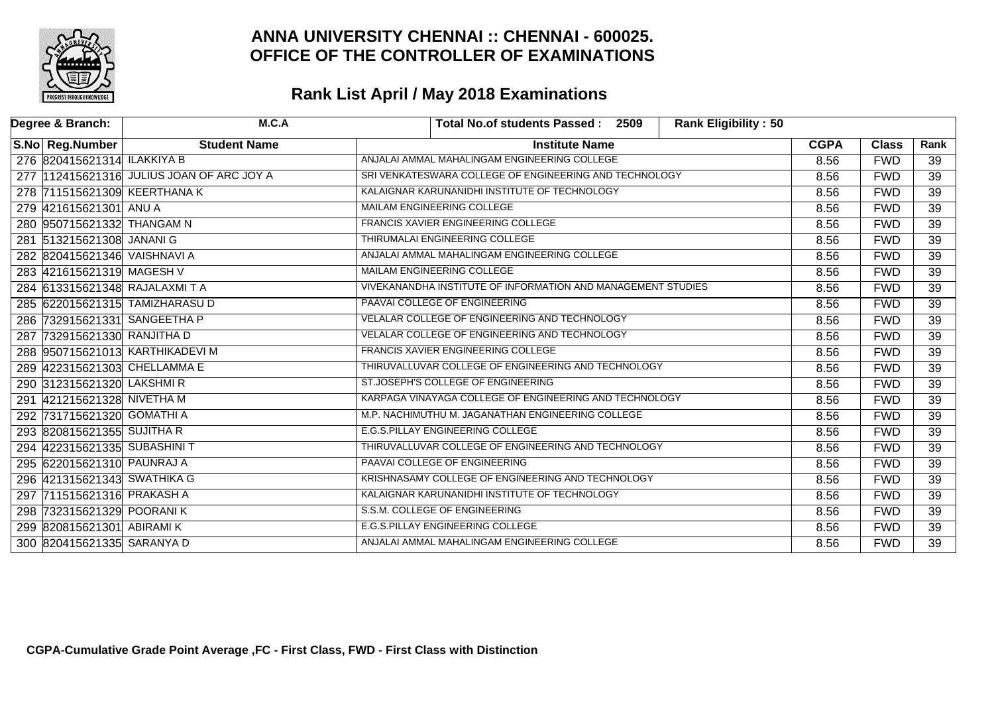

| Degree & Branch:             | M.C.A<br><b>Rank Eligibility: 50</b><br>Total No.of students Passed: 2509 |                                                              |             |              |                 |
|------------------------------|---------------------------------------------------------------------------|--------------------------------------------------------------|-------------|--------------|-----------------|
| S.No Reg.Number              | <b>Student Name</b>                                                       | <b>Institute Name</b>                                        | <b>CGPA</b> | <b>Class</b> | Rank            |
| 276 820415621314 ILAKKIYA B  |                                                                           | ANJALAI AMMAL MAHALINGAM ENGINEERING COLLEGE                 | 8.56        | <b>FWD</b>   | 39              |
|                              | 277 12415621316 JULIUS JOAN OF ARC JOY A                                  | SRI VENKATESWARA COLLEGE OF ENGINEERING AND TECHNOLOGY       | 8.56        | <b>FWD</b>   | $\overline{39}$ |
| 278 711515621309 KEERTHANA K |                                                                           | KALAIGNAR KARUNANIDHI INSTITUTE OF TECHNOLOGY                | 8.56        | <b>FWD</b>   | $\overline{39}$ |
| 279 421615621301 ANU A       |                                                                           | MAILAM ENGINEERING COLLEGE                                   | 8.56        | <b>FWD</b>   | $\overline{39}$ |
| 280 950715621332 THANGAM N   |                                                                           | <b>FRANCIS XAVIER ENGINEERING COLLEGE</b>                    | 8.56        | <b>FWD</b>   | $\overline{39}$ |
| 281 513215621308 JANANI G    |                                                                           | THIRUMALAI ENGINEERING COLLEGE                               | 8.56        | <b>FWD</b>   | $\overline{39}$ |
| 282 820415621346 VAISHNAVI A |                                                                           | ANJALAI AMMAL MAHALINGAM ENGINEERING COLLEGE                 | 8.56        | <b>FWD</b>   | $\overline{39}$ |
| 283 421615621319 MAGESH V    |                                                                           | MAILAM ENGINEERING COLLEGE                                   | 8.56        | <b>FWD</b>   | $\overline{39}$ |
|                              | 284 613315621348 RAJALAXMITA                                              | VIVEKANANDHA INSTITUTE OF INFORMATION AND MANAGEMENT STUDIES | 8.56        | <b>FWD</b>   | $\overline{39}$ |
|                              | 285 622015621315 TAMIZHARASU D                                            | PAAVAI COLLEGE OF ENGINEERING                                | 8.56        | <b>FWD</b>   | 39              |
| 286 732915621331 SANGEETHA P |                                                                           | VELALAR COLLEGE OF ENGINEERING AND TECHNOLOGY                | 8.56        | <b>FWD</b>   | $\overline{39}$ |
| 287 732915621330 RANJITHA D  |                                                                           | VELALAR COLLEGE OF ENGINEERING AND TECHNOLOGY                | 8.56        | <b>FWD</b>   | $\overline{39}$ |
|                              | 288 950715621013 KARTHIKADEVI M                                           | FRANCIS XAVIER ENGINEERING COLLEGE                           | 8.56        | <b>FWD</b>   | 39              |
| 289 422315621303 CHELLAMMA E |                                                                           | THIRUVALLUVAR COLLEGE OF ENGINEERING AND TECHNOLOGY          | 8.56        | <b>FWD</b>   | $\overline{39}$ |
| 290 312315621320 LAKSHMIR    |                                                                           | ST.JOSEPH'S COLLEGE OF ENGINEERING                           | 8.56        | <b>FWD</b>   | $\overline{39}$ |
| 291 421215621328 NIVETHA M   |                                                                           | KARPAGA VINAYAGA COLLEGE OF ENGINEERING AND TECHNOLOGY       | 8.56        | <b>FWD</b>   | 39              |
| 292 731715621320 GOMATHI A   |                                                                           | M.P. NACHIMUTHU M. JAGANATHAN ENGINEERING COLLEGE            | 8.56        | <b>FWD</b>   | $\overline{39}$ |
| 293 820815621355 SUJITHA R   |                                                                           | E.G.S.PILLAY ENGINEERING COLLEGE                             | 8.56        | <b>FWD</b>   | $\overline{39}$ |
| 294 422315621335 SUBASHINI T |                                                                           | THIRUVALLUVAR COLLEGE OF ENGINEERING AND TECHNOLOGY          | 8.56        | <b>FWD</b>   | $\overline{39}$ |
| 295 622015621310 PAUNRAJ A   |                                                                           | PAAVAI COLLEGE OF ENGINEERING                                | 8.56        | <b>FWD</b>   | $\overline{39}$ |
| 296 421315621343 SWATHIKA G  |                                                                           | KRISHNASAMY COLLEGE OF ENGINEERING AND TECHNOLOGY            | 8.56        | <b>FWD</b>   | $\overline{39}$ |
| 297 711515621316 PRAKASH A   |                                                                           | KALAIGNAR KARUNANIDHI INSTITUTE OF TECHNOLOGY                | 8.56        | <b>FWD</b>   | $\overline{39}$ |
| 298 732315621329 POORANIK    |                                                                           | S.S.M. COLLEGE OF ENGINEERING                                | 8.56        | <b>FWD</b>   | 39              |
| 299 820815621301 ABIRAMI K   |                                                                           | E.G.S. PILLAY ENGINEERING COLLEGE                            | 8.56        | <b>FWD</b>   | $\overline{39}$ |
| 300 820415621335 SARANYA D   |                                                                           | ANJALAI AMMAL MAHALINGAM ENGINEERING COLLEGE                 | 8.56        | <b>FWD</b>   | $\overline{39}$ |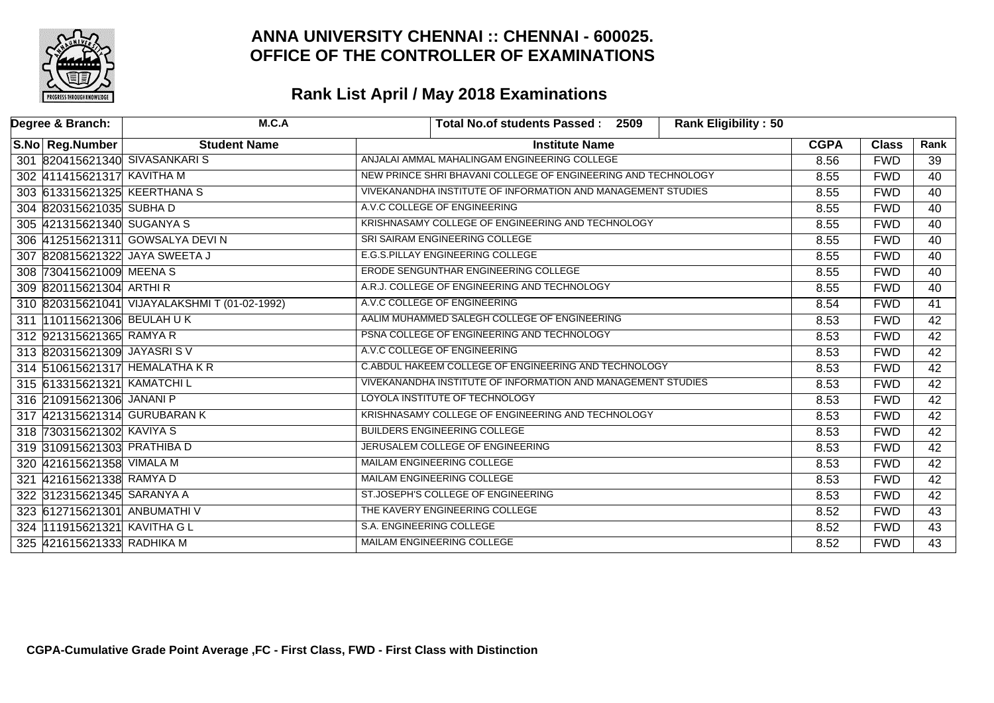

| Degree & Branch:             | M.C.A                                        | <b>Rank Eligibility: 50</b><br>Total No.of students Passed: 2509 |             |              |                 |
|------------------------------|----------------------------------------------|------------------------------------------------------------------|-------------|--------------|-----------------|
| S.No Reg.Number              | <b>Student Name</b>                          | <b>Institute Name</b>                                            | <b>CGPA</b> | <b>Class</b> | Rank            |
|                              | 301 820415621340 SIVASANKARIS                | ANJALAI AMMAL MAHALINGAM ENGINEERING COLLEGE                     | 8.56        | <b>FWD</b>   | 39              |
| 302 411415621317 KAVITHA M   |                                              | NEW PRINCE SHRI BHAVANI COLLEGE OF ENGINEERING AND TECHNOLOGY    | 8.55        | <b>FWD</b>   | 40              |
|                              | 303 613315621325 KEERTHANA S                 | VIVEKANANDHA INSTITUTE OF INFORMATION AND MANAGEMENT STUDIES     | 8.55        | <b>FWD</b>   | 40              |
| 304 820315621035 SUBHAD      |                                              | A.V.C COLLEGE OF ENGINEERING                                     | 8.55        | <b>FWD</b>   | 40              |
| 305 421315621340 SUGANYA S   |                                              | KRISHNASAMY COLLEGE OF ENGINEERING AND TECHNOLOGY                | 8.55        | <b>FWD</b>   | 40              |
|                              | 306 412515621311 GOWSALYA DEVI N             | SRI SAIRAM ENGINEERING COLLEGE                                   | 8.55        | <b>FWD</b>   | 40              |
|                              | 307 820815621322 JAYA SWEETA J               | E.G.S.PILLAY ENGINEERING COLLEGE                                 | 8.55        | <b>FWD</b>   | 40              |
| 308 730415621009 MEENA S     |                                              | ERODE SENGUNTHAR ENGINEERING COLLEGE                             | 8.55        | <b>FWD</b>   | 40              |
| 309 820115621304 ARTHIR      |                                              | A.R.J. COLLEGE OF ENGINEERING AND TECHNOLOGY                     | 8.55        | <b>FWD</b>   | 40              |
|                              | 310 820315621041 VIJAYALAKSHMIT (01-02-1992) | A.V.C COLLEGE OF ENGINEERING                                     | 8.54        | <b>FWD</b>   | 41              |
| 311 10115621306 BEULAH U K   |                                              | AALIM MUHAMMED SALEGH COLLEGE OF ENGINEERING                     | 8.53        | <b>FWD</b>   | 42              |
| 312 921315621365 RAMYA R     |                                              | PSNA COLLEGE OF ENGINEERING AND TECHNOLOGY                       | 8.53        | <b>FWD</b>   | 42              |
| 313 820315621309 JAYASRISV   |                                              | A.V.C COLLEGE OF ENGINEERING                                     | 8.53        | <b>FWD</b>   | 42              |
|                              | 314 510615621317 HEMALATHA KR                | C.ABDUL HAKEEM COLLEGE OF ENGINEERING AND TECHNOLOGY             | 8.53        | <b>FWD</b>   | $\overline{42}$ |
| 315 613315621321 KAMATCHIL   |                                              | VIVEKANANDHA INSTITUTE OF INFORMATION AND MANAGEMENT STUDIES     | 8.53        | <b>FWD</b>   | 42              |
| 316 210915621306 JANANI P    |                                              | LOYOLA INSTITUTE OF TECHNOLOGY                                   | 8.53        | <b>FWD</b>   | $\overline{42}$ |
|                              | 317 421315621314 GURUBARAN K                 | KRISHNASAMY COLLEGE OF ENGINEERING AND TECHNOLOGY                | 8.53        | <b>FWD</b>   | 42              |
| 318 730315621302 KAVIYA S    |                                              | <b>BUILDERS ENGINEERING COLLEGE</b>                              | 8.53        | <b>FWD</b>   | $\overline{42}$ |
| 319 310915621303 PRATHIBA D  |                                              | JERUSALEM COLLEGE OF ENGINEERING                                 | 8.53        | <b>FWD</b>   | 42              |
| 320 421615621358 VIMALA M    |                                              | <b>MAILAM ENGINEERING COLLEGE</b>                                | 8.53        | <b>FWD</b>   | 42              |
| 321 421615621338 RAMYAD      |                                              | <b>MAILAM ENGINEERING COLLEGE</b>                                | 8.53        | <b>FWD</b>   | 42              |
| 322 312315621345 SARANYA A   |                                              | ST.JOSEPH'S COLLEGE OF ENGINEERING                               | 8.53        | <b>FWD</b>   | $\overline{42}$ |
| 323 612715621301 ANBUMATHIV  |                                              | THE KAVERY ENGINEERING COLLEGE                                   | 8.52        | <b>FWD</b>   | 43              |
| 324 111915621321 KAVITHA G L |                                              | S.A. ENGINEERING COLLEGE                                         | 8.52        | <b>FWD</b>   | 43              |
| 325 421615621333 RADHIKA M   |                                              | <b>MAILAM ENGINEERING COLLEGE</b>                                | 8.52        | <b>FWD</b>   | $\overline{43}$ |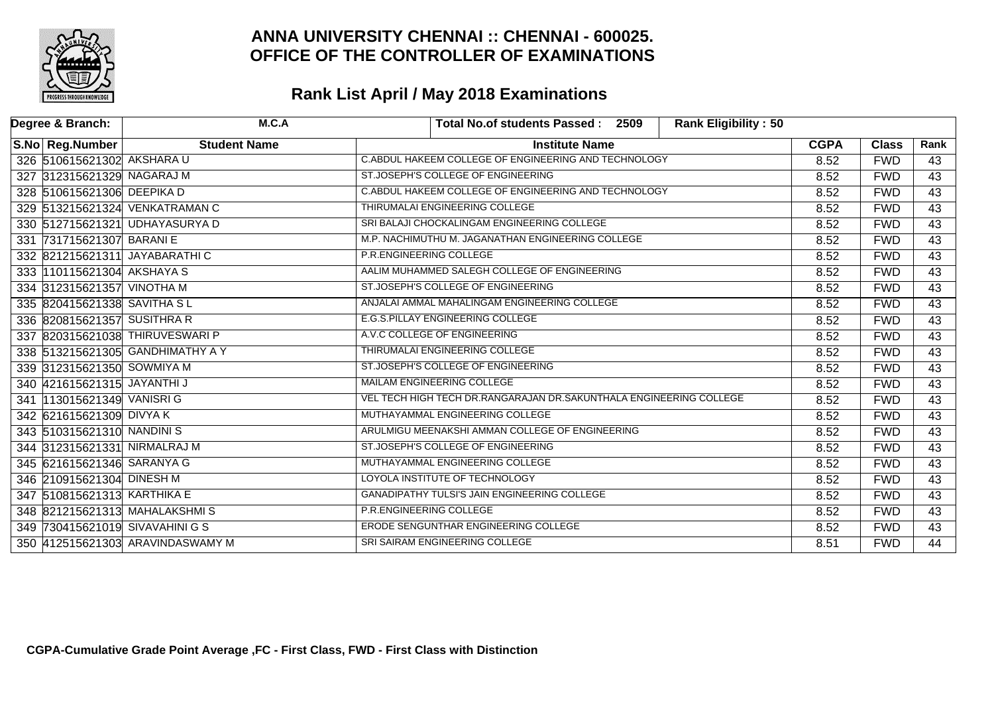

| Degree & Branch:                | M.C.A                             | Rank Eligibility: 50<br>Total No.of students Passed: 2509          |             |              |                 |
|---------------------------------|-----------------------------------|--------------------------------------------------------------------|-------------|--------------|-----------------|
| S.No Reg.Number                 | <b>Student Name</b>               | <b>Institute Name</b>                                              | <b>CGPA</b> | <b>Class</b> | Rank            |
| 326 510615621302 AKSHARA U      |                                   | C.ABDUL HAKEEM COLLEGE OF ENGINEERING AND TECHNOLOGY               | 8.52        | <b>FWD</b>   | 43              |
| 327 312315621329 NAGARAJ M      |                                   | ST.JOSEPH'S COLLEGE OF ENGINEERING                                 | 8.52        | <b>FWD</b>   | 43              |
| 328 510615621306 DEEPIKA D      |                                   | C. ABDUL HAKEEM COLLEGE OF ENGINEERING AND TECHNOLOGY              | 8.52        | <b>FWD</b>   | $\overline{43}$ |
| 329 513215621324 VENKATRAMAN C  |                                   | THIRUMALAI ENGINEERING COLLEGE                                     | 8.52        | <b>FWD</b>   | 43              |
| 330 512715621321 UDHAYASURYA D  |                                   | SRI BALAJI CHOCKALINGAM ENGINEERING COLLEGE                        | 8.52        | <b>FWD</b>   | $\overline{43}$ |
| 331 731715621307 BARANIE        |                                   | M.P. NACHIMUTHU M. JAGANATHAN ENGINEERING COLLEGE                  | 8.52        | <b>FWD</b>   | 43              |
| 332 821215621311 JAYABARATHI C  |                                   | P.R.ENGINEERING COLLEGE                                            | 8.52        | <b>FWD</b>   | 43              |
| 333 110115621304 AKSHAYA S      |                                   | AALIM MUHAMMED SALEGH COLLEGE OF ENGINEERING                       | 8.52        | <b>FWD</b>   | 43              |
| 334 312315621357 VINOTHA M      |                                   | ST.JOSEPH'S COLLEGE OF ENGINEERING                                 | 8.52        | <b>FWD</b>   | 43              |
| 335 820415621338 SAVITHA SL     |                                   | ANJALAI AMMAL MAHALINGAM ENGINEERING COLLEGE                       | 8.52        | <b>FWD</b>   | 43              |
| 336 820815621357 SUSITHRA R     |                                   | E.G.S.PILLAY ENGINEERING COLLEGE                                   | 8.52        | <b>FWD</b>   | $\overline{43}$ |
| 337 820315621038 THIRUVESWARI P |                                   | A.V.C COLLEGE OF ENGINEERING                                       |             | <b>FWD</b>   | 43              |
|                                 | 338 513215621305 GANDHIMATHY A Y  | <b>THIRUMALAI ENGINEERING COLLEGE</b>                              | 8.52        | <b>FWD</b>   | $\overline{43}$ |
| 339 312315621350 SOWMIYA M      |                                   | ST.JOSEPH'S COLLEGE OF ENGINEERING                                 | 8.52        | <b>FWD</b>   | $\overline{43}$ |
| 340 421615621315 JAYANTHI J     |                                   | MAILAM ENGINEERING COLLEGE                                         | 8.52        | <b>FWD</b>   | $\overline{43}$ |
| 341 13015621349 VANISRI G       |                                   | VEL TECH HIGH TECH DR.RANGARAJAN DR.SAKUNTHALA ENGINEERING COLLEGE | 8.52        | <b>FWD</b>   | $\overline{43}$ |
| 342 621615621309 DIVYA K        |                                   | MUTHAYAMMAL ENGINEERING COLLEGE                                    | 8.52        | <b>FWD</b>   | $\overline{43}$ |
| 343 510315621310 NANDINIS       |                                   | ARULMIGU MEENAKSHI AMMAN COLLEGE OF ENGINEERING                    | 8.52        | <b>FWD</b>   | 43              |
| 344 312315621331 NIRMALRAJ M    |                                   | ST.JOSEPH'S COLLEGE OF ENGINEERING                                 | 8.52        | <b>FWD</b>   | 43              |
| 345 621615621346 SARANYA G      |                                   | MUTHAYAMMAL ENGINEERING COLLEGE                                    | 8.52        | <b>FWD</b>   | 43              |
| 346 210915621304 DINESH M       |                                   | LOYOLA INSTITUTE OF TECHNOLOGY                                     | 8.52        | <b>FWD</b>   | $\overline{43}$ |
| 347 510815621313 KARTHIKA E     |                                   | GANADIPATHY TULSI'S JAIN ENGINEERING COLLEGE                       |             | <b>FWD</b>   | 43              |
| 348 821215621313 MAHALAKSHMIS   |                                   | P.R.ENGINEERING COLLEGE                                            | 8.52        | <b>FWD</b>   | 43              |
| 349 730415621019 SIVAVAHINI G S |                                   | ERODE SENGUNTHAR ENGINEERING COLLEGE                               | 8.52        | <b>FWD</b>   | 43              |
|                                 | 350  412515621303 ARAVINDASWAMY M | SRI SAIRAM ENGINEERING COLLEGE                                     | 8.51        | <b>FWD</b>   | 44              |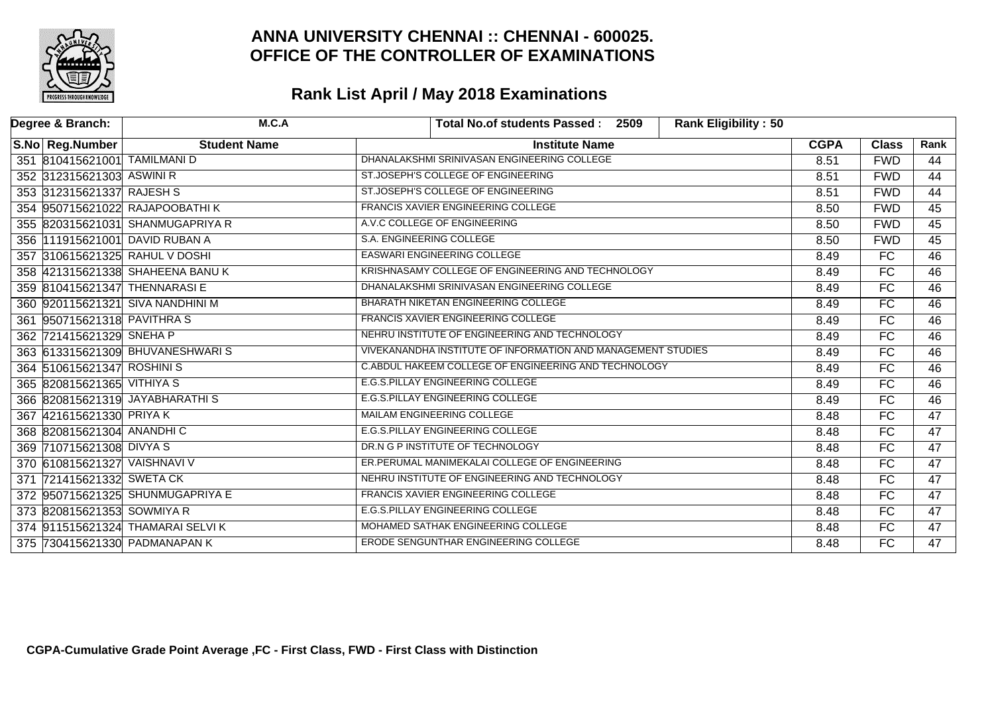

| Degree & Branch:                 | M.C.A                            |                                                              | Total No.of students Passed: 2509 | Rank Eligibility: 50 |            |                 |                 |
|----------------------------------|----------------------------------|--------------------------------------------------------------|-----------------------------------|----------------------|------------|-----------------|-----------------|
| S.No Reg.Number                  | <b>Student Name</b>              | <b>Institute Name</b>                                        |                                   |                      |            | <b>Class</b>    | Rank            |
| 351 810415621001 TAMILMANI D     |                                  | DHANALAKSHMI SRINIVASAN ENGINEERING COLLEGE                  |                                   | 8.51                 | <b>FWD</b> | 44              |                 |
| 352 312315621303 ASWINI R        |                                  | ST.JOSEPH'S COLLEGE OF ENGINEERING                           |                                   |                      | 8.51       | <b>FWD</b>      | 44              |
| 353 312315621337 RAJESH S        |                                  | ST.JOSEPH'S COLLEGE OF ENGINEERING                           |                                   |                      | 8.51       | <b>FWD</b>      | $\overline{44}$ |
| 354 950715621022 RAJAPOOBATHIK   |                                  | <b>FRANCIS XAVIER ENGINEERING COLLEGE</b>                    |                                   |                      | 8.50       | <b>FWD</b>      | 45              |
|                                  | 355 820315621031 SHANMUGAPRIYA R | A.V.C COLLEGE OF ENGINEERING                                 |                                   |                      | 8.50       | <b>FWD</b>      | 45              |
| 356 111915621001 DAVID RUBAN A   |                                  | S.A. ENGINEERING COLLEGE                                     |                                   |                      | 8.50       | <b>FWD</b>      | 45              |
| 357 310615621325 RAHUL V DOSHI   |                                  | <b>EASWARI ENGINEERING COLLEGE</b>                           |                                   |                      | 8.49       | FC              | 46              |
|                                  | 358 421315621338 SHAHEENA BANUK  | KRISHNASAMY COLLEGE OF ENGINEERING AND TECHNOLOGY            |                                   |                      | 8.49       | FC              | $\overline{46}$ |
| 359 810415621347 THENNARASI E    |                                  | DHANALAKSHMI SRINIVASAN ENGINEERING COLLEGE                  |                                   |                      | 8.49       | FC              | 46              |
| 360 920115621321 SIVA NANDHINI M |                                  | BHARATH NIKETAN ENGINEERING COLLEGE                          |                                   |                      | 8.49       | FC              | 46              |
| 361 950715621318 PAVITHRA S      |                                  | <b>FRANCIS XAVIER ENGINEERING COLLEGE</b>                    |                                   |                      |            | FC              | 46              |
| 362 721415621329 SNEHA P         |                                  | NEHRU INSTITUTE OF ENGINEERING AND TECHNOLOGY                |                                   |                      | 8.49       | FC              | 46              |
|                                  | 363 613315621309 BHUVANESHWARIS  | VIVEKANANDHA INSTITUTE OF INFORMATION AND MANAGEMENT STUDIES |                                   |                      | 8.49       | <b>FC</b>       | 46              |
| 364 510615621347 ROSHINIS        |                                  | C.ABDUL HAKEEM COLLEGE OF ENGINEERING AND TECHNOLOGY         |                                   |                      | 8.49       | $\overline{FC}$ | $\overline{46}$ |
| 365 820815621365 VITHIYA S       |                                  | E.G.S.PILLAY ENGINEERING COLLEGE                             |                                   |                      | 8.49       | <b>FC</b>       | 46              |
| 366 820815621319 JAYABHARATHIS   |                                  | E.G.S.PILLAY ENGINEERING COLLEGE                             |                                   |                      | 8.49       | FC              | $\overline{46}$ |
| 367 421615621330 PRIYAK          |                                  | <b>MAILAM ENGINEERING COLLEGE</b>                            |                                   |                      | 8.48       | FC              | $\overline{47}$ |
| 368 820815621304 ANANDHIC        |                                  | <b>E.G.S.PILLAY ENGINEERING COLLEGE</b>                      |                                   |                      | 8.48       | FC              | $\overline{47}$ |
| 369 710715621308 DIVYA S         |                                  | DR.N G P INSTITUTE OF TECHNOLOGY                             |                                   |                      | 8.48       | FC              | 47              |
| 370 610815621327 VAISHNAVI V     |                                  | ER.PERUMAL MANIMEKALAI COLLEGE OF ENGINEERING                |                                   |                      | 8.48       | <b>FC</b>       | 47              |
| 371 721415621332 SWETA CK        |                                  | NEHRU INSTITUTE OF ENGINEERING AND TECHNOLOGY                |                                   |                      | 8.48       | $\overline{FC}$ | $\overline{47}$ |
|                                  | 372 950715621325 SHUNMUGAPRIYA E | <b>FRANCIS XAVIER ENGINEERING COLLEGE</b>                    |                                   |                      | 8.48       | FC              | $\overline{47}$ |
| 373 820815621353 SOWMIYA R       |                                  | <b>E.G.S.PILLAY ENGINEERING COLLEGE</b>                      |                                   |                      | 8.48       | FC              | $\overline{47}$ |
|                                  | 374 911515621324 THAMARAI SELVIK | MOHAMED SATHAK ENGINEERING COLLEGE                           |                                   |                      | 8.48       | FC              | 47              |
| 375 730415621330 PADMANAPAN K    |                                  | ERODE SENGUNTHAR ENGINEERING COLLEGE                         |                                   |                      | 8.48       | FC              | $\overline{47}$ |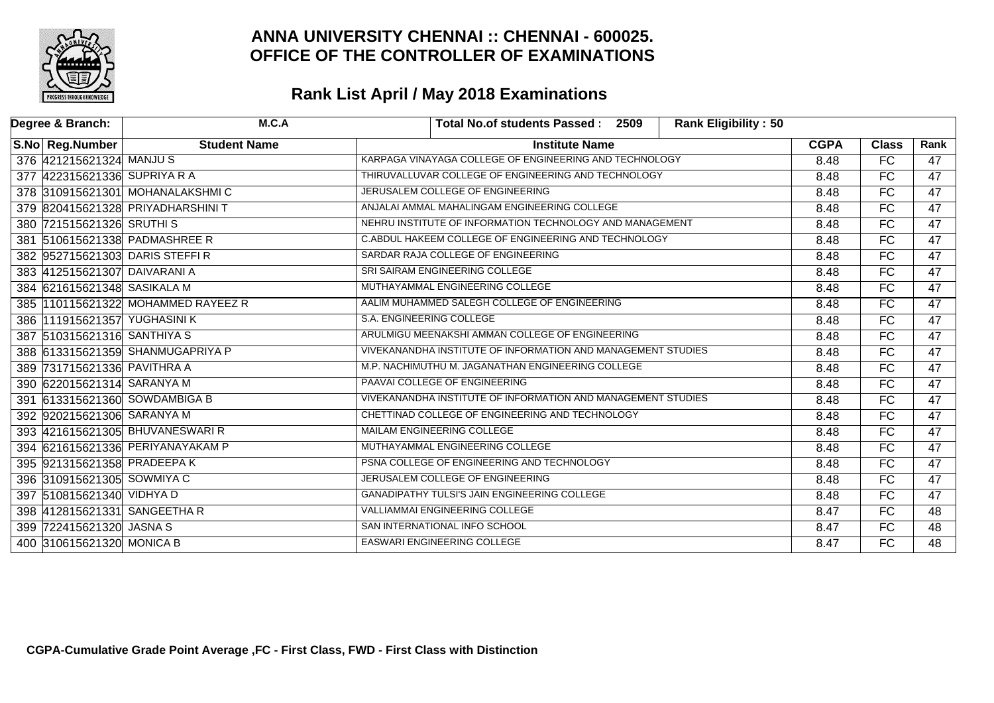

| Degree & Branch:               | M.C.A                              |                          | Total No.of students Passed: 2509                            | <b>Rank Eligibility: 50</b> |              |                 |                 |
|--------------------------------|------------------------------------|--------------------------|--------------------------------------------------------------|-----------------------------|--------------|-----------------|-----------------|
| S.No Reg.Number                | <b>Student Name</b>                |                          |                                                              | <b>CGPA</b>                 | <b>Class</b> | Rank            |                 |
| 376 421215621324 MANJU S       |                                    |                          | KARPAGA VINAYAGA COLLEGE OF ENGINEERING AND TECHNOLOGY       |                             | 8.48         | FC              | 47              |
| 377 422315621336 SUPRIYA R A   |                                    |                          | THIRUVALLUVAR COLLEGE OF ENGINEERING AND TECHNOLOGY          |                             | 8.48         | FC              | $\overline{47}$ |
|                                | 378 310915621301 MOHANALAKSHMIC    |                          | JERUSALEM COLLEGE OF ENGINEERING                             |                             | 8.48         | $\overline{FC}$ | $\overline{47}$ |
|                                | 379 820415621328 PRIYADHARSHINIT   |                          | ANJALAI AMMAL MAHALINGAM ENGINEERING COLLEGE                 |                             | 8.48         | FC              | $\overline{47}$ |
| 380 721515621326 SRUTHIS       |                                    |                          | NEHRU INSTITUTE OF INFORMATION TECHNOLOGY AND MANAGEMENT     |                             | 8.48         | FC              | $\overline{47}$ |
| 381 510615621338 PADMASHREE R  |                                    |                          | C. ABDUL HAKEEM COLLEGE OF ENGINEERING AND TECHNOLOGY        |                             | 8.48         | FC              | $\overline{47}$ |
| 382 952715621303 DARIS STEFFIR |                                    |                          | SARDAR RAJA COLLEGE OF ENGINEERING                           |                             | 8.48         | FC              | $\overline{47}$ |
| 383 412515621307 DAIVARANI A   |                                    |                          | SRI SAIRAM ENGINEERING COLLEGE                               |                             | 8.48         | FC              | $\overline{47}$ |
| 384 621615621348 SASIKALA M    |                                    |                          | MUTHAYAMMAL ENGINEERING COLLEGE                              |                             | 8.48         | FC              | $\overline{47}$ |
|                                | 385 110115621322 MOHAMMED RAYEEZ R |                          | AALIM MUHAMMED SALEGH COLLEGE OF ENGINEERING                 |                             | 8.48         | FC              | $\overline{47}$ |
| 386 111915621357 YUGHASINI K   |                                    | S.A. ENGINEERING COLLEGE |                                                              |                             |              | FC              | $\overline{47}$ |
| 387 510315621316 SANTHIYA S    |                                    |                          | ARULMIGU MEENAKSHI AMMAN COLLEGE OF ENGINEERING              |                             | 8.48         | FC              | $\overline{47}$ |
|                                | 388 613315621359 SHANMUGAPRIYA P   |                          | VIVEKANANDHA INSTITUTE OF INFORMATION AND MANAGEMENT STUDIES |                             | 8.48         | <b>FC</b>       | 47              |
| 389 731715621336 PAVITHRA A    |                                    |                          | M.P. NACHIMUTHU M. JAGANATHAN ENGINEERING COLLEGE            |                             | 8.48         | $\overline{FC}$ | $\overline{47}$ |
| 390 622015621314 SARANYA M     |                                    |                          | PAAVAI COLLEGE OF ENGINEERING                                |                             | 8.48         | <b>FC</b>       | $\overline{47}$ |
| 391 613315621360 SOWDAMBIGA B  |                                    |                          | VIVEKANANDHA INSTITUTE OF INFORMATION AND MANAGEMENT STUDIES |                             | 8.48         | FC              | $\overline{47}$ |
| 392 920215621306 SARANYA M     |                                    |                          | CHETTINAD COLLEGE OF ENGINEERING AND TECHNOLOGY              |                             | 8.48         | FC              | $\overline{47}$ |
|                                | 393 421615621305 BHUVANESWARIR     |                          | MAILAM ENGINEERING COLLEGE                                   |                             | 8.48         | FC              | $\overline{47}$ |
|                                | 394 621615621336 PERIYANAYAKAM P   |                          | MUTHAYAMMAL ENGINEERING COLLEGE                              |                             | 8.48         | FC              | $\overline{47}$ |
| 395 921315621358 PRADEEPA K    |                                    |                          | PSNA COLLEGE OF ENGINEERING AND TECHNOLOGY                   |                             | 8.48         | <b>FC</b>       | 47              |
| 396 310915621305 SOWMIYA C     |                                    |                          | JERUSALEM COLLEGE OF ENGINEERING                             |                             | 8.48         | $\overline{FC}$ | $\overline{47}$ |
| 397 510815621340 VIDHYA D      |                                    |                          | <b>GANADIPATHY TULSI'S JAIN ENGINEERING COLLEGE</b>          |                             | 8.48         | FC              | $\overline{47}$ |
| 398 412815621331 SANGEETHA R   |                                    |                          | <b>VALLIAMMAI ENGINEERING COLLEGE</b>                        |                             | 8.47         | FC              | $\overline{48}$ |
| 399 722415621320 JASNA S       |                                    |                          | SAN INTERNATIONAL INFO SCHOOL                                |                             | 8.47         | FC              | $\overline{48}$ |
| 400 310615621320 MONICA B      |                                    |                          | <b>EASWARI ENGINEERING COLLEGE</b>                           |                             | 8.47         | FC              | $\overline{48}$ |